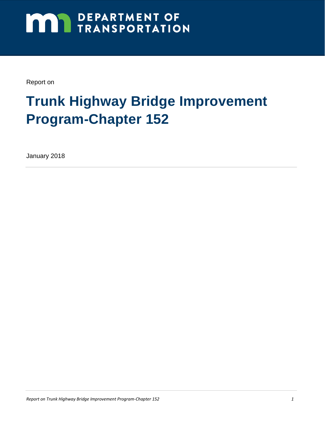# **MAY DEPARTMENT OF TRANSPORTATION**

Report on

## **Trunk Highway Bridge Improvement Program-Chapter 152**

January 2018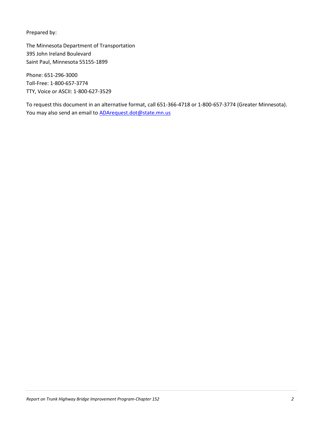Prepared by:

The Minnesota Department of Transportation 395 John Ireland Boulevard Saint Paul, Minnesota 55155-1899

Phone: 651-296-3000 Toll-Free: 1-800-657-3774 TTY, Voice or ASCII: 1-800-627-3529

To request this document in an alternative format, call 651-366-4718 or 1-800-657-3774 (Greater Minnesota). You may also send an email to **ADArequest.dot@state.mn.us**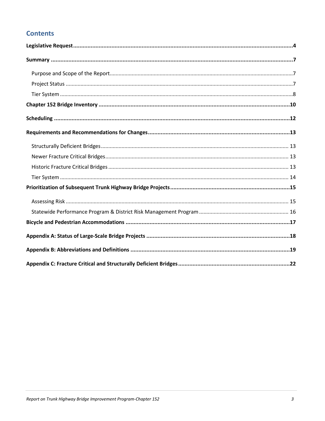#### **Contents**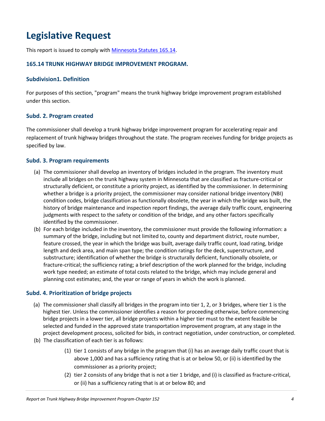## **Legislative Request**

This report is issued to comply with [Minnesota Statutes](https://www.revisor.mn.gov/statutes/?id=165.14) 165.14.

#### **165.14 TRUNK HIGHWAY BRIDGE IMPROVEMENT PROGRAM.**

#### **Subdivision1. Definition**

For purposes of this section, "program" means the trunk highway bridge improvement program established under this section.

#### **Subd. 2. Program created**

The commissioner shall develop a trunk highway bridge improvement program for accelerating repair and replacement of trunk highway bridges throughout the state. The program receives funding for bridge projects as specified by law.

#### **Subd. 3. Program requirements**

- (a) The commissioner shall develop an inventory of bridges included in the program. The inventory must include all bridges on the trunk highway system in Minnesota that are classified as fracture-critical or structurally deficient, or constitute a priority project, as identified by the commissioner. In determining whether a bridge is a priority project, the commissioner may consider national bridge inventory (NBI) condition codes, bridge classification as functionally obsolete, the year in which the bridge was built, the history of bridge maintenance and inspection report findings, the average daily traffic count, engineering judgments with respect to the safety or condition of the bridge, and any other factors specifically identified by the commissioner.
- (b) For each bridge included in the inventory, the commissioner must provide the following information: a summary of the bridge, including but not limited to, county and department district, route number, feature crossed, the year in which the bridge was built, average daily traffic count, load rating, bridge length and deck area, and main span type; the condition ratings for the deck, superstructure, and substructure; identification of whether the bridge is structurally deficient, functionally obsolete, or fracture-critical; the sufficiency rating; a brief description of the work planned for the bridge, including work type needed; an estimate of total costs related to the bridge, which may include general and planning cost estimates; and, the year or range of years in which the work is planned.

#### **Subd. 4. Prioritization of bridge projects**

- (a) The commissioner shall classify all bridges in the program into tier 1, 2, or 3 bridges, where tier 1 is the highest tier. Unless the commissioner identifies a reason for proceeding otherwise, before commencing bridge projects in a lower tier, all bridge projects within a higher tier must to the extent feasible be selected and funded in the approved state transportation improvement program, at any stage in the project development process, solicited for bids, in contract negotiation, under construction, or completed.
- (b) The classification of each tier is as follows:
	- (1) tier 1 consists of any bridge in the program that (i) has an average daily traffic count that is above 1,000 and has a sufficiency rating that is at or below 50, or (ii) is identified by the commissioner as a priority project;
	- (2) tier 2 consists of any bridge that is not a tier 1 bridge, and (i) is classified as fracture-critical, or (ii) has a sufficiency rating that is at or below 80; and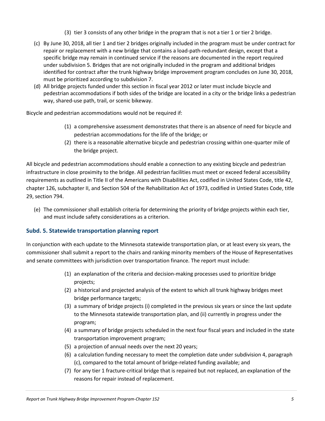- (3) tier 3 consists of any other bridge in the program that is not a tier 1 or tier 2 bridge.
- (c) By June 30, 2018, all tier 1 and tier 2 bridges originally included in the program must be under contract for repair or replacement with a new bridge that contains a load-path-redundant design, except that a specific bridge may remain in continued service if the reasons are documented in the report required under subdivision 5. Bridges that are not originally included in the program and additional bridges identified for contract after the trunk highway bridge improvement program concludes on June 30, 2018, must be prioritized according to subdivision 7.
- (d) All bridge projects funded under this section in fiscal year 2012 or later must include bicycle and pedestrian accommodations if both sides of the bridge are located in a city or the bridge links a pedestrian way, shared-use path, trail, or scenic bikeway.

Bicycle and pedestrian accommodations would not be required if:

- (1) a comprehensive assessment demonstrates that there is an absence of need for bicycle and pedestrian accommodations for the life of the bridge; or
- (2) there is a reasonable alternative bicycle and pedestrian crossing within one-quarter mile of the bridge project.

All bicycle and pedestrian accommodations should enable a connection to any existing bicycle and pedestrian infrastructure in close proximity to the bridge. All pedestrian facilities must meet or exceed federal accessibility requirements as outlined in Title II of the Americans with Disabilities Act, codified in United States Code, title 42, chapter 126, subchapter II, and Section 504 of the Rehabilitation Act of 1973, codified in Untied States Code, title 29, section 794.

(e) The commissioner shall establish criteria for determining the priority of bridge projects within each tier, and must include safety considerations as a criterion.

#### **Subd. 5. Statewide transportation planning report**

In conjunction with each update to the Minnesota statewide transportation plan, or at least every six years, the commissioner shall submit a report to the chairs and ranking minority members of the House of Representatives and senate committees with jurisdiction over transportation finance. The report must include:

- (1) an explanation of the criteria and decision-making processes used to prioritize bridge projects;
- (2) a historical and projected analysis of the extent to which all trunk highway bridges meet bridge performance targets;
- (3) a summary of bridge projects (i) completed in the previous six years or since the last update to the Minnesota statewide transportation plan, and (ii) currently in progress under the program;
- (4) a summary of bridge projects scheduled in the next four fiscal years and included in the state transportation improvement program;
- (5) a projection of annual needs over the next 20 years;
- (6) a calculation funding necessary to meet the completion date under subdivision 4, paragraph (c), compared to the total amount of bridge-related funding available; and
- (7) for any tier 1 fracture-critical bridge that is repaired but not replaced, an explanation of the reasons for repair instead of replacement.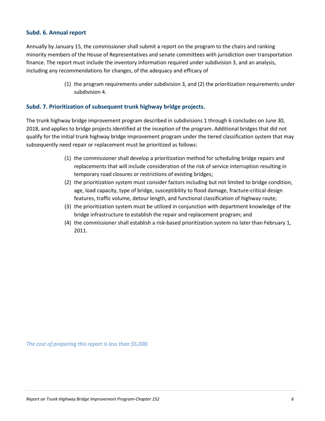#### **Subd. 6. Annual report**

Annually by January 15, the commissioner shall submit a report on the program to the chairs and ranking minority members of the House of Representatives and senate committees with jurisdiction over transportation finance. The report must include the inventory information required under subdivision 3, and an analysis, including any recommendations for changes, of the adequacy and efficacy of

> (1) the program requirements under subdivision 3, and (2) the prioritization requirements under subdivision 4.

#### **Subd. 7. Prioritization of subsequent trunk highway bridge projects.**

The trunk highway bridge improvement program described in subdivisions 1 through 6 concludes on June 30, 2018, and applies to bridge projects identified at the inception of the program. Additional bridges that did not qualify for the initial trunk highway bridge improvement program under the tiered classification system that may subsequently need repair or replacement must be prioritized as follows:

- (1) the commissioner shall develop a prioritization method for scheduling bridge repairs and replacements that will include consideration of the risk of service interruption resulting in temporary road closures or restrictions of existing bridges;
- (2) the prioritization system must consider factors including but not limited to bridge condition, age, load capacity, type of bridge, susceptibility to flood damage, fracture-critical design features, traffic volume, detour length, and functional classification of highway route;
- (3) the prioritization system must be utilized in conjunction with department knowledge of the bridge infrastructure to establish the repair and replacement program; and
- (4) the commissioner shall establish a risk-based prioritization system no later than February 1, 2011.

*The cost of preparing this report is less than \$5,000.*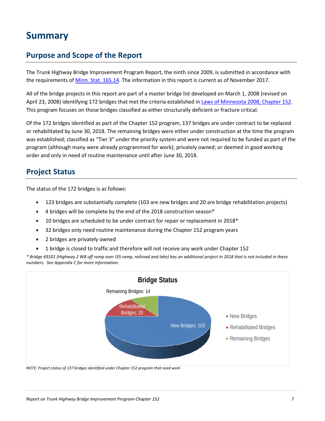## **Summary**

#### **Purpose and Scope of the Report**

The Trunk Highway Bridge Improvement Program Report, the ninth since 2009, is submitted in accordance with the requirements of [Minn. Stat. 165.14.](https://www.revisor.mn.gov/statutes/?id=165.14) The information in this report is current as of November 2017.

All of the bridge projects in this report are part of a master bridge list developed on March 1, 2008 (revised on April 23, 2008) identifying 172 bridges that met the criteria established i[n Laws of Minnesota 2008, Chapter 152.](https://www.revisor.mn.gov/laws/?year=2008&type=0&doctype=Chapter&id=152) This program focuses on those bridges classified as either structurally deficient or fracture critical.

Of the 172 bridges identified as part of the Chapter 152 program, 137 bridges are under contract to be replaced or rehabilitated by June 30, 2018. The remaining bridges were either under construction at the time the program was established; classified as "Tier 3" under the priority system and were not required to be funded as part of the program (although many were already programmed for work); privately owned; or deemed in good working order and only in need of routine maintenance until after June 30, 2018.

#### **Project Status**

The status of the 172 bridges is as follows:

- 123 bridges are substantially complete (103 are new bridges and 20 are bridge rehabilitation projects)
- 4 bridges will be complete by the end of the 2018 construction season\*
- 10 bridges are scheduled to be under contract for repair or replacement in 2018\*
- 32 bridges only need routine maintenance during the Chapter 152 program years
- 2 bridges are privately owned
- 1 bridge is closed to traffic and therefore will not receive any work under Chapter 152

*\* Bridge 69101 (Highway 2 WB off ramp over I35 ramp, railroad and lake) has an additional project in 2018 that is not included in these numbers. See Appendix C for more information.*



*NOTE: Project status of 137 bridges identified under Chapter 152 program that need work*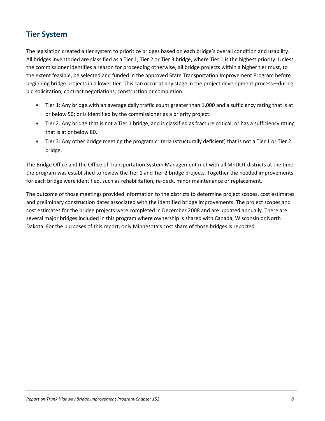#### **Tier System**

The legislation created a tier system to prioritize bridges based on each bridge's overall condition and usability. All bridges inventoried are classified as a Tier 1, Tier 2 or Tier 3 bridge, where Tier 1 is the highest priority. Unless the commissioner identifies a reason for proceeding otherwise, all bridge projects within a higher tier must, to the extent feasible, be selected and funded in the approved State Transportation Improvement Program before beginning bridge projects in a lower tier. This can occur at any stage in the project development process—during bid solicitation, contract negotiations, construction or completion.

- Tier 1: Any bridge with an average daily traffic count greater than 1,000 and a sufficiency rating that is at or below 50; or is identified by the commissioner as a priority project.
- Tier 2: Any bridge that is not a Tier 1 bridge, and is classified as fracture critical, or has a sufficiency rating that is at or below 80.
- Tier 3: Any other bridge meeting the program criteria (structurally deficient) that is not a Tier 1 or Tier 2 bridge.

The Bridge Office and the Office of Transportation System Management met with all MnDOT districts at the time the program was established to review the Tier 1 and Tier 2 bridge projects. Together the needed improvements for each bridge were identified, such as rehabilitation, re-deck, minor maintenance or replacement.

The outcome of those meetings provided information to the districts to determine project scopes, cost estimates and preliminary construction dates associated with the identified bridge improvements. The project scopes and cost estimates for the bridge projects were completed in December 2008 and are updated annually. There are several major bridges included in this program where ownership is shared with Canada, Wisconsin or North Dakota. For the purposes of this report, only Minnesota's cost share of those bridges is reported.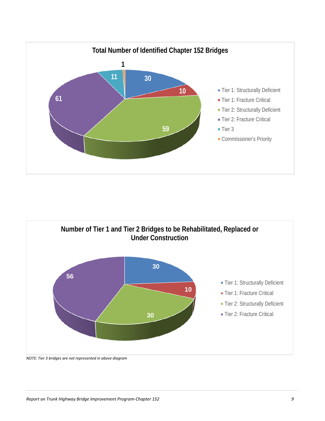



#### *NOTE: Tier 3 bridges are not represented in above diagram*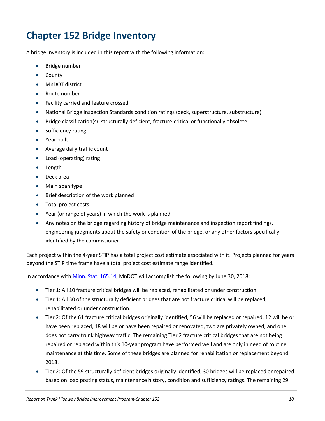## **Chapter 152 Bridge Inventory**

A bridge inventory is included in this report with the following information:

- Bridge number
- County
- MnDOT district
- Route number
- Facility carried and feature crossed
- National Bridge Inspection Standards condition ratings (deck, superstructure, substructure)
- Bridge classification(s): structurally deficient, fracture-critical or functionally obsolete
- Sufficiency rating
- Year built
- Average daily traffic count
- Load (operating) rating
- Length
- Deck area
- Main span type
- Brief description of the work planned
- Total project costs
- Year (or range of years) in which the work is planned
- Any notes on the bridge regarding history of bridge maintenance and inspection report findings, engineering judgments about the safety or condition of the bridge, or any other factors specifically identified by the commissioner

Each project within the 4-year STIP has a total project cost estimate associated with it. Projects planned for years beyond the STIP time frame have a total project cost estimate range identified.

In accordance wit[h Minn. Stat. 165.14,](https://www.revisor.mn.gov/statutes/?id=165.14) MnDOT will accomplish the following by June 30, 2018:

- Tier 1: All 10 fracture critical bridges will be replaced, rehabilitated or under construction.
- Tier 1: All 30 of the structurally deficient bridges that are not fracture critical will be replaced, rehabilitated or under construction.
- Tier 2: Of the 61 fracture critical bridges originally identified, 56 will be replaced or repaired, 12 will be or have been replaced, 18 will be or have been repaired or renovated, two are privately owned, and one does not carry trunk highway traffic. The remaining Tier 2 fracture critical bridges that are not being repaired or replaced within this 10-year program have performed well and are only in need of routine maintenance at this time. Some of these bridges are planned for rehabilitation or replacement beyond 2018.
- Tier 2: Of the 59 structurally deficient bridges originally identified, 30 bridges will be replaced or repaired based on load posting status, maintenance history, condition and sufficiency ratings. The remaining 29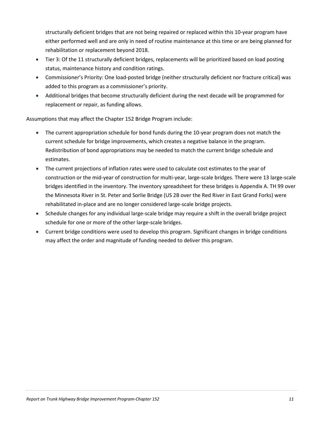structurally deficient bridges that are not being repaired or replaced within this 10-year program have either performed well and are only in need of routine maintenance at this time or are being planned for rehabilitation or replacement beyond 2018.

- Tier 3: Of the 11 structurally deficient bridges, replacements will be prioritized based on load posting status, maintenance history and condition ratings.
- Commissioner's Priority: One load-posted bridge (neither structurally deficient nor fracture critical) was added to this program as a commissioner's priority.
- Additional bridges that become structurally deficient during the next decade will be programmed for replacement or repair, as funding allows.

Assumptions that may affect the Chapter 152 Bridge Program include:

- The current appropriation schedule for bond funds during the 10-year program does not match the current schedule for bridge improvements, which creates a negative balance in the program. Redistribution of bond appropriations may be needed to match the current bridge schedule and estimates.
- The current projections of inflation rates were used to calculate cost estimates to the year of construction or the mid-year of construction for multi-year, large-scale bridges. There were 13 large-scale bridges identified in the inventory. The inventory spreadsheet for these bridges is Appendix A. TH 99 over the Minnesota River in St. Peter and Sorlie Bridge (US 2B over the Red River in East Grand Forks) were rehabilitated in-place and are no longer considered large-scale bridge projects.
- Schedule changes for any individual large-scale bridge may require a shift in the overall bridge project schedule for one or more of the other large-scale bridges.
- Current bridge conditions were used to develop this program. Significant changes in bridge conditions may affect the order and magnitude of funding needed to deliver this program.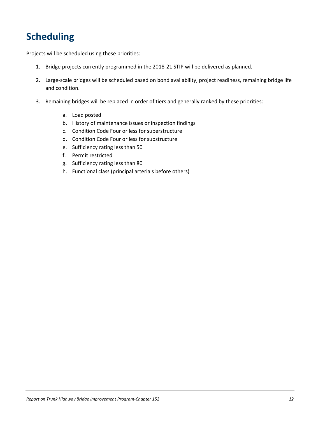## **Scheduling**

Projects will be scheduled using these priorities:

- 1. Bridge projects currently programmed in the 2018-21 STIP will be delivered as planned.
- 2. Large-scale bridges will be scheduled based on bond availability, project readiness, remaining bridge life and condition.
- 3. Remaining bridges will be replaced in order of tiers and generally ranked by these priorities:
	- a. Load posted
	- b. History of maintenance issues or inspection findings
	- c. Condition Code Four or less for superstructure
	- d. Condition Code Four or less for substructure
	- e. Sufficiency rating less than 50
	- f. Permit restricted
	- g. Sufficiency rating less than 80
	- h. Functional class (principal arterials before others)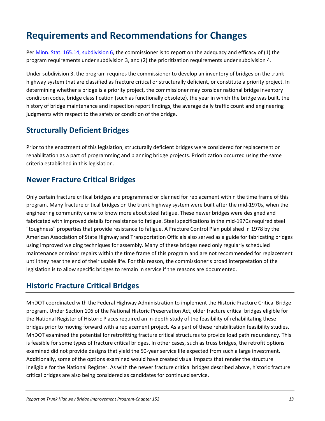## **Requirements and Recommendations for Changes**

Per [Minn. Stat. 165.14, subdivision 6,](https://www.revisor.mn.gov/statutes/?id=165.14) the commissioner is to report on the adequacy and efficacy of (1) the program requirements under subdivision 3, and (2) the prioritization requirements under subdivision 4.

Under subdivision 3, the program requires the commissioner to develop an inventory of bridges on the trunk highway system that are classified as fracture critical or structurally deficient, or constitute a priority project. In determining whether a bridge is a priority project, the commissioner may consider national bridge inventory condition codes, bridge classification (such as functionally obsolete), the year in which the bridge was built, the history of bridge maintenance and inspection report findings, the average daily traffic count and engineering judgments with respect to the safety or condition of the bridge.

#### **Structurally Deficient Bridges**

Prior to the enactment of this legislation, structurally deficient bridges were considered for replacement or rehabilitation as a part of programming and planning bridge projects. Prioritization occurred using the same criteria established in this legislation.

#### **Newer Fracture Critical Bridges**

Only certain fracture critical bridges are programmed or planned for replacement within the time frame of this program. Many fracture critical bridges on the trunk highway system were built after the mid-1970s, when the engineering community came to know more about steel fatigue. These newer bridges were designed and fabricated with improved details for resistance to fatigue. Steel specifications in the mid-1970s required steel "toughness" properties that provide resistance to fatigue. A Fracture Control Plan published in 1978 by the American Association of State Highway and Transportation Officials also served as a guide for fabricating bridges using improved welding techniques for assembly. Many of these bridges need only regularly scheduled maintenance or minor repairs within the time frame of this program and are not recommended for replacement until they near the end of their usable life. For this reason, the commissioner's broad interpretation of the legislation is to allow specific bridges to remain in service if the reasons are documented.

#### **Historic Fracture Critical Bridges**

MnDOT coordinated with the Federal Highway Administration to implement the Historic Fracture Critical Bridge program. Under Section 106 of the National Historic Preservation Act, older fracture critical bridges eligible for the National Register of Historic Places required an in-depth study of the feasibility of rehabilitating these bridges prior to moving forward with a replacement project. As a part of these rehabilitation feasibility studies, MnDOT examined the potential for retrofitting fracture critical structures to provide load path redundancy. This is feasible for some types of fracture critical bridges. In other cases, such as truss bridges, the retrofit options examined did not provide designs that yield the 50-year service life expected from such a large investment. Additionally, some of the options examined would have created visual impacts that render the structure ineligible for the National Register. As with the newer fracture critical bridges described above, historic fracture critical bridges are also being considered as candidates for continued service.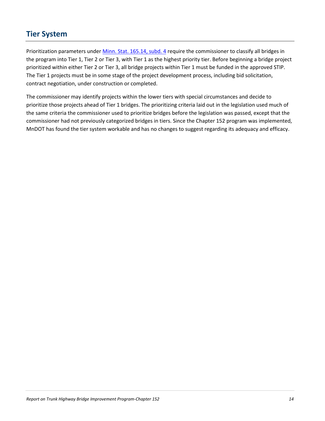#### **Tier System**

Prioritization parameters under [Minn. Stat. 165.14, subd. 4](https://www.revisor.mn.gov/statutes/?id=165.14) require the commissioner to classify all bridges in the program into Tier 1, Tier 2 or Tier 3, with Tier 1 as the highest priority tier. Before beginning a bridge project prioritized within either Tier 2 or Tier 3, all bridge projects within Tier 1 must be funded in the approved STIP. The Tier 1 projects must be in some stage of the project development process, including bid solicitation, contract negotiation, under construction or completed.

The commissioner may identify projects within the lower tiers with special circumstances and decide to prioritize those projects ahead of Tier 1 bridges. The prioritizing criteria laid out in the legislation used much of the same criteria the commissioner used to prioritize bridges before the legislation was passed, except that the commissioner had not previously categorized bridges in tiers. Since the Chapter 152 program was implemented, MnDOT has found the tier system workable and has no changes to suggest regarding its adequacy and efficacy.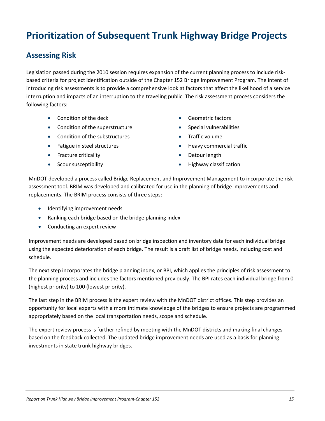## **Prioritization of Subsequent Trunk Highway Bridge Projects**

#### **Assessing Risk**

Legislation passed during the 2010 session requires expansion of the current planning process to include riskbased criteria for project identification outside of the Chapter 152 Bridge Improvement Program. The intent of introducing risk assessments is to provide a comprehensive look at factors that affect the likelihood of a service interruption and impacts of an interruption to the traveling public. The risk assessment process considers the following factors:

- Condition of the deck
- Condition of the superstructure
- Condition of the substructures
- Fatigue in steel structures
- Fracture criticality
- Scour susceptibility
- Geometric factors
- Special vulnerabilities
- Traffic volume
- Heavy commercial traffic
- Detour length
- Highway classification

MnDOT developed a process called Bridge Replacement and Improvement Management to incorporate the risk assessment tool. BRIM was developed and calibrated for use in the planning of bridge improvements and replacements. The BRIM process consists of three steps:

- Identifying improvement needs
- Ranking each bridge based on the bridge planning index
- Conducting an expert review

Improvement needs are developed based on bridge inspection and inventory data for each individual bridge using the expected deterioration of each bridge. The result is a draft list of bridge needs, including cost and schedule.

The next step incorporates the bridge planning index, or BPI, which applies the principles of risk assessment to the planning process and includes the factors mentioned previously. The BPI rates each individual bridge from 0 (highest priority) to 100 (lowest priority).

The last step in the BRIM process is the expert review with the MnDOT district offices. This step provides an opportunity for local experts with a more intimate knowledge of the bridges to ensure projects are programmed appropriately based on the local transportation needs, scope and schedule.

The expert review process is further refined by meeting with the MnDOT districts and making final changes based on the feedback collected. The updated bridge improvement needs are used as a basis for planning investments in state trunk highway bridges.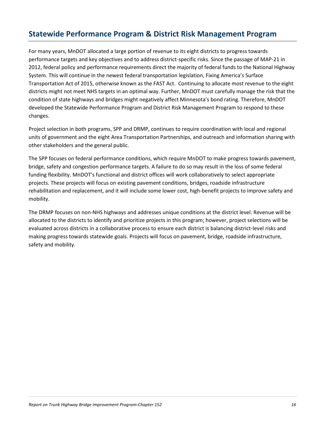#### **Statewide Performance Program & District Risk Management Program**

For many years, MnDOT allocated a large portion of revenue to its eight districts to progress towards performance targets and key objectives and to address district-specific risks. Since the passage of MAP-21 in 2012, federal policy and performance requirements direct the majority of federal funds to the National Highway System. This will continue in the newest federal transportation legislation, Fixing America's Surface Transportation Act of 2015, otherwise known as the FAST Act. Continuing to allocate most revenue to the eight districts might not meet NHS targets in an optimal way. Further, MnDOT must carefully manage the risk that the condition of state highways and bridges might negatively affect Minnesota's bond rating. Therefore, MnDOT developed the Statewide Performance Program and District Risk Management Program to respond to these changes.

Project selection in both programs, SPP and DRMP, continues to require coordination with local and regional units of government and the eight Area Transportation Partnerships, and outreach and information sharing with other stakeholders and the general public.

The SPP focuses on federal performance conditions, which require MnDOT to make progress towards pavement, bridge, safety and congestion performance targets. A failure to do so may result in the loss of some federal funding flexibility. MnDOT's functional and district offices will work collaboratively to select appropriate projects. These projects will focus on existing pavement conditions, bridges, roadside infrastructure rehabilitation and replacement, and it will include some lower cost, high-benefit projects to improve safety and mobility.

The DRMP focuses on non-NHS highways and addresses unique conditions at the district level. Revenue will be allocated to the districts to identify and prioritize projects in this program; however, project selections will be evaluated across districts in a collaborative process to ensure each district is balancing district-level risks and making progress towards statewide goals. Projects will focus on pavement, bridge, roadside infrastructure, safety and mobility.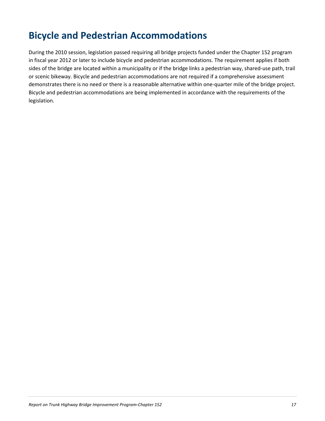## **Bicycle and Pedestrian Accommodations**

During the 2010 session, legislation passed requiring all bridge projects funded under the Chapter 152 program in fiscal year 2012 or later to include bicycle and pedestrian accommodations. The requirement applies if both sides of the bridge are located within a municipality or if the bridge links a pedestrian way, shared-use path, trail or scenic bikeway. Bicycle and pedestrian accommodations are not required if a comprehensive assessment demonstrates there is no need or there is a reasonable alternative within one-quarter mile of the bridge project. Bicycle and pedestrian accommodations are being implemented in accordance with the requirements of the legislation.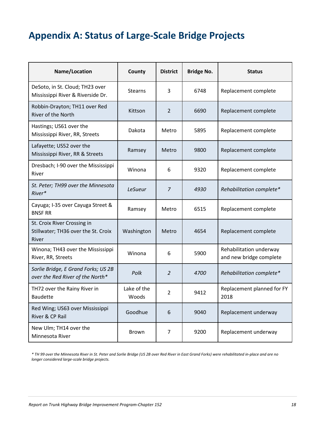## **Appendix A: Status of Large-Scale Bridge Projects**

| Name/Location                                                               | County               | <b>District</b> | <b>Bridge No.</b> | <b>Status</b>                                      |
|-----------------------------------------------------------------------------|----------------------|-----------------|-------------------|----------------------------------------------------|
| DeSoto, in St. Cloud; TH23 over<br>Mississippi River & Riverside Dr.        | <b>Stearns</b>       | 3               | 6748              | Replacement complete                               |
| Robbin-Drayton; TH11 over Red<br>River of the North                         | Kittson              | 2               | 6690              | Replacement complete                               |
| Hastings; US61 over the<br>Mississippi River, RR, Streets                   | Dakota               | Metro           | 5895              | Replacement complete                               |
| Lafayette; US52 over the<br>Mississippi River, RR & Streets                 | Ramsey               | Metro           | 9800              | Replacement complete                               |
| Dresbach; I-90 over the Mississippi<br>River                                | Winona               | 6               | 9320              | Replacement complete                               |
| St. Peter; TH99 over the Minnesota<br>River*                                | <b>LeSueur</b>       | $\overline{7}$  | 4930              | Rehabilitation complete*                           |
| Cayuga; I-35 over Cayuga Street &<br><b>BNSF RR</b>                         | Ramsey               | Metro           | 6515              | Replacement complete                               |
| St. Croix River Crossing in<br>Stillwater; TH36 over the St. Croix<br>River | Washington           | Metro           | 4654              | Replacement complete                               |
| Winona; TH43 over the Mississippi<br>River, RR, Streets                     | Winona               | 6               | 5900              | Rehabilitation underway<br>and new bridge complete |
| Sorlie Bridge, E Grand Forks; US 2B<br>over the Red River of the North*     | Polk                 | 2               | 4700              | Rehabilitation complete*                           |
| TH72 over the Rainy River in<br><b>Baudette</b>                             | Lake of the<br>Woods | $\overline{2}$  | 9412              | Replacement planned for FY<br>2018                 |
| Red Wing; US63 over Mississippi<br>River & CP Rail                          | Goodhue              | 6               | 9040              | Replacement underway                               |
| New Ulm; TH14 over the<br>Minnesota River                                   | Brown                | 7               | 9200              | Replacement underway                               |

*\* TH 99 over the Minnesota River in St. Peter and Sorlie Bridge (US 2B over Red River in East Grand Forks) were rehabilitated in-place and are no longer considered large-scale bridge projects.*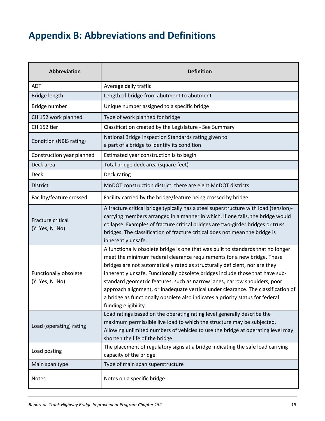## **Appendix B: Abbreviations and Definitions**

| <b>Abbreviation</b>                    | <b>Definition</b>                                                                                                                                                                                                                                                                                                                                                                                                                                                                                                                                                                                       |
|----------------------------------------|---------------------------------------------------------------------------------------------------------------------------------------------------------------------------------------------------------------------------------------------------------------------------------------------------------------------------------------------------------------------------------------------------------------------------------------------------------------------------------------------------------------------------------------------------------------------------------------------------------|
| <b>ADT</b>                             | Average daily traffic                                                                                                                                                                                                                                                                                                                                                                                                                                                                                                                                                                                   |
| Bridge length                          | Length of bridge from abutment to abutment                                                                                                                                                                                                                                                                                                                                                                                                                                                                                                                                                              |
| Bridge number                          | Unique number assigned to a specific bridge                                                                                                                                                                                                                                                                                                                                                                                                                                                                                                                                                             |
| CH 152 work planned                    | Type of work planned for bridge                                                                                                                                                                                                                                                                                                                                                                                                                                                                                                                                                                         |
| CH 152 tier                            | Classification created by the Legislature - See Summary                                                                                                                                                                                                                                                                                                                                                                                                                                                                                                                                                 |
| Condition (NBIS rating)                | National Bridge Inspection Standards rating given to<br>a part of a bridge to identify its condition                                                                                                                                                                                                                                                                                                                                                                                                                                                                                                    |
| Construction year planned              | Estimated year construction is to begin                                                                                                                                                                                                                                                                                                                                                                                                                                                                                                                                                                 |
| Deck area                              | Total bridge deck area (square feet)                                                                                                                                                                                                                                                                                                                                                                                                                                                                                                                                                                    |
| <b>Deck</b>                            | Deck rating                                                                                                                                                                                                                                                                                                                                                                                                                                                                                                                                                                                             |
| <b>District</b>                        | MnDOT construction district; there are eight MnDOT districts                                                                                                                                                                                                                                                                                                                                                                                                                                                                                                                                            |
| Facility/feature crossed               | Facility carried by the bridge/feature being crossed by bridge                                                                                                                                                                                                                                                                                                                                                                                                                                                                                                                                          |
| Fracture critical<br>$(Y=Yes, N=No)$   | A fracture critical bridge typically has a steel superstructure with load (tension)-<br>carrying members arranged in a manner in which, if one fails, the bridge would<br>collapse. Examples of fracture critical bridges are two-girder bridges or truss<br>bridges. The classification of fracture critical does not mean the bridge is<br>inherently unsafe.                                                                                                                                                                                                                                         |
| Functionally obsolete<br>(Y=Yes, N=No) | A functionally obsolete bridge is one that was built to standards that no longer<br>meet the minimum federal clearance requirements for a new bridge. These<br>bridges are not automatically rated as structurally deficient, nor are they<br>inherently unsafe. Functionally obsolete bridges include those that have sub-<br>standard geometric features, such as narrow lanes, narrow shoulders, poor<br>approach alignment, or inadequate vertical under clearance. The classification of<br>a bridge as functionally obsolete also indicates a priority status for federal<br>funding eligibility. |
| Load (operating) rating                | Load ratings based on the operating rating level generally describe the<br>maximum permissible live load to which the structure may be subjected.<br>Allowing unlimited numbers of vehicles to use the bridge at operating level may<br>shorten the life of the bridge.                                                                                                                                                                                                                                                                                                                                 |
| Load posting                           | The placement of regulatory signs at a bridge indicating the safe load carrying<br>capacity of the bridge.                                                                                                                                                                                                                                                                                                                                                                                                                                                                                              |
| Main span type                         | Type of main span superstructure                                                                                                                                                                                                                                                                                                                                                                                                                                                                                                                                                                        |
| <b>Notes</b>                           | Notes on a specific bridge                                                                                                                                                                                                                                                                                                                                                                                                                                                                                                                                                                              |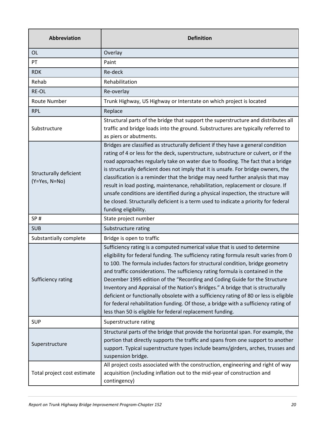| Abbreviation                              | <b>Definition</b>                                                                                                                                                                                                                                                                                                                                                                                                                                                                                                                                                                                                                                                                                                                                     |
|-------------------------------------------|-------------------------------------------------------------------------------------------------------------------------------------------------------------------------------------------------------------------------------------------------------------------------------------------------------------------------------------------------------------------------------------------------------------------------------------------------------------------------------------------------------------------------------------------------------------------------------------------------------------------------------------------------------------------------------------------------------------------------------------------------------|
| 0L                                        | Overlay                                                                                                                                                                                                                                                                                                                                                                                                                                                                                                                                                                                                                                                                                                                                               |
| PT                                        | Paint                                                                                                                                                                                                                                                                                                                                                                                                                                                                                                                                                                                                                                                                                                                                                 |
| <b>RDK</b>                                | Re-deck                                                                                                                                                                                                                                                                                                                                                                                                                                                                                                                                                                                                                                                                                                                                               |
| Rehab                                     | Rehabilitation                                                                                                                                                                                                                                                                                                                                                                                                                                                                                                                                                                                                                                                                                                                                        |
| RE-OL                                     | Re-overlay                                                                                                                                                                                                                                                                                                                                                                                                                                                                                                                                                                                                                                                                                                                                            |
| Route Number                              | Trunk Highway, US Highway or Interstate on which project is located                                                                                                                                                                                                                                                                                                                                                                                                                                                                                                                                                                                                                                                                                   |
| <b>RPL</b>                                | Replace                                                                                                                                                                                                                                                                                                                                                                                                                                                                                                                                                                                                                                                                                                                                               |
| Substructure                              | Structural parts of the bridge that support the superstructure and distributes all<br>traffic and bridge loads into the ground. Substructures are typically referred to<br>as piers or abutments.                                                                                                                                                                                                                                                                                                                                                                                                                                                                                                                                                     |
| Structurally deficient<br>$(Y=Yes, N=No)$ | Bridges are classified as structurally deficient if they have a general condition<br>rating of 4 or less for the deck, superstructure, substructure or culvert, or if the<br>road approaches regularly take on water due to flooding. The fact that a bridge<br>is structurally deficient does not imply that it is unsafe. For bridge owners, the<br>classification is a reminder that the bridge may need further analysis that may<br>result in load posting, maintenance, rehabilitation, replacement or closure. If<br>unsafe conditions are identified during a physical inspection, the structure will<br>be closed. Structurally deficient is a term used to indicate a priority for federal<br>funding eligibility.                          |
| SP#                                       | State project number                                                                                                                                                                                                                                                                                                                                                                                                                                                                                                                                                                                                                                                                                                                                  |
| <b>SUB</b>                                | Substructure rating                                                                                                                                                                                                                                                                                                                                                                                                                                                                                                                                                                                                                                                                                                                                   |
| Substantially complete                    | Bridge is open to traffic                                                                                                                                                                                                                                                                                                                                                                                                                                                                                                                                                                                                                                                                                                                             |
| Sufficiency rating                        | Sufficiency rating is a computed numerical value that is used to determine<br>eligibility for federal funding. The sufficiency rating formula result varies from 0<br>to 100. The formula includes factors for structural condition, bridge geometry<br>and traffic considerations. The sufficiency rating formula is contained in the<br>December 1995 edition of the "Recording and Coding Guide for the Structure<br>Inventory and Appraisal of the Nation's Bridges." A bridge that is structurally<br>deficient or functionally obsolete with a sufficiency rating of 80 or less is eligible<br>for federal rehabilitation funding. Of those, a bridge with a sufficiency rating of<br>less than 50 is eligible for federal replacement funding. |
| <b>SUP</b>                                | Superstructure rating                                                                                                                                                                                                                                                                                                                                                                                                                                                                                                                                                                                                                                                                                                                                 |
| Superstructure                            | Structural parts of the bridge that provide the horizontal span. For example, the<br>portion that directly supports the traffic and spans from one support to another<br>support. Typical superstructure types include beams/girders, arches, trusses and<br>suspension bridge.                                                                                                                                                                                                                                                                                                                                                                                                                                                                       |
| Total project cost estimate               | All project costs associated with the construction, engineering and right of way<br>acquisition (including inflation out to the mid-year of construction and<br>contingency)                                                                                                                                                                                                                                                                                                                                                                                                                                                                                                                                                                          |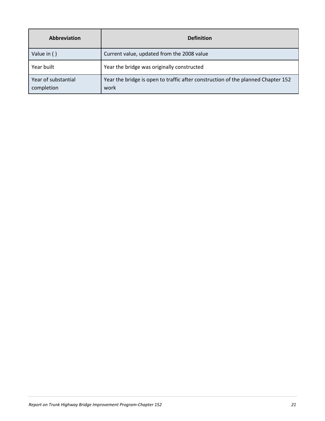| <b>Abbreviation</b>               | <b>Definition</b>                                                                        |
|-----------------------------------|------------------------------------------------------------------------------------------|
| Value in ()                       | Current value, updated from the 2008 value                                               |
| Year built                        | Year the bridge was originally constructed                                               |
| Year of substantial<br>completion | Year the bridge is open to traffic after construction of the planned Chapter 152<br>work |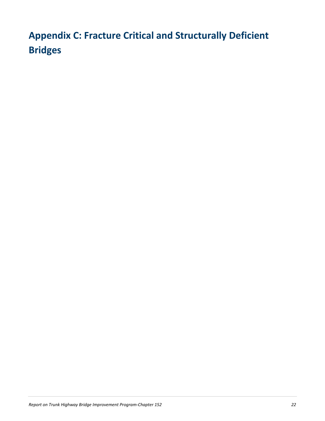## **Appendix C: Fracture Critical and Structurally Deficient Bridges**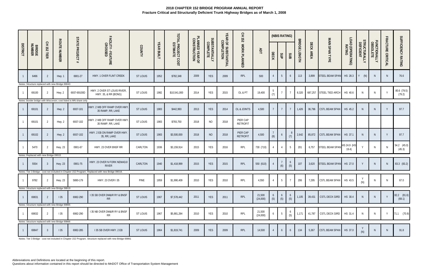|                 |                                       |                |                                                 |                                                                   |                                                                                                  |                 |                   |                                |                                 |                           |                                   | 오<br>도<br>152               |                    |                        | (NBIS RATING)                           |                 |                                |           |                 |                            |                           |                          |                   |                           |
|-----------------|---------------------------------------|----------------|-------------------------------------------------|-------------------------------------------------------------------|--------------------------------------------------------------------------------------------------|-----------------|-------------------|--------------------------------|---------------------------------|---------------------------|-----------------------------------|-----------------------------|--------------------|------------------------|-----------------------------------------|-----------------|--------------------------------|-----------|-----------------|----------------------------|---------------------------|--------------------------|-------------------|---------------------------|
| <b>DISTRICT</b> | <b>BRIDGE</b><br>NUMBER               | CH 152<br>TIER | <b>ROUTE NUMBER</b>                             | <b>STATE PROJECT</b><br>#                                         | FACILITY - FEATURE<br>CROSSED                                                                    | COUNTY          | <b>YEAR BUILT</b> | TOTAL PROJECT COST<br>ESTIMATE | PLANNED YEAR OF<br>CONSTRUCTION | SUBSTANTIALLY<br>COMPLETE | YEAR OF SUBSTANTIAL<br>COMPLETION | WORK PLANNED                | ЯDT                | DECK                   | SUP                                     | SUB             | <b>BRIDGE</b><br><b>LENGTH</b> | DECK AREA | MAIN SPAN TYPE  | LOAD (OPERATING)<br>RATING | STRUCTURALLY<br>DEFICIENT | FUNCTIONALLY<br>OBSOLETE | FRACTURE CRITICAL | SUFFICIENCY RATING        |
|                 | 6496                                  |                | Hwy. 1                                          | 6901-27                                                           | HWY. 1 OVER FLINT CREEK                                                                          | <b>ST LOUIS</b> | 1952              | \$782,348                      | 2009                            | <b>YES</b>                | 2009                              | RPL                         | 500                |                        | $5\overline{)}$                         | 6               | 113                            | 3,899     | STEEL BEAM SPAN | HS 28.3                    | Y<br>(N)                  | N.                       | N                 | 76.6                      |
|                 |                                       |                | Notes: Structure replaced with new Bridge 69043 |                                                                   |                                                                                                  |                 |                   |                                |                                 |                           |                                   |                             |                    |                        |                                         |                 |                                |           |                 |                            |                           |                          |                   |                           |
|                 | 69100                                 |                | Hwy. 2                                          | 6937-69100D                                                       | HWY. 2 OVER ST LOUIS RIVER<br>HWY. 35, & RR (BONG)                                               | ST LOUIS        | 1982              | \$10,541,000                   | 2014                            | <b>YES</b>                | 2015                              | OL & PT                     | 19,400             | $5\overline{)}$<br>(7) |                                         |                 | 8,320                          | 687,257   | STEEL TIED ARCH | HS 40.6                    | N                         | N                        | $\mathsf{Y}$      | 80.6 (79.5)<br>(79.2)     |
|                 |                                       |                |                                                 | Notes: Border bridge with Wisconsin; cost listed is MN share only |                                                                                                  |                 |                   |                                |                                 |                           |                                   |                             |                    |                        |                                         |                 |                                |           |                 |                            |                           |                          |                   |                           |
|                 | 69101                                 |                | Hwy. 2                                          | 6937-101                                                          | HWY. 2 WB OFF RAMP OVER HWY<br>35 RAMP, RR, LAKE                                                 | ST LOUIS        | 1983              | \$442,993                      | 2013                            | <b>YES</b>                | 2014                              | OL & JOINTS                 | 4,500              |                        | $\overline{7}$                          |                 | 1,426                          | 36,796    | CSTL BEAM SPAN  | HS 45.2                    | N                         | N.                       | Y                 | 97.7                      |
|                 | 69101                                 | -2             | Hwy. 2                                          | 6937-102                                                          | HWY. 2 WB OFF RAMP OVER HWY<br>35 RAMP, RR, LAKE                                                 | ST LOUIS        | 1983              | \$793,750                      | 2018                            | NO                        | 2018                              | PIER CAP<br><b>RETROFIT</b> |                    |                        |                                         |                 |                                |           |                 |                            |                           |                          |                   |                           |
|                 | 69102                                 | -2             | Hwy. 2                                          | 6937-102                                                          | HWY. 2 EB ON RAMP OVER HWY<br>35, RR, LAKE                                                       | <b>ST LOUIS</b> | 1983              | \$3,500,000                    | 2018                            | <b>NO</b>                 | 2018                              | PIER CAP<br><b>RETROFIT</b> | 4,500              | (8)                    | 6                                       | - 8<br>(7)      | 2,642                          | 85,872    | CSTL BEAM SPAN  | HS 37.1                    | <sup>N</sup>              | N                        | Y                 | 97.7                      |
|                 | 5470                                  |                | <b>Hwy. 23</b>                                  | 0901-67                                                           | HWY. 23 OVER BNSF RR                                                                             | CARLTON         | 1936              | \$3,159,914                    | 2015                            | YES                       | 2016                              | RPL                         | 730 (710)          | 4                      | $\overline{4}$                          | $5\overline{)}$ | 201                            | 6,757     | STEEL BEAM SPAN | HS 24.9 (HS<br>19.4)       |                           | N                        | ${\sf N}$         | $54.2$ $(45.0)$<br>(45.3) |
|                 | Notes: Replaced with new Bridge 09015 |                |                                                 |                                                                   |                                                                                                  |                 |                   |                                |                                 |                           |                                   |                             |                    |                        |                                         |                 |                                |           |                 |                            |                           |                          |                   |                           |
| $\overline{1}$  | 5554                                  |                | <b>Hwy. 23</b>                                  | 0901-75                                                           | HWY. 23 OVER N FORK NEMADJI<br><b>RIVER</b>                                                      | CARLTON         | 1940              | \$1,418,999                    | 2015                            | <b>YES</b>                | 2015                              | RPL                         | 550 (610)          |                        | $\begin{array}{c} 7 \\ (6) \end{array}$ | 6<br>(5)        | 107                            | 3,620     | STEEL BEAM SPAN | HS 27.0                    | Y                         | N                        | $\,$ N            | 83.3 (83.2)               |
|                 |                                       |                |                                                 |                                                                   | Notes: Tier 3 Bridge - cost not included in Chapter 152 Program. Replaced with new Bridge 09018. |                 |                   |                                |                                 |                           |                                   |                             |                    |                        |                                         |                 |                                |           |                 |                            |                           |                          |                   |                           |
| $\overline{1}$  | 9782                                  | $\overline{2}$ | <b>Hwy. 23</b>                                  | 5880-179                                                          | HWY. 23 OVER I 35                                                                                | PINE            | 1959              | \$1,990,409                    | 2010                            | YES                       | 2010                              | RPL                         | 4,550              | $\overline{4}$         | 5                                       | 7               | 206                            | 7,295     | CSTL BEAM SPAN  | HS 43.5                    | (M)<br>(IV)               | N                        | $\mathbb N$       | 67.0                      |
|                 |                                       |                | Notes: Structure replaced with new Bridge 58819 |                                                                   |                                                                                                  |                 |                   |                                |                                 |                           |                                   |                             |                    |                        |                                         |                 |                                |           |                 |                            |                           |                          |                   |                           |
|                 | 69831                                 |                | 135                                             | 6982-290                                                          | I 35 SB OVER DM&IR RY & BNSF<br><b>RR</b>                                                        | ST LOUIS        | 1967              | \$7,578,442                    | 2011                            | <b>YES</b>                | 2011                              | RPL                         | 21,500<br>(24,000) | 6<br>(5)               | 6<br>(5)                                | 6<br>(5)        | 1,105                          | 39,431    | CSTL DECK GIRD  | HS 30.4                    | N                         | N                        |                   | 82.2 (81.6)<br>(69.1)     |
|                 |                                       |                | Notes: Structure replaced with new Bridge 69865 |                                                                   |                                                                                                  |                 |                   |                                |                                 |                           |                                   |                             |                    |                        |                                         |                 |                                |           |                 |                            |                           |                          |                   |                           |
|                 | 69832                                 | $\mathcal{L}$  | 135                                             | 6982-290                                                          | I 35 NB OVER DM&IR RY & BNSF<br>RR                                                               | ST LOUIS        | 1967              | \$5,881,284                    | 2010                            | <b>YES</b>                | 2010                              | RPL                         | 21,500<br>(24,000) | 6                      | - 5                                     | 6<br>(5)        | 1,171                          | 41,787    | CSTL DECK GIRD  | HS 31.4                    | N.                        | N.                       | Y                 | 71.1 (70.9)               |
|                 |                                       |                | Notes: Structure replaced with new Bridge 69866 |                                                                   |                                                                                                  |                 |                   |                                |                                 |                           |                                   |                             |                    |                        |                                         |                 |                                |           |                 |                            |                           |                          |                   |                           |
|                 | 69847                                 | -3             | 135                                             | 6982-285                                                          | I 35 SB OVER HWY. 2 EB                                                                           | ST LOUIS        | 1964              | \$1,819,741                    | 2009                            | <b>YES</b>                | 2009                              | RPL                         | 14,500             |                        | 6                                       | 6               | 134                            | 5,367     | CSTL BEAM SPAN  | HS 37.0                    | (N)                       | N                        | $\mathsf{N}$      | 91.8                      |

Notes: Tier 3 Bridge - cost not included in Chapter 152 Program. Structure replaced with new Bridge 69861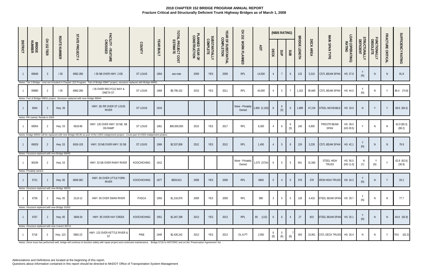|                 |                                |                |                                                  |                                                                               |                                                                                                                                             |                    |                   |                                |                                 |                                  |                                   | 오<br>도<br>152             |               |                | (NBIS RATING)                           |                |                         |           |                            |                            |                           |                          |                   |                       |
|-----------------|--------------------------------|----------------|--------------------------------------------------|-------------------------------------------------------------------------------|---------------------------------------------------------------------------------------------------------------------------------------------|--------------------|-------------------|--------------------------------|---------------------------------|----------------------------------|-----------------------------------|---------------------------|---------------|----------------|-----------------------------------------|----------------|-------------------------|-----------|----------------------------|----------------------------|---------------------------|--------------------------|-------------------|-----------------------|
| <b>DISTRICT</b> | <b>BRIDGE</b><br>NUMBER        | CH 152 TIER    | <b>ROUTE NUMBER</b>                              | <b>STATE PROJECT</b><br>#                                                     | FACILITY - FEATURE<br>CROSSED                                                                                                               | COUNTY             | <b>YEAR BUILT</b> | TOTAL PROJECT COST<br>ESTIMATE | PLANNED YEAR OF<br>CONSTRUCTION | <b>SUBSTANTIALLY</b><br>COMPLETE | YEAR OF SUBSTANTIAL<br>COMPLETION | WORK PLANNED              | ADT           | DECK           | SUP                                     | SUB            | <b>BRIDGE</b><br>LENGTH | DECK AREA | MAIN SPAN TYPE             | LOAD (OPERATING)<br>RATING | STRUCTURALLY<br>DEFICIENT | FUNCTIONALLY<br>OBSOLETE | FRACTURE CRITICAL | SUFFICIENCY RATING    |
|                 | 69848                          | -3             | 135                                              | 6982-285                                                                      | I 35 NB OVER HWY. 2 EB                                                                                                                      | <b>ST LOUIS</b>    | 1964              | see note                       | 2009                            | YES                              | 2009                              | RPL                       | 14,500        |                | $7\overline{ }$                         | 6              | 132                     | 5,310     | CSTL BEAM SPAN             | HS 37.8                    | (N)                       | N.                       | N                 | 91.8                  |
|                 |                                |                |                                                  |                                                                               | Notes: Tier 3 Bridge - cost not included in Chapter 152 Program. Part of Bridge 69847 project, structure replaced with Bridge 69861         |                    |                   |                                |                                 |                                  |                                   |                           |               |                |                                         |                |                         |           |                            |                            |                           |                          |                   |                       |
|                 | 69880                          |                | 135                                              | 6982-290                                                                      | <b>135 OVER RECYCLE WAY &amp;</b><br>ONETA ST.                                                                                              | ST LOUIS           | 1968              | \$8,790,152                    | 2010                            | <b>YES</b>                       | 2011                              | RPL                       | 44,000        |                | $5\phantom{.0}$                         |                | 1,163                   | 95,840    | CSTL BEAM SPAN             | HS 44.0                    | (N)                       | N                        | Y                 | 86.4 (74.8)           |
|                 |                                |                |                                                  | Notes: Part of Bridge 69831 project. Structure replaced with new Bridge 69844 |                                                                                                                                             |                    |                   |                                |                                 |                                  |                                   |                           |               |                |                                         |                |                         |           |                            |                            |                           |                          |                   |                       |
|                 | 6544                           | - 2            | Hwy. 39                                          |                                                                               | HWY. 39; RR OVER ST LOUIS<br><b>RIVER</b>                                                                                                   | <b>ST LOUIS</b>    | 1916              |                                |                                 |                                  |                                   | None - Privately<br>Owned | 1,900 (2,150) | - 8            | $\begin{array}{c} 6 \\ (5) \end{array}$ | 6              | 1,889                   | 47,218    | STEEL MOVEABLE             | HS 33.0                    | <sup>N</sup>              | Y                        | Y                 | 69.6 (69.3)           |
|                 | Notes: RR owned. Rehab in 2009 |                |                                                  |                                                                               |                                                                                                                                             |                    |                   |                                |                                 |                                  |                                   |                           |               |                |                                         |                |                         |           |                            |                            |                           |                          |                   |                       |
|                 | 69004                          | - 2            | Hwy. 53                                          | 6918-86                                                                       | HWY. 135 OVER HWY. 53 NB, SB<br>ON RAMP                                                                                                     | ST LOUIS           | 1961              | \$90,000,000                   | 2015                            | YES                              | 2017                              | RPL                       | 8,300         | 4              | 6                                       | 6<br>(5)       | 140                     | 6,905     | PRESTR BEAM<br>SPAN        | HS 39.0<br>(HS 29.5)       |                           | N                        | $\mathbb N$       | 62.9 (90.3)<br>(88.2) |
|                 |                                |                |                                                  |                                                                               | Notes: Bridge 69004 will be replaced with new Bridge 69130 as part of the US53 realignment project. Costs part of US53 realignment project. |                    |                   |                                |                                 |                                  |                                   |                           |               |                |                                         |                |                         |           |                            |                            |                           |                          |                   |                       |
| $\overline{1}$  | 69029                          | $\overline{2}$ | Hwy. 53                                          | 6916-103                                                                      | HWY. 33 NB OVER HWY. 53 SB                                                                                                                  | ST LOUIS           | 1966              | \$2,537,858                    | 2012                            | YES                              | 2012                              | RPL                       | 1,450         |                | $5\overline{)}$                         | 6              | 126                     | 3,228     | CSTL BEAM SPAN             | HS 42.1                    | (N)                       | <sup>N</sup>             | N                 | 79.9                  |
|                 |                                |                | Notes: Structure replaced with new Bridge 69065  |                                                                               |                                                                                                                                             |                    |                   |                                |                                 |                                  |                                   |                           |               |                |                                         |                |                         |           |                            |                            |                           |                          |                   |                       |
|                 | 90249                          | - 2            | Hwy. 53                                          |                                                                               | HWY. 53 SB OVER RAINY RIVER                                                                                                                 | <b>KOOCHICHING</b> | 1912              |                                |                                 |                                  |                                   | None - Privately<br>Owned | 1,575 (3724)  | 6              | $5\overline{)}$                         | 5              | 941                     | 31,560    | STEEL HIGH<br><b>TRUSS</b> | HS 50.0<br>(HS 11.0)       | Ν<br>(Y)                  | Y<br>(N)                 | $\mathsf{Y}$      | 62.8 (62.6)<br>(36.9) |
|                 | Notes: Privately owned.        |                |                                                  |                                                                               |                                                                                                                                             |                    |                   |                                |                                 |                                  |                                   |                           |               |                |                                         |                |                         |           |                            |                            |                           |                          |                   |                       |
| $1\quad$        | 5721                           | $\overline{1}$ | Hwy. 65                                          | 3609-39C                                                                      | HWY. 65 OVER LITTLE FORK<br><b>RIVER</b>                                                                                                    | KOOCHICHING        | 1877              | \$829,913                      | 2009                            | YES                              | 2009                              | RPL                       | 6804          | 5 <sup>1</sup> | $\overline{4}$                          | 5 <sup>5</sup> | 378                     | 378       | IRON HIGH TRUSS            | HS 16.2                    | (N)                       | $\,$ N $\,$              | Y                 | 20.2                  |
|                 |                                |                | Notes: Structure replaced with new Bridge 36025  |                                                                               |                                                                                                                                             |                    |                   |                                |                                 |                                  |                                   |                           |               |                |                                         |                |                         |           |                            |                            |                           |                          |                   |                       |
| $\mathbf{1}$    | 6736                           |                | Hwy. 65                                          | 3110-12                                                                       | HWY. 65 OVER SWAN RIVER                                                                                                                     | <b>ITASCA</b>      | 1950              | \$1,216,876                    | 2009                            | YES                              | 2009                              | RPL                       | 880           | -3             | 5                                       | 5              | 128                     | 4,416     | STEEL BEAM SPAN HS 29.7    |                            |                           | N                        | N.                | 77.7                  |
|                 |                                |                | Notes: Structure replaced with new Bridge 31002  |                                                                               |                                                                                                                                             |                    |                   |                                |                                 |                                  |                                   |                           |               |                |                                         |                |                         |           |                            |                            |                           |                          |                   |                       |
| $\overline{1}$  | 6767                           | 2              | Hwy. 65                                          | 3609-34                                                                       | HWY. 65 OVER HAY CREEK                                                                                                                      | KOOCHICHING        | 1951              | \$1,047,298                    | 2013                            | <b>YES</b>                       | 2013                              | RPL                       | 90 (115)      | 6              | 6                                       | $\overline{4}$ | 27                      | 810       | STEEL BEAM SPAN HS 25.1    |                            | (N)                       | <sup>N</sup>             | N                 | 64.9 (63.9)           |
|                 |                                |                | Notes: Structure replaced with new Culvert 36X11 |                                                                               |                                                                                                                                             |                    |                   |                                |                                 |                                  |                                   |                           |               |                |                                         |                |                         |           |                            |                            |                           |                          |                   |                       |
|                 | 5718                           |                | Hwy. 123                                         | 5802-23                                                                       | HWY. 123 OVER KETTLE RIVER &<br>ST                                                                                                          | PINE               | 1948              | \$2,426,242                    | 2013                            | <b>YES</b>                       | 2013                              | OL & PT                   | 2,050         | 6<br>(8)       | 5<br>(6)                                | (6)            | 403                     | 15,951    | CSTL DECK TRUSS HS 20.4    |                            | <sup>N</sup>              | N                        | Y                 | 78.6 (62.3)           |

Notes: Since truss has performed well, bridge will continue to function safely with repair project and continued maintenance. Bridge 5718 is HISTORIC and on the 'Preservation Agreement' list.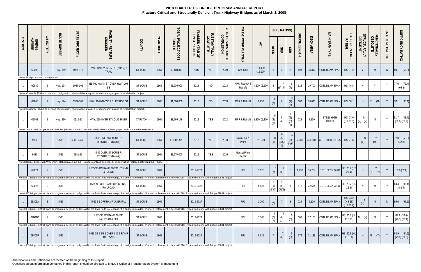|                 |                                              |                |                     |                           |                                                                                                                                                                                                             |               |                   |                                |                                 |                           |                                   | 오<br>모<br>152                 |                     |                          | (NBIS RATING)             |                        |                                |           |                            |                                    |                           |                          |                   |                                    |
|-----------------|----------------------------------------------|----------------|---------------------|---------------------------|-------------------------------------------------------------------------------------------------------------------------------------------------------------------------------------------------------------|---------------|-------------------|--------------------------------|---------------------------------|---------------------------|-----------------------------------|-------------------------------|---------------------|--------------------------|---------------------------|------------------------|--------------------------------|-----------|----------------------------|------------------------------------|---------------------------|--------------------------|-------------------|------------------------------------|
| <b>DISTRICT</b> | <b>BRIDGE</b><br>NUMBER                      | CH 152<br>TIER | <b>ROUTE NUMBER</b> | <b>STATE PROJECT</b><br># | FACILITY - FEATURE<br>CROSSED                                                                                                                                                                               | <b>COUNTY</b> | <b>YEAR BUILT</b> | TOTAL PROJECT COST<br>ESTIMATE | PLANNED YEAR OF<br>CONSTRUCTION | SUBSTANTIALLY<br>COMPLETE | YEAR OF SUBSTANTIAL<br>COMPLETION | WORK PLANNED                  | ЯDT                 | DECK                     | SUP                       | SUB                    | <b>BRIDGE</b><br><b>LENGTH</b> | DECK AREA | <b>MAIN SPAN TYPE</b>      | LOAD (OPERATING)<br>RATING         | STRUCTURALLY<br>DEFICIENT | FUNCTIONALLY<br>OBSOLETE | FRACTURE CRITICAL | SUFFICIENCY RATING                 |
|                 | 69003                                        | -2             | Hwy. 169            | 6934-113                  | HWY. 169 OVER BN RR (ABAN) &<br><b>TRAIL</b>                                                                                                                                                                | ST LOUIS      | 1961              | \$3,403,817                    | 2009                            | <b>YES</b>                | 2009                              | See note                      | 14,400<br>(15, 100) | 6                        |                           | 6                      | 198                            | 13,312    | CSTL BEAM SPAN             | HS 31.2                            |                           | N                        | <sup>N</sup>      | (58.8)<br>59.1                     |
|                 | Notes: Bridge removed, not replaced<br>69839 |                | Hwy. 194            | 6937-102                  | NB MICHIGAN ST OVER HWY. 194<br>SB                                                                                                                                                                          | ST LOUIS      | 1969              | \$1,905,000                    | 2018                            | <b>NO</b>                 | 2018                              | RPR, Redeck &<br>Retrofit     | 4,200 (5,500)       | $5\overline{)}$          | $(6)$ $(5)$               | (7)                    | 318                            | 10,700    | CSTL BEAM SPAN             | HS 46.8                            | N                         | Y                        |                   | 77.6 (76.4)<br>(65.3)              |
|                 |                                              |                |                     |                           | Notes: Currently FC due to pier cap configuration, which will be analyzed for redundancy as part of rehabilitation project.                                                                                 |               |                   |                                |                                 |                           |                                   |                               |                     |                          |                           |                        |                                |           |                            |                                    |                           |                          |                   |                                    |
|                 | 69840                                        | -2             | Hwy. 194            | 6937-102                  | HWY. 194 NB OVER SUPERIOR ST                                                                                                                                                                                | ST LOUIS      | 1968              | \$1,000,000                    | 2018                            | <b>NO</b>                 | 2018                              | RPR & Retrofit                | 9,250               | (6)                      | 6                         | (7)<br>(6)             | 300                            | 10,093    | CSTL BEAM SPAN             | HS 38.1                            | N                         | (N)                      | Y                 | 78.1 (80.1)                        |
|                 |                                              |                |                     |                           | Notes: Currently FC due to pier cap configuration, which will be analyzed for redundancy as part of rehabilitation project.                                                                                 |               |                   |                                |                                 |                           |                                   |                               |                     |                          |                           |                        |                                |           |                            |                                    |                           |                          |                   |                                    |
|                 | 09001                                        |                | Hwy. 210            | 0916-11                   | HWY. 210 OVER ST LOUIS RIVER                                                                                                                                                                                | CARLTON       | 1961              | \$3,265,179                    | 2012                            | YES                       | 2012                              | RPR & Retrofit 1,350 (1,300)  |                     | (4)<br>(8)               | (6)                       | 6<br>(5)<br>(6)<br>(7) | 223                            | 7,850     | STEEL HIGH<br><b>TRUSS</b> | HS 23.0<br>$(HS 13.0)$ $(Y)$ $(N)$ | N.                        | N                        | $\mathsf{Y}$      | $51.7$ (48.7)<br>$(39.6)$ $(56.9)$ |
|                 |                                              |                |                     |                           | Notes: Since truss has performed well, bridge will continue to function safely with completed project and continued maintenance                                                                             |               |                   |                                |                                 |                           |                                   |                               |                     |                          |                           |                        |                                |           |                            |                                    |                           |                          |                   |                                    |
|                 | 9030                                         |                | 1535                | 6981-9030E                | I 535 OVER ST LOUIS R;<br>RR, STREET (Blatnik)                                                                                                                                                              | ST LOUIS      | 1961              | \$11,311,829                   | 2012                            | <b>YES</b>                | 2013                              | Deck Seal &<br>Paint          | 28,000              | (6)                      | 6<br>(5)<br>(4)(5)(<br>4) | (6)<br>(5)(6)          | 7,980                          | 594,187   | <b>CSTL HIGH TRUSS</b>     | HS 21.6                            | -N<br>(Y)                 | Y<br>(N)                 | $\mathsf{Y}$      | 72.3 (53.8)<br>(42.8)              |
|                 | 9030                                         |                | 535                 | 6981-25                   | I 535 OVER ST LOUIS R;<br>RR, STREET (Blatnik)                                                                                                                                                              | ST LOUIS      | 1961              | \$1,270,000                    | 2016                            | YES                       | 2016                              | <b>Gusset Plate</b><br>Repair |                     |                          |                           |                        |                                |           |                            |                                    |                           |                          |                   |                                    |
|                 |                                              |                |                     |                           | Notes: Border bridge with Wisconsin. Rehabilitated in 1993. Repairs continue as needed. Bridge will be replaced between 2025 - 2035.                                                                        |               |                   |                                |                                 |                           |                                   |                               |                     |                          |                           |                        |                                |           |                            |                                    |                           |                          |                   |                                    |
|                 | 69824                                        |                | <b>1535</b>         |                           | I 535 SB ON RAMP OVER I 535 NB<br>& I 35 NB                                                                                                                                                                 | ST LOUIS      | 1969              |                                | 2019-2027                       |                           |                                   | RPL                           | 5,625               | $\mathfrak{b}$<br>(7)    | (6)                       | 6                      | 1,430                          | 36,754    | CSTL DECK GIRD             | HS 25.9 (HS<br>23.4)               |                           | Y<br>(Y)<br>(N)          |                   | 86.6 (82.0)                        |
|                 |                                              |                |                     |                           | Notes: FC bridge, district plans to program a series of bridges within the Twin Ports interchange, this bridge is included. Planned replacement is beyond 2018. Repair work done with Bridge 69831 project. |               |                   |                                |                                 |                           |                                   |                               |                     |                          |                           |                        |                                |           |                            |                                    |                           |                          |                   |                                    |
|                 | 69825                                        |                | <b>1535</b>         |                           | <b>1535 NB OFF RAMP OVER BNSF</b><br>RAILROAD                                                                                                                                                               | ST LOUIS      | 1969              |                                | 2019-2027                       |                           |                                   | RPL                           | 5,625               | (6)<br>$(8)(7)$ $(7)(6)$ | (6)                       |                        | 877                            | 22,534    | <b>CSTL DECK GIRD</b>      | HS 23.7 (HS<br>22.8)               |                           |                          |                   | 84.4 (85.4)<br>(83.9)              |
|                 |                                              |                |                     |                           | Notes: FC bridge, district plans to program a series of bridges within the Twin Ports interchange, this bridge is included. Planned replacement is beyond 2018. Repair work done with Bridge 69831 project. |               |                   |                                |                                 |                           |                                   |                               |                     |                          |                           |                        |                                |           |                            |                                    |                           |                          |                   |                                    |
|                 | 69801A                                       | $\overline{3}$ | 1535                |                           | <b>1535 SB OFF RAMP OVER FILL</b>                                                                                                                                                                           | ST LOUIS      | 1969              |                                | 2019-2027                       |                           |                                   | RPL                           | 2,200               | (7)                      |                           | 8                      | 229                            | 6,106     | CSTL BEAM SPAN             | HS 23.2<br>(HS 28)<br>(HS 30.2)    | (N)                       | N.                       | <sup>N</sup>      | 85.0 (97.1)                        |
|                 |                                              |                |                     |                           | Notes: FC bridge, district plans to program a series of bridges within the Twin Ports interchange, this bridge is included. Planned replacement is beyond 2018. Repair work done with Bridge 69831 project. |               |                   |                                |                                 |                           |                                   |                               |                     |                          |                           |                        |                                |           |                            |                                    |                           |                          |                   |                                    |
|                 | 69801C                                       |                | <b>1535</b>         |                           | I 535 SB ON RAMP OVER<br>RAILROAD & FILL                                                                                                                                                                    | ST LOUIS      | 1969              |                                | 2019-2027                       |                           |                                   | RPL                           | 3,300               | (6)<br>(7)               | (6)<br>(7)                | (5)                    | 666                            | 17,108    | <b>CSTL BEAM SPAN</b>      | HS 25.7 (HL<br>93 0.91)            | $N$ $(Y)$                 |                          |                   | 89.4 (78.4)<br>$(78.3)$ $(36.1)$   |
|                 |                                              |                |                     |                           | Notes: FC bridge, district plans to program a series of bridges within the Twin Ports interchange, this bridge is included. Planned replacement is beyond 2018. Repair work done with Bridge 69831 project. |               |                   |                                |                                 |                           |                                   |                               |                     |                          |                           |                        |                                |           |                            |                                    |                           |                          |                   |                                    |
|                 | 69801F                                       | -2             | 1535                |                           | 1535 SB SEG 1 OVER 135 & RAMP<br>TO I 35 SB                                                                                                                                                                 | ST LOUIS      | 1969              |                                | 2019-2027                       |                           |                                   | RPL                           | 6,625               |                          | (6)                       | (6)                    | 576                            |           | 21,139 CSTL BEAM SPAN      | HS 22.9 (HL<br>93 0.88)            | N                         | $\vert N \vert$<br>(Y)   | Y                 | 63.9 (64.9)<br>$(75.0)$ $(24.8)$   |

Notes: FC bridge, district plans to program a series of bridges within the Twin Ports interchange, this bridge is included. Planned replacement is beyond 2018. Repair work done with Bridge 69831 project.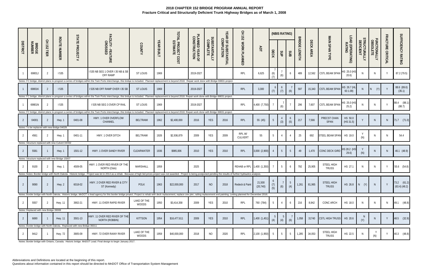|                 |                                       |                 |                                                  |                                                                        |                                                                                                                                                                                                                                |                      |                   |                                |                                 |                           |                                   | 오<br>도<br>732              |                     |             | (NBIS RATING)  |                |                                |              |                            |                            |                                  |                          |                   |                              |
|-----------------|---------------------------------------|-----------------|--------------------------------------------------|------------------------------------------------------------------------|--------------------------------------------------------------------------------------------------------------------------------------------------------------------------------------------------------------------------------|----------------------|-------------------|--------------------------------|---------------------------------|---------------------------|-----------------------------------|----------------------------|---------------------|-------------|----------------|----------------|--------------------------------|--------------|----------------------------|----------------------------|----------------------------------|--------------------------|-------------------|------------------------------|
| <b>DISTRICT</b> | <b>BRIDGE</b><br>NUMBER               | 오<br>25<br>TIER | <b>ROUTE NUMBER</b>                              | <b>STATE PROJECT</b><br>#                                              | FACILITY - FEATURE<br>CROSSED                                                                                                                                                                                                  | <b>COUNTY</b>        | <b>YEAR BUILT</b> | TOTAL PROJECT COST<br>ESTIMATE | PLANNED YEAR OF<br>CONSTRUCTION | SUBSTANTIALLY<br>COMPLETE | YEAR OF SUBSTANTIAL<br>COMPLETION | WORK PLANNED               | ЯDT                 | <b>DECK</b> | SUP            | SUB            | <b>BRIDGE</b><br><b>LENGTH</b> | DECK AREA    | MAIN SPAN TYPE             | LOAD (OPERATING)<br>RATING | <b>TRUCTURALLY<br/>DEFICIENT</b> | FUNCTIONALLY<br>OBSOLETE | FRACTURE CRITICAL | SUFFICIENCY RATING           |
|                 | 69801J                                |                 | 535                                              |                                                                        | 1535 NB SEG 1 OVER 135 NB & SB<br>OFF RAMP                                                                                                                                                                                     | ST LOUIS             | 1969              |                                | 2019-2027                       |                           |                                   | RPL                        | 6,625               | (6)<br>(7)  | (6)            | 6              | 489                            | 12,562       | <b>CSTL BEAM SPAN</b>      | HS 25.0 (HS<br>20.6)       |                                  | N                        | Y                 | 87.2 (79.5)                  |
|                 |                                       |                 |                                                  |                                                                        | Notes: FC bridge, district plans to program a series of bridges within the Twin Ports interchange, this bridge is included. Planned replacement is beyond 2018. Repair work done with Bridge 69831 project.                    |                      |                   |                                |                                 |                           |                                   |                            |                     |             |                |                |                                |              |                            |                            |                                  |                          |                   |                              |
|                 | 69801K                                |                 | 1535                                             |                                                                        | I 535 NB OFF RAMP OVER I 35 SB                                                                                                                                                                                                 | <b>ST LOUIS</b>      | 1969              |                                | 2019-2027                       |                           |                                   | RPL                        | 3,300               | (7)         | 6<br>(7)       | (6)            | 597                            | 15,343       | <b>CSTL BEAM SPAN</b>      | HS 26.7 (HL<br>93 1.09)    |                                  | (Y)<br>N                 |                   | 88.6 (89.6)<br>(35.1)        |
|                 |                                       |                 |                                                  |                                                                        | Notes: FC bridge, district plans to program a series of bridges within the Twin Ports interchange, this bridge is included. Planned replacement is beyond 2018. Repair work done with Bridge 69831 project.                    |                      |                   |                                |                                 |                           |                                   |                            |                     |             |                |                |                                |              |                            |                            |                                  |                          |                   |                              |
|                 | 69801N                                | -2              | <b>1535</b>                                      |                                                                        | I 535 NB SEG 3 OVER CP RAIL                                                                                                                                                                                                    | ST LOUIS             | 1969              |                                | 2019-2027                       |                           |                                   | RPL                        | 4,400 (7,750)       |             | (6)            |                | 296                            | 7,607        | CSTL BEAM SPAN             | HS 25.0 (HS<br>25.2)       |                                  |                          |                   | 88.4 (88.1)<br>(88.7)        |
|                 |                                       |                 |                                                  |                                                                        | Notes: FC bridge, district plans to program a series of bridges within the Twin Ports interchange, this bridge is included. Planned replacement is beyond 2018. Repair work done with Bridge 69831 project.                    |                      |                   |                                |                                 |                           |                                   |                            |                     |             |                |                |                                |              |                            |                            |                                  |                          |                   |                              |
| 2               | 04001                                 |                 | Hwy. 1                                           | 0401-08                                                                | HWY. 1 OVER OVERFLOW<br>CHANNEL                                                                                                                                                                                                | <b>BELTRAMI</b>      | 1962              | \$2,400,000                    | 2016                            | <b>YES</b>                | 2016                              | RPL                        | 55 (45)             |             | (3)            | 6<br>(5)       | 217                            | 7,566        | PRECST CHAN<br>SPAN        | HS 50.0<br>(HS 31.5)       |                                  | $\mathsf{N}$             | N                 | $71.7$ $(71.0)$              |
|                 |                                       |                 | Notes: To be replaced with new Bridge 04029.     |                                                                        |                                                                                                                                                                                                                                |                      |                   |                                |                                 |                           |                                   |                            |                     |             |                |                |                                |              |                            |                            |                                  |                          |                   |                              |
|                 | 4561                                  |                 | Hwy. 1                                           | 0401-11                                                                | HWY. 1 OVER DITCH                                                                                                                                                                                                              | BELTRAMI             | 1926              | \$2,936,879                    | 2009                            | YES                       | 2009                              | RPLW/<br>CULVERT           | 55                  | 5           |                |                | 25                             | 692          | STEEL BEAM SPAN            | HS 19.0                    | (N)                              | N                        |                   | 54.4                         |
|                 |                                       |                 | Notes: Structure replaced with new Culvert 04X02 |                                                                        |                                                                                                                                                                                                                                |                      |                   |                                |                                 |                           |                                   |                            |                     |             |                |                |                                |              |                            |                            |                                  |                          |                   |                              |
|                 | 5581                                  |                 | Hwy. 1                                           | 1501-12                                                                | HWY. 1 OVER SANDY RIVER                                                                                                                                                                                                        | CLEARWATER           | 1936              | \$985,006                      | 2010                            | <b>YES</b>                | 2010                              | RPL                        | 3,000 (2,900)       |             | 5              | 5 <sup>5</sup> | 49                             | 1,470        | CONC DECK GIRD             | HS 28.2 (HS<br>29.6)       | (N)                              |                          | N                 | 46.1 (48.9)                  |
|                 |                                       |                 | Notes: Structure replaced with new Bridge 15007  |                                                                        |                                                                                                                                                                                                                                |                      |                   |                                |                                 |                           |                                   |                            |                     |             |                |                |                                |              |                            |                            |                                  |                          |                   |                              |
| 2               | 9100                                  |                 | Hwy. 1                                           | 4509-05                                                                | HWY. 1 OVER RED RIVER OF THE<br>NORTH (Oslo)                                                                                                                                                                                   | <b>MARSHALL</b>      | 1959              |                                | 2025                            |                           |                                   | REHAB or RPL 1,400 (1,350) |                     |             | 5 <sup>5</sup> | 6              | 792                            | 25,905       | STEEL HIGH<br>TRUSS        | HS 27.1                    | <sup>N</sup>                     | $\mathsf{N}$             | Y                 | 55.6 (54.8)                  |
|                 |                                       |                 |                                                  |                                                                        | Notes: Notes: Border bridge with North Dakota. Historic bridge. Project was let in 2014 as a rehab. Because of high bid prices project was not awarded. Project is being postponed pending the results of further hydraulics a |                      |                   |                                |                                 |                           |                                   |                            |                     |             |                |                |                                |              |                            |                            |                                  |                          |                   |                              |
|                 | 9090                                  |                 | Hwy. 2                                           | 6018-02                                                                | HWY. 2 OVER RED RIVER & CITY<br>ST (Kennedy)                                                                                                                                                                                   | <b>POLK</b>          | 1963              | \$22,000,000                   | 2017                            | NO                        | 2018                              | Redeck & Paint             | 21,500<br>(20, 740) | (7)<br>(5)  | (6)            | 5<br>(4)       |                                | 1,261 81,965 | STEEL HIGH<br><b>TRUSS</b> | HS 26.8 $N$ (Y)            |                                  | N.                       |                   | 73.2 (61.2)<br>(63.4) (48.2) |
|                 |                                       |                 |                                                  |                                                                        | Notes: Border bridge with North Dakota. Historic bridge. MnDOT is lead agency for this border bridge project. Project is rehab with deck replacement, replace one pier, railing replacement and painting. Letting planned for  |                      |                   |                                |                                 |                           |                                   |                            |                     |             |                |                |                                |              |                            |                            |                                  |                          |                   |                              |
| 2               | 5557                                  |                 | Hwy. 11                                          | 3902-21                                                                | HWY. 11 OVER RAPID RIVER                                                                                                                                                                                                       | LAKE OF THE<br>WOODS | 1950              | \$3,414,358                    | 2009                            | YES                       | 2010                              | RPL                        | 760 (784)           | 5           | 4              | 6              | 216                            | 8,942        | CONC ARCH                  | HS 18.0                    |                                  | N                        | <sup>N</sup>      | 49.1 (48.8)                  |
|                 | Notes: Replaced with new Bridge 39008 |                 |                                                  |                                                                        |                                                                                                                                                                                                                                |                      |                   |                                |                                 |                           |                                   |                            |                     |             |                |                |                                |              |                            |                            |                                  |                          |                   |                              |
| -2              | 6690                                  |                 | <b>Hwy. 11</b>                                   | 3501-13                                                                | HWY. 11 OVER RED RIVER OF THE<br>NORTH (ROBBIN)                                                                                                                                                                                | <b>KITTSON</b>       | 1954              | \$16,477,611                   | 2009                            | <b>YES</b>                | 2010                              | RPL                        | 1,400 (1,451)       | (4)         | (4)            | (6)            | 1,058                          | 31740        | CSTL HIGH TRUSS HS 20.6    |                            | N,<br>(Y)                        |                          | Y                 | 48.5 (32.9)                  |
|                 |                                       |                 |                                                  | Notes: Border bridge with North Dakota. Replaced with new Bridge 35011 |                                                                                                                                                                                                                                |                      |                   |                                |                                 |                           |                                   |                            |                     |             |                |                |                                |              |                            |                            |                                  |                          |                   |                              |
|                 | 9412                                  |                 | Hwy. 72                                          | 3905-09                                                                | HWY. 72 OVER RAINY RIVER                                                                                                                                                                                                       | LAKE OF THE<br>WOODS | 1959              | \$40,000,000                   | 2018                            | <b>NO</b>                 | 2020                              | RPL                        | 2,100 (1,950)       | 5           | 5              | 5              | 1,285                          | 34,053       | STEEL HIGH<br><b>TRUSS</b> | HS 22.5                    |                                  | Y<br>(N)                 | Y                 | 40.3 (48.8)                  |
|                 |                                       |                 |                                                  |                                                                        |                                                                                                                                                                                                                                |                      |                   |                                |                                 |                           |                                   |                            |                     |             |                |                |                                |              |                            |                            |                                  |                          |                   |                              |

Notes: Border bridge with Ontario, Canada. Historic bridge. MnDOT Lead. Final design to begin January 2017.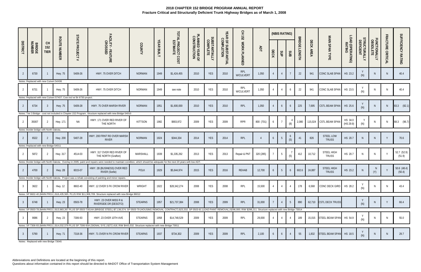|                 |                                                |                                 |                     |                                                                                  |                                                                                                                                                                                                                                     |                |                   |                                |                                 |                                  |                                   | 오<br>도<br>152    |                |                | (NBIS RATING)   |                |                                |           |                                   |                            |                           |                          |                   |                       |
|-----------------|------------------------------------------------|---------------------------------|---------------------|----------------------------------------------------------------------------------|-------------------------------------------------------------------------------------------------------------------------------------------------------------------------------------------------------------------------------------|----------------|-------------------|--------------------------------|---------------------------------|----------------------------------|-----------------------------------|------------------|----------------|----------------|-----------------|----------------|--------------------------------|-----------|-----------------------------------|----------------------------|---------------------------|--------------------------|-------------------|-----------------------|
| <b>DISTRICT</b> | <b>BRIDGE</b><br>NUMBER                        | <b>CH</b><br>152<br><b>TIER</b> | <b>ROUTE NUMBER</b> | <b>STATE PROJECT</b><br>$\ddot{}$                                                | FACILITY - FEATURE<br>CROSSED                                                                                                                                                                                                       | COUNTY         | <b>YEAR BUILT</b> | TOTAL PROJECT COST<br>ESTIMATE | PLANNED YEAR OF<br>CONSTRUCTION | <b>SUBSTANTIALLY</b><br>COMPLETE | YEAR OF SUBSTANTIAL<br>COMPLETION | WORK PLANNED     | ADT            | DECK           | SUP             | SUB            | <b>BRIDGE</b><br><b>LENGTH</b> | DECK AREA | MAIN SPAN TYPE                    | LOAD (OPERATING)<br>RATING | STRUCTURALLY<br>DEFICIENT | FUNCTIONALLY<br>OBSOLETE | FRACTURE CRITICAL | SUFFICIENCY RATING    |
|                 | 6730<br>Notes: Replaced with new Culvert 54X06 |                                 | <b>Hwy. 75</b>      | 5409-26                                                                          | HWY. 75 OVER DITCH                                                                                                                                                                                                                  | <b>NORMAN</b>  | 1949              | \$1,424,455                    | 2010                            | <b>YES</b>                       | 2010                              | RPL<br>W/CULVERT | 1,050          |                |                 |                | 22                             | 941       | CONC SLAB SPAN                    | HS 23.2                    | (N)                       | N.                       | - N               | 40.4                  |
| 2               | 6731                                           |                                 | <b>Hwy. 75</b>      | 5409-26                                                                          | HWY. 75 OVER DITCH                                                                                                                                                                                                                  | <b>NORMAN</b>  | 1949              | see note                       | 2010                            | YES                              | 2010                              | RPL<br>W/CULVERT | 1,050          | 4              | $\overline{4}$  | 6              | 22                             | 941       | CONC SLAB SPAN                    | HS 23.5                    | (N)                       | N                        | <sup>N</sup>      | 40.4                  |
| $\overline{2}$  | 6734                                           | -3                              | Hwy .75             | Notes: Replaced with new Culvert 57X07; Cost incl w/ Br 6730 project.<br>5409-28 | HWY. 75 OVER MARSH RIVER                                                                                                                                                                                                            | <b>NORMAN</b>  | 1951              | \$1,600,000                    | 2010                            | <b>YES</b>                       | 2010                              | RPL              | 1,050          |                | 6               | 6              | 225                            | 7,695     | CSTL BEAM SPAN                    | HS 25.6                    | (N)                       | N.                       | N                 | 83.3 (82.1)           |
| 2               | 35007                                          |                                 | Hwy. 171            | ΝA                                                                               | Notes: Tier 3 Bridge - cost not included in Chapter 152 Program. Structure replaced with new Bridge 54010<br>HWY. 171 OVER RED RIVER OF<br>THE NORTH                                                                                | KITTSON        | 1982              | \$903,972                      | 2009                            | <b>YES</b>                       | 2009                              | <b>RPR</b>       | 800 (701)      | 6              | $\overline{7}$  | (8)            | 2,080                          | 115,024   | <b>CSTL BEAM SPAN</b>             | HS 34.0<br>(HS 29.9)       | (N)                       | N                        | N                 | 68.3 (96.7)           |
|                 | Notes: Border bridge with North Dakota.        |                                 |                     |                                                                                  |                                                                                                                                                                                                                                     |                |                   |                                |                                 |                                  |                                   |                  |                |                |                 |                |                                |           |                                   |                            |                           |                          |                   |                       |
| 2               | 6522                                           |                                 | Hwy. 200            | 5407-28                                                                          | HWY. 200 FRNT RD OVER MARSH<br><b>RIVER</b>                                                                                                                                                                                         | <b>NORMAN</b>  | 1924              | \$344,334                      | 2014                            | <b>YES</b>                       | 2014                              | RPL              | $\overline{4}$ | 6              | $5\phantom{.0}$ | 6<br>(5)       | 41                             | 826       | <b>STEEL LOW</b><br><b>TRUSS</b>  | HS 20.7                    | -N                        | N.                       | Y                 | 70.6                  |
|                 | Notes: Replaced with new Bridge 54011          |                                 |                     |                                                                                  |                                                                                                                                                                                                                                     |                |                   |                                |                                 |                                  |                                   |                  |                |                |                 |                |                                |           |                                   |                            |                           |                          |                   |                       |
| 2               | 5872                                           |                                 | Hwy. 317            | 4514-03                                                                          | HWY. 317 OVER RED RIVER OF<br>THE NORTH (Grafton)                                                                                                                                                                                   | MARSHALL       | 1939              | \$1,335,262                    | 2013                            | YES                              | 2013                              | Repair & PNT     | 320 (285)      |                | 5               | (5)            | 412                            | 10,712    | STEEL HIGH<br><b>TRUSS</b>        | HS 20.7                    | N                         | N                        | $\mathsf{Y}$      | 52.7 (52.9)<br>(51.9) |
|                 |                                                |                                 |                     |                                                                                  | Notes: Border bridge with North Dakota. Overlay in 2005; paint and repairs were needed to maintain condition, which should be adequate for the next 20 years with low ADT.                                                          |                |                   |                                |                                 |                                  |                                   |                  |                |                |                 |                |                                |           |                                   |                            |                           |                          |                   |                       |
| 2               | 4700                                           |                                 | Hwy. 2B             | 6015-07                                                                          | HWY. 2B (BUSINESS) OVER RED<br><b>RIVER (Sorlie)</b>                                                                                                                                                                                | <b>POLK</b>    | 1929              | \$5,644,974                    | 2015                            | <b>YES</b>                       | 2016                              | REHAB            | 12,700         | 6              | - 5             | 6              | 602.6                          | 24,887    | <b>STEEL HIGH</b><br><b>TRUSS</b> | HS 23.2                    |                           | N<br>(Y)                 |                   | 50.6 (48.4)<br>(50.4) |
|                 |                                                |                                 |                     |                                                                                  | Notes: Border bridge with North Dakota. Project was a rehab consisting of painting and minor repairs.                                                                                                                               |                |                   |                                |                                 |                                  |                                   |                  |                |                |                 |                |                                |           |                                   |                            |                           |                          |                   |                       |
| 3               | 3622                                           |                                 | Hwy. 12             | 8602-40                                                                          | HWY. 12 OVER S FK CROW RIVER                                                                                                                                                                                                        | <b>WRIGHT</b>  | 1922              | \$28,342,274                   | 2008                            | YES                              | 2008                              | RPL              | 15,500         | $\overline{4}$ | $\overline{4}$  | $\overline{4}$ | 178                            | 6,568     | CONC DECK GIRD HS 28.2            |                            | (N)                       | N.                       | N                 | 43.4                  |
|                 |                                                |                                 |                     |                                                                                  | Notes: SP 8602-40 (MAIN PROJ.) \$16,435,565; PLUS R/W \$11,906,709. Structure replaced with new Bridge 86012                                                                                                                        |                |                   |                                |                                 |                                  |                                   |                  |                |                |                 |                |                                |           |                                   |                            |                           |                          |                   |                       |
| $\overline{3}$  | 6748                                           |                                 | <b>Hwy. 23</b>      | 0503-78                                                                          | HWY. 23 OVER MISS R &<br>RIVERSIDE DR (DESOTO)                                                                                                                                                                                      | <b>STEARNS</b> | 1957              | \$21,737,384                   | 2008                            | <b>YES</b>                       | 2009                              | RPL              | 31,000         |                | $\overline{4}$  | 5 <sup>5</sup> | 890                            | 62,710    | <b>CSTL DECK TRUSS</b>            |                            | (N)                       |                          |                   | 66.4                  |
|                 |                                                |                                 |                     |                                                                                  | Notes: SP 0503-78 (MAIN PROJ.) \$13,983,267 PLUS SP 0503-73014A (BRIDGE STEEL) \$7,136,574; SP 0503-79 (HOUSING REMOVAL CONTRACT) \$23,332; SP 0503-81 (LEAD PAINT REMOVAL) \$296,000; RW \$298,211. Structure replaced with new Br |                |                   |                                |                                 |                                  |                                   |                  |                |                |                 |                |                                |           |                                   |                            |                           |                          |                   |                       |
| $\mathbf{3}$    | 9086                                           | 2                               | <b>Hwy. 23</b>      | 7306-93                                                                          | HWY. 23 OVER 10TH AVE                                                                                                                                                                                                               | STEARNS        | 1958              | \$14,748,529                   | 2009                            | <b>YES</b>                       | 2009                              | RPL              | 29,000         | $\overline{4}$ | $\overline{4}$  | $\overline{4}$ | 189                            | 15,015    | STEEL BEAM SPAN HS 54.9           |                            |                           | N                        |                   | 55.0                  |
|                 |                                                |                                 |                     |                                                                                  | Notes: SP 7306-93 (MAIN PROJ.) \$14,032,579 PLUS SP 7306-93A (SIGNAL SYS.) \$272,418; R/W \$443,532. Structure replaced with new Bridge 73011                                                                                       |                |                   |                                |                                 |                                  |                                   |                  |                |                |                 |                |                                |           |                                   |                            |                           |                          |                   |                       |
| 3               | 5790                                           |                                 | <b>Hwy. 71</b>      | 7318-36                                                                          | HWY. 71 OVER N FK CROW RIVER                                                                                                                                                                                                        | <b>STEARNS</b> | 1937              | \$734,302                      | 2009                            | <b>YES</b>                       | 2009                              | RPL              | 2,100          | 6              | 6               |                | 55                             | 1,832     | STEEL BEAM SPAN HS 18.5           |                            | (N)                       | N.                       |                   | 29.7                  |

Notes: Replaced with new Bridge 73045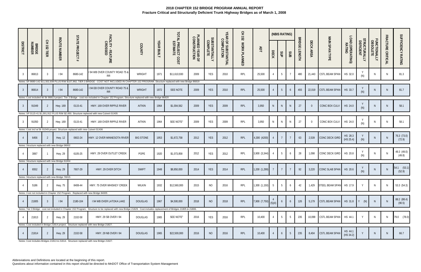|                 |                         |                |                                                                   | STATE                                                                                      |                                                                                                                                                                                               |                  |                   |                                |                                 |                                  |                                   | 오<br><b>152</b> |                  |                | (NBIS RATING)   |                |                                |           |                              |                            |                                   |                          |                   |                       |
|-----------------|-------------------------|----------------|-------------------------------------------------------------------|--------------------------------------------------------------------------------------------|-----------------------------------------------------------------------------------------------------------------------------------------------------------------------------------------------|------------------|-------------------|--------------------------------|---------------------------------|----------------------------------|-----------------------------------|-----------------|------------------|----------------|-----------------|----------------|--------------------------------|-----------|------------------------------|----------------------------|-----------------------------------|--------------------------|-------------------|-----------------------|
| <b>DISTRICT</b> | <b>BRIDGE</b><br>NUMBER | CH 152<br>TIER | <b>ROUTE NUMBER</b>                                               | <b>PROJECT</b><br>#                                                                        | FACILITY - FEATURE<br>CROSSED                                                                                                                                                                 | <b>COUNTY</b>    | <b>YEAR BUILT</b> | TOTAL PROJECT COST<br>ESTIMATE | PLANNED YEAR OF<br>CONSTRUCTION | <b>SUBSTANTIALLY</b><br>COMPLETE | YEAR OF SUBSTANTIAL<br>COMPLETION | WORK PLANNED    | ADT              | <b>DECK</b>    | SUP             | SUB            | <b>BRIDGE</b><br><b>LENGTH</b> | DECK AREA | MAIN SPAN TYPE               | LOAD (OPERATING)<br>RATING | <b>;TRUCTURALLY<br/>DEFICIENT</b> | FUNCTIONALLY<br>OBSOLETE | FRACTURE CRITICAL | SUFFICIENCY RATING    |
|                 | 86813                   |                | <b>194</b>                                                        | 8680-142                                                                                   | 194 WB OVER COUNTY ROAD 75 &<br>RR                                                                                                                                                            | <b>WRIGHT</b>    | 1971              | \$11,610,930                   | 2009                            | YES                              | 2010                              | RPL             | 25,500           |                | 5               |                | 480                            | 21,443    | CSTL BEAM SPAN               | HS 32.0                    | (N)                               | N                        | N.                | 81.3                  |
| 3               | 86814                   |                | 194                                                               | 8680-142                                                                                   | Notes: SP 8680-142 \$11,502,938 PLUS R/W \$107,992; TIER 3 BRIDGE - COST NOT INCLUDED IN CHAPTER 152 PROGRAM. Structure replaced with new Bridge 86819<br>I 94 EB OVER COUNTY ROAD 75 &<br>RR | <b>WRIGHT</b>    | 1972              | SEE NOTE                       | 2009                            | <b>YES</b>                       | 2010                              | RPL             | 25,500           |                | $5\phantom{.0}$ | 6              | 493                            | 22,019    | CSTL BEAM SPAN               | HS 33.7                    | (N)                               | N.                       | <sup>N</sup>      | 81.7                  |
| $\overline{3}$  | 91049                   |                | Hwy. 169                                                          | 0115-41                                                                                    | Notes: Cost included W/ Br 86813 project. Tier 3 Bridge - cost not included in Chapter 152 Program. Structure replaced with new Bridge 86820<br>HWY. 169 OVER RIPPLE RIVER                    | <b>AITKIN</b>    | 1964              | \$1,004,562                    | 2009                            | <b>YES</b>                       | 2009                              | RPL             | 3,950            | $\mathsf{N}$   | N               | $\mathsf{N}$   | 27                             | $\Omega$  | CONC BOX CULV                | HS 24.0                    | (N)                               | N                        |                   | 58.1                  |
| 3               | 91050                   |                | Hwy. 169                                                          | 0115-41                                                                                    | Notes: SP 0115-41 \$1,001,912 PLUS R/W \$2,650. Structure replaced with new Culvert 01X05<br>HWY. 169 OVER RIPPLE RIVER                                                                       | <b>AITKIN</b>    | 1964              | SEE NOTE <sup>4</sup>          | 2009                            | <b>YES</b>                       | 2009                              | RPL             | 3,950            | N <sub>1</sub> | N               | N              | 27                             | $\Omega$  | CONC BOX CULV                | HS 24.0                    | (N)                               | N                        | N                 | 58.1                  |
|                 | 6456                    |                | <b>Hwy. 12</b>                                                    | Notes: Cost incl w/ Br 91049 project. Structure replaced with new Culvert 01X06<br>0602-24 | HWY. 12 OVER MINNESOTA RIVER                                                                                                                                                                  | <b>BIG STONE</b> | 1953              | \$1,672,758                    | 2012                            | <b>YES</b>                       | 2012                              | RPL             | 4,300 (4200)     |                | $\overline{7}$  |                | 63                             | 2,539     | CONC DECK GIRD               | HS 28.3                    |                                   |                          |                   | 76.3 (73.0)           |
|                 |                         |                | Notes: Structure replaced with new Bridge 06002                   |                                                                                            |                                                                                                                                                                                               |                  |                   |                                |                                 |                                  |                                   |                 |                  |                |                 |                |                                |           |                              | (HS 25.4)                  | (N)                               |                          |                   | (72.9)                |
|                 | 3067                    |                | Hwy. 29                                                           | 6105-25                                                                                    | HWY. 29 OVER OUTLET CREEK                                                                                                                                                                     | POPE             | 1920              | \$1,073,858                    | 2012                            | YES                              | 2012                              | RPL             | 3,900 (3,344)    |                | $5\overline{)}$ | 6              | 28                             | 1,098     | CONC DECK GIRD               | HS 20.8                    | (N)                               |                          | $\mathbb N$       | 49.3 (49.0)<br>(49.8) |
|                 | 6552                    |                | Notes: Structure replaced with new Bridge 61004<br><b>Hwy. 29</b> | 7607-29                                                                                    | HWY. 29 OVER DITCH                                                                                                                                                                            | <b>SWIFT</b>     | 1948              | \$8,850,000                    | 2014                            | <b>YES</b>                       | 2014                              | RPL             | 1,200 (1,299)    |                | $\overline{7}$  |                | 92                             | 3,220     | CONC SLAB SPAN               | HS 20.6                    | (N)                               | N.                       |                   | 54.1 (53.1)<br>(52.9) |
|                 |                         |                | Notes: Structure replaced with new Bridge 76015                   |                                                                                            |                                                                                                                                                                                               |                  |                   |                                |                                 |                                  |                                   |                 |                  |                |                 |                |                                |           |                              |                            |                                   |                          |                   |                       |
|                 | 5186                    | $\overline{2}$ | Hwy. 75                                                           | 8408-44                                                                                    | HWY. 75 OVER WHISKEY CREEK                                                                                                                                                                    | WILKIN           | 1932              | \$12,560,000                   | 2015                            | <b>NO</b>                        | 2016                              | RPL             | $1,300(1,150)$ 5 |                | 5 <sup>5</sup>  | 6              | 42                             | 1,429     | STEEL BEAM SPAN HS 17.9      |                            | Y                                 | N <sub>1</sub>           | N.                | 53.3(54.3)            |
|                 |                         |                |                                                                   |                                                                                            | Notes: Cost not included in Chapter 152 Program. Replaced with new Bridge 84005                                                                                                               |                  |                   |                                |                                 |                                  |                                   |                 |                  |                |                 |                |                                |           |                              |                            |                                   |                          |                   | 88.2 (88.4)           |
| 4               | 21805                   | -3             | 194                                                               | 2180-104                                                                                   | <b>194 WB OVER LATOKA LAKE</b>                                                                                                                                                                | <b>DOUGLAS</b>   | 1967              | \$4,500,000                    | 2018                            | <b>NO</b>                        | 2018                              | RPL             | 7,900 (7,750)    | (5)(4)         | 6               | 6              | 126                            | 5,179     | CSTL BEAM SPAN HS 31.8 Y (N) |                            |                                   | N.                       |                   | (90.5)                |
|                 |                         |                |                                                                   |                                                                                            | Notes: Tier 3 Bridge - cost not included in Chapter 152 Program. Structure to be replaced with new Bridge 21829. Cost includes replacement of Bridges 21805 & 21806.                          |                  |                   |                                |                                 |                                  |                                   |                 |                  |                |                 |                |                                |           |                              |                            |                                   |                          |                   |                       |
|                 | 21813                   | $\overline{2}$ | <b>Hwy. 29</b>                                                    | 2102-58                                                                                    | HWY. 29 SB OVER I 94                                                                                                                                                                          | <b>DOUGLAS</b>   | 1965              | SEE NOTE <sup>5</sup>          | 2016                            | <b>YES</b>                       | 2016                              | RPL             | 10,400           |                | 5               | 5              | 235                            | 10,099    | CSTL BEAM SPAN               | HS 44.1                    |                                   | N                        | N.                | 79.0 (78.0)           |
|                 |                         |                |                                                                   |                                                                                            | Notes: Cost included in Bridge 21814 project. Structure replaced with new Bridge 21827.                                                                                                       |                  |                   |                                |                                 |                                  |                                   |                 |                  |                |                 |                |                                |           |                              |                            |                                   |                          |                   |                       |
|                 | 21814                   | $\overline{2}$ | <b>Hwy. 29</b>                                                    | 2102-58                                                                                    | HWY. 29 NB OVER I 94                                                                                                                                                                          | <b>DOUGLAS</b>   | 1965              | \$22,500,000                   | 2016                            | <b>NO</b>                        | 2016                              | RPL             | 10,400           |                | $6\overline{6}$ | 5 <sup>5</sup> | 235                            | 8,404     | <b>CSTL BEAM SPAN</b>        | HS 44.1<br>(HS 34.2)       |                                   | N.                       |                   | 66.7                  |

Notes: Cost includes Bridges 21813 & 21814. Structure replaced with new Bridge 21827.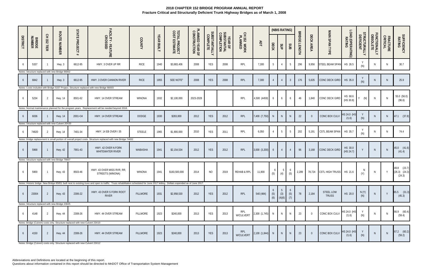|                 |                         |                |                                                  |                                                                               |                                                                                                                                                                                    |                 |                   |                                        |                                 |                                  |                                               |                        |                 |              | (NBIS RATING)              |                |                                |                |                                  |                            |                           |                          |                      |                                        |
|-----------------|-------------------------|----------------|--------------------------------------------------|-------------------------------------------------------------------------------|------------------------------------------------------------------------------------------------------------------------------------------------------------------------------------|-----------------|-------------------|----------------------------------------|---------------------------------|----------------------------------|-----------------------------------------------|------------------------|-----------------|--------------|----------------------------|----------------|--------------------------------|----------------|----------------------------------|----------------------------|---------------------------|--------------------------|----------------------|----------------------------------------|
| <b>DISTRICT</b> | <b>BRIDGE</b><br>NUMBER | CH 152<br>TIER | <b>ROUTE NUMBER</b>                              | <b>STATE PROJECT</b><br>#                                                     | FACILITY - FEATURE<br>CROSSED                                                                                                                                                      | COUNTY          | <b>YEAR BUILT</b> | <b>TOTAL PROJECT<br/>COST ESTIMATE</b> | PLANNED YEAR OF<br>CONSTRUCTION | <b>SUBSTANTIALLY</b><br>COMPLETE | <b>YEAR OF<br/>SUBSTANTIAL<br/>COMPLETION</b> | CH 152 WORK<br>PLANNED | ADT             | DECK         | <b>SUP</b>                 | SUB            | <b>BRIDGE</b><br><b>LENGTH</b> | DECK AREA      | MAIN SPAN TYPE                   | LOAD (OPERATING)<br>RATING | STRUCTURALLY<br>DEFICIENT | FUNCTIONALLY<br>OBSOLETE | FRACTURE<br>CRITICAL | <b>SUFFICIENCY</b><br>RATING           |
|                 | 5337                    |                | Hwy. 3                                           | 6612-95                                                                       | HWY. 3 OVER UP RR                                                                                                                                                                  | <b>RICE</b>     | 1940              | \$3,883,406                            | 2008                            | <b>YES</b>                       | 2008                                          | RPL                    | 7,300           | -5           |                            | 5              | 296                            | 9,956          | STEEL BEAM SPAN                  | HS 26.5                    | (N)                       | N.                       | -N                   | 30.7                                   |
|                 |                         |                | Notes: Structure replaced with new Bridge 66002  |                                                                               |                                                                                                                                                                                    |                 |                   |                                        |                                 |                                  |                                               |                        |                 |              |                            |                |                                |                |                                  |                            |                           |                          |                      |                                        |
| -6              | 6842                    |                | Hwy. 3                                           | 6612-95                                                                       | HWY. 3 OVER CANNON RIVER                                                                                                                                                           | <b>RICE</b>     | 1955              | SEE NOTE <sup>6</sup>                  | 2008                            | <b>YES</b>                       | 2008                                          | RPL                    | 7,300           |              |                            | $\overline{3}$ | 176                            | 5,635          | CONC DECK GIRD                   | HS 35.0                    | (N)                       | N.                       |                      | 25.9                                   |
|                 |                         |                |                                                  |                                                                               | Notes: Costs included with Bridge 5337 Project. Structure replaced with new Bridge 66003                                                                                           |                 |                   |                                        |                                 |                                  |                                               |                        |                 |              |                            |                |                                |                |                                  |                            |                           |                          |                      |                                        |
|                 | 5234                    |                | Hwy. 14                                          | 8501-62                                                                       | HWY. 14 OVER STREAM                                                                                                                                                                | WINONA          | 1932              | \$2,100,000                            | 2023-2028                       |                                  |                                               | RPL                    | 4,500 (4459)    | 6            | 6                          | 6              | 46                             | 1,840          | CONC DECK GIRD                   | HS 68.6<br>(HS 30.8)       | (N)<br>Y                  | N.                       | N                    | 55.0 (56.0)<br>(96.6)                  |
| -6              | 6036                    |                | <b>Hwy. 14</b>                                   | $2001 + 34$                                                                   | Notes: Normal maintenance planned for the program years. Replacement will be needed beyond 2018<br>HWY. 14 OVER STREAM                                                             | <b>DODGE</b>    | 1930              | \$283,000                              | 2012                            | <b>YES</b>                       | 2012                                          | RPL                    | 7,400 (7,750)   | $\mathsf{N}$ | N                          | N              | 22                             | $\Omega$       | CONC BOX CULV                    | HS 24.0 (HS<br>21.6)       | (N)                       | N                        | N                    | 47.1 (37.8)                            |
|                 |                         |                | Notes: Structure replaced with new Culvert 20X20 |                                                                               |                                                                                                                                                                                    |                 |                   |                                        |                                 |                                  |                                               |                        |                 |              |                            |                |                                |                |                                  |                            |                           |                          |                      |                                        |
|                 | 74820                   | -2             | <b>Hwy. 14</b>                                   | 7401-34                                                                       | HWY. 14 EB OVER I 35                                                                                                                                                               | <b>STEELE</b>   | 1965              | \$1,900,000                            | 2010                            | YES                              | 2011                                          | <b>RPL</b>             | 6,050           |              | $5\overline{)}$            | 5              | 202                            | 5,191          | CSTL BEAM SPAN                   | HS 35.7                    | (N)                       | N                        | N                    | 74.4                                   |
|                 |                         |                |                                                  |                                                                               | Notes: Bridge replacement is small portion of overall project costs. Structure replaced with new Bridge 74832                                                                      |                 |                   |                                        |                                 |                                  |                                               |                        |                 |              |                            |                |                                |                |                                  |                            |                           |                          |                      |                                        |
| -6              | 5968                    |                | <b>Hwy. 42</b>                                   | 7901-43                                                                       | HWY. 42 OVER N FORK<br>WHITEWATER RIVER                                                                                                                                            | <b>WABASHA</b>  | 1941              | \$2,154,534                            | 2012                            | <b>YES</b>                       | 2012                                          | RPL                    | 3,000 (3,200)   | 6            | $\overline{4}$             |                | 96                             | 3,168          | CONC DECK GIRD                   | HS 30.0<br>(HS 24.7)       |                           | N.                       | N                    | 45.0 (41.6)<br>(41.4)                  |
|                 |                         |                | Notes: Structure replaced with new Bridge 79007  |                                                                               |                                                                                                                                                                                    |                 |                   |                                        |                                 |                                  |                                               |                        |                 |              |                            |                |                                |                |                                  |                            |                           |                          |                      |                                        |
|                 | 5900                    |                | Hwy. 43                                          | 8503-46                                                                       | HWY. 43 OVER MISS RVR, RR,<br>STREETS (WINONA)                                                                                                                                     | WINONA          | 1941              | \$183,500,000                          | 2014                            | <b>NO</b>                        | 2019                                          | REHAB & RPL            | 11,900          | (5)          | (4)                        | (5)            | 2,289                          | 78,724         | CSTL HIGH TRUSS HS 21.6          |                            | (Y)                       | N                        | $\vee$               | 49.8 (23.7)<br>(26.3) (24.3)<br>(24.3) |
|                 |                         |                |                                                  |                                                                               | Notes: Historic bridge. New Bridge 85851 built next to existing truss and open to traffic. Truss rehabilitation scheduled for June 2017 letting. Dollars expended as of June 2017. |                 |                   |                                        |                                 |                                  |                                               |                        |                 |              |                            |                |                                |                |                                  |                            |                           |                          |                      |                                        |
| 6               | 23004                   | - 2            | Hwy. 43                                          | 2306-22                                                                       | HWY. 43 OVER S FORK ROOT<br><b>RIVER</b>                                                                                                                                           | <b>FILLMORE</b> | 1931              | \$2,958,530                            | 2012                            | YES                              | 2012                                          | RPL                    | 540 (484)       | (5)<br>(6)   | - 5<br>(3)<br>$(4)(6)$ (7) | (5)            | 78                             | 2,184          | <b>STEEL LOW</b><br><b>TRUSS</b> | HS 20.0                    | N(Y)<br>(N)               | N                        | $\mathsf{V}$         | 65.5 (31.3)<br>(45.3)                  |
|                 |                         |                | Notes: Structure replaced with new Bridge 23025  |                                                                               |                                                                                                                                                                                    |                 |                   |                                        |                                 |                                  |                                               |                        |                 |              |                            |                |                                |                |                                  |                            |                           |                          |                      |                                        |
| 6               | 4148                    | - 2            | Hwy. 44                                          | 2308-26                                                                       | HWY, 44 OVER STREAM                                                                                                                                                                | FILLMORE        | 1923              | \$240,000                              | 2013                            | YES                              | 2013                                          | RPL<br>W/CULVERT       | 2,300 (1,745) N |              | N                          | N              | 23                             | $\overline{0}$ | CONC BOX CULV                    | HS 24.0 (HS<br>21.6)       | Y<br>(N)                  | N.                       |                      | 66.9 (60.4)<br>(59.4)                  |
|                 |                         |                |                                                  | Notes: Bridge (Culvert) costs only. Structure replaced with new Culvert 23X10 |                                                                                                                                                                                    |                 |                   |                                        |                                 |                                  |                                               |                        |                 |              |                            |                |                                |                |                                  |                            |                           |                          |                      |                                        |
| 6               | 4150                    | - 2            | <b>Hwy. 44</b>                                   | 2308-26                                                                       | HWY. 44 OVER STREAM                                                                                                                                                                | <b>FILLMORE</b> | 1923              | \$240,000                              | 2013                            | YES                              | 2013                                          | RPL<br>W/CULVERT       | 2,100 (1,844) N |              | N                          | N              | 23                             | $\Omega$       | CONC BOX CULV HS 24.0 (HS        | 21.6)                      | (N)                       | N                        | N                    | 67.2 (60.2)<br>(59.2)                  |

Notes: Bridge (Culvert) costs only. Structure replaced with new Culvert 23X12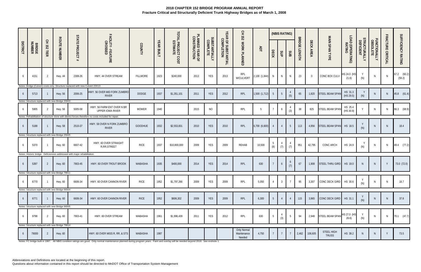|                 |                         |                |                                                 |                                                                               |                                                                                                      |                 |                   |                                |                                 |                                  |                                   | 오<br>도<br>152                        |                 |                       | (NBIS RATING)   |                 |                                |                |                            |                            |                           |                          |                   |                       |
|-----------------|-------------------------|----------------|-------------------------------------------------|-------------------------------------------------------------------------------|------------------------------------------------------------------------------------------------------|-----------------|-------------------|--------------------------------|---------------------------------|----------------------------------|-----------------------------------|--------------------------------------|-----------------|-----------------------|-----------------|-----------------|--------------------------------|----------------|----------------------------|----------------------------|---------------------------|--------------------------|-------------------|-----------------------|
| <b>DISTRICT</b> | <b>BRIDGE</b><br>NUMBER | CH 152<br>TIER | <b>ROUTE NUMBER</b>                             | <b>STATE PROJECT</b><br>$\ddot{}$                                             | FACILITY - FEATURE<br>CROSSED                                                                        | <b>COUNTY</b>   | <b>YEAR BUILT</b> | TOTAL PROJECT COST<br>ESTIMATE | PLANNED YEAR OF<br>CONSTRUCTION | <b>SUBSTANTIALLY</b><br>COMPLETE | YEAR OF SUBSTANTIAL<br>COMPLETION | WORK PLANNED                         | ADT             | DECK                  | SUP             | SUB             | <b>BRIDGE</b><br><b>LENGTH</b> | DECK AREA      | MAIN SPAN TYPE             | LOAD (OPERATING)<br>RATING | STRUCTURALLY<br>DEFICIENT | FUNCTIONALLY<br>OBSOLETE | FRACTURE CRITICAL | SUFFICIENCY RATING    |
| 6               | 4151                    | -2             | <b>Hwy. 44</b>                                  | 2308-26                                                                       | HWY. 44 OVER STREAM                                                                                  | <b>FILLMORE</b> | 1923              | \$240,000                      | 2013                            | YES                              | 2013                              | RPL<br>W/CULVERT                     | 2,100 (1,844)   | N                     | N.              | N               | 23                             | $\overline{0}$ | CONC BOX CULV              | HS 24.0 (HS<br>21.6)       | (N)                       | N                        | $\mathbb N$       | 67.2 (60.2)<br>(59.2) |
|                 |                         |                |                                                 | Notes: Bridge (Culvert) costs only. Structure replaced with new Culvert 23X13 |                                                                                                      |                 |                   |                                |                                 |                                  |                                   |                                      |                 |                       |                 |                 |                                |                |                            |                            |                           |                          |                   |                       |
| -6              | 5713                    |                | Hwy. 56                                         | 2006-25                                                                       | HWY. 56 OVER MID FORK ZUMBRO<br>RIVER                                                                | <b>DODGE</b>    | 1937              | \$1,351,101                    | 2011                            | <b>YES</b>                       | 2012                              | RPL                                  | 1,500 (1,712)   | $5\overline{)}$       | $5\phantom{.0}$ | (5)             | 65                             | 1,820          | STEEL BEAM SPAN            | HS 31.3<br>(HS 29.5)       | Y<br>(N)                  | <sup>N</sup>             | N                 | 45.8 (61.4)           |
|                 |                         |                | Notes: Structure replaced with new Bridge 20003 |                                                                               |                                                                                                      |                 |                   |                                |                                 |                                  |                                   |                                      |                 |                       |                 |                 |                                |                |                            |                            |                           |                          |                   |                       |
|                 | 5905                    | $\overline{2}$ | <b>Hwy. 56</b>                                  | 5005-58                                                                       | HWY. 56 FARM ENT OVER N BR<br>UPPER IOWA RIVER                                                       | <b>MOWER</b>    | 1940              |                                | 2015                            | <b>NO</b>                        |                                   | RPL                                  | $5\phantom{.0}$ | $\overline{7}$        | 6               | (3)             | 38                             | 825            | <b>STEEL BEAM SPAM</b>     | HS 25.4<br>(HS 30.9)       |                           | N                        | N.                | 66.3 (68.9)           |
|                 |                         |                |                                                 |                                                                               | Notes: Rehabilitation of structure done with district forces therefore no costs included for repair. |                 |                   |                                |                                 |                                  |                                   |                                      |                 |                       |                 |                 |                                |                |                            |                            |                           |                          |                   |                       |
| 6               | 5188                    |                | <b>Hwy. 58</b>                                  | 2510-37                                                                       | HWY. 58 OVER N FORK ZUMBRO<br><b>RIVER</b>                                                           | GOODHUE         | 1932              | \$2,553,831                    | 2010                            | <b>YES</b>                       | 2010                              | <b>RPL</b>                           | 6,700 (6,600)   |                       | $\overline{4}$  | 5               | 113                            | 4,956          | STEEL BEAM SPAN            | HS 18.5                    | (N)                       | <sup>N</sup>             | N                 | 18.4                  |
|                 |                         |                | Notes: Structure replaced with new Bridge 25025 |                                                                               |                                                                                                      |                 |                   |                                |                                 |                                  |                                   |                                      |                 |                       |                 |                 |                                |                |                            |                            |                           |                          |                   |                       |
| 6               | 5370                    |                | Hwy. 60                                         | 6607-42                                                                       | HWY. 60 OVER STRAIGHT<br>R, RR, STREET                                                               | <b>RICE</b>     | 1937              | \$10,800,000                   | 2009                            | YES                              | 2009                              | REHAB                                | 10,500          | $\overline{5}$<br>(8) | (7)             | (7)             | 951                            | 42,795         | CONC ARCH                  | HS 24.9                    | (N)                       | N                        | N.                | 49.4 (77.2)           |
|                 |                         |                |                                                 | Notes: Historic bridge. Deficiencies addressed with major rehabilitation.     |                                                                                                      |                 |                   |                                |                                 |                                  |                                   |                                      |                 |                       |                 |                 |                                |                |                            |                            |                           |                          |                   |                       |
| 6               | 5397                    | -2             | Hwy. 60                                         | 7903-45                                                                       | HWY. 60 OVER TROUT BROOK                                                                             | WABASHA         | 1935              | \$400,000                      | 2014                            | <b>YES</b>                       | 2014                              | RPL                                  | 630             |                       | 6               | 6<br>(7)        | 67                             | 1,908          | STEEL THRU GIRD            | HS 19.0                    | N.                        | N                        | Y                 | 73.0 (72.0)           |
|                 |                         |                | Notes: Structure replaced with new Bridge 79011 |                                                                               |                                                                                                      |                 |                   |                                |                                 |                                  |                                   |                                      |                 |                       |                 |                 |                                |                |                            |                            |                           |                          |                   |                       |
| 6               | 6770                    |                | Hwy. 60                                         | 6606-34                                                                       | HWY. 60 OVER CANNON RIVER                                                                            | RICE            | 1952              | \$1,797,266                    | 2009                            | YES                              | 2009                              | RPL                                  | 5,050           | 4                     | 3 <sup>3</sup>  |                 | 95                             | 3,307          | CONC DECK GIRD HS 30.6     |                            | V<br>(N)                  | N.                       | N.                | 18.7                  |
|                 |                         |                | Notes: Structure replaced with new Bridge 66004 |                                                                               |                                                                                                      |                 |                   |                                |                                 |                                  |                                   |                                      |                 |                       |                 |                 |                                |                |                            |                            |                           |                          |                   |                       |
| 6               | 6771                    |                | <b>Hwy. 60</b>                                  | 6606-34                                                                       | HWY. 60 OVER CANNON RIVER                                                                            | <b>RICE</b>     | 1952              | \$606,302                      | 2009                            | <b>YES</b>                       | 2009                              | RPL                                  | 6,300           | .5                    |                 |                 | 115                            | 3,965          | CONC DECK GIRD HS 31.1     |                            | (N)                       | N.                       | <sup>N</sup>      | 37.8                  |
|                 |                         |                | Notes: Structure replaced with new Bridge 66005 |                                                                               |                                                                                                      |                 |                   |                                |                                 |                                  |                                   |                                      |                 |                       |                 |                 |                                |                |                            |                            |                           |                          |                   |                       |
| 6               | 9798                    | -2             | Hwy. 60                                         | 7903-41                                                                       | HWY. 60 OVER STREAM                                                                                  | WABASHA         | 1961              | \$1,996,439                    | 2011                            | YES                              | 2012                              | RPL                                  | 630             | $-5$                  | (3)             | 5               | 94                             | 2,948          | STEEL BEAM SPAN            | HS 27.0 (HS<br>26.6)       | (N)                       | N                        | N.                | 70.1 (47.7)           |
|                 |                         |                | Notes: Structure replaced with new Bridge 79014 |                                                                               |                                                                                                      |                 |                   |                                |                                 |                                  |                                   |                                      |                 |                       |                 |                 |                                |                |                            |                            |                           |                          |                   |                       |
| 6               | 79000                   | 2              | Hwy. 60                                         |                                                                               | HWY. 60 OVER MISS R, RR, & STS                                                                       | WABASHA         | 1987              |                                |                                 |                                  |                                   | Only Normal<br>Maintenance<br>Needed | 4,750           |                       | $\overline{7}$  | $7\overline{ }$ | 2,462                          | 106,605        | STEEL HIGH<br><b>TRUSS</b> | HS 39.2                    |                           | $\mathsf{N}$             |                   | 73.5                  |

Notes: FC bridge built in 1987. All NBIS condition ratings are good. Only normal maintenance planned during program years. Paint and overlay will be needed beyond 2018. See endnote 1.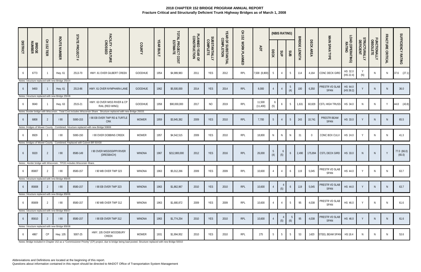|                 |                         |                |                                                 |                                                                           |                                                                                                                     |               |                   |                                |                                 |                                  |                                   | 오<br>도<br>152 |                     |                       | (NBIS RATING)  |                        |                                |                |                        |                            |                           |                          |                   |                       |
|-----------------|-------------------------|----------------|-------------------------------------------------|---------------------------------------------------------------------------|---------------------------------------------------------------------------------------------------------------------|---------------|-------------------|--------------------------------|---------------------------------|----------------------------------|-----------------------------------|---------------|---------------------|-----------------------|----------------|------------------------|--------------------------------|----------------|------------------------|----------------------------|---------------------------|--------------------------|-------------------|-----------------------|
| <b>DISTRICT</b> | <b>BRIDGE</b><br>NUMBER | CH 152<br>TIER | <b>ROUTE NUMBER</b>                             | <b>STATE PROJECT</b><br>#                                                 | FACILITY - FEATURE<br>CROSSED                                                                                       | COUNTY        | <b>YEAR BUILT</b> | TOTAL PROJECT COST<br>ESTIMATE | PLANNED YEAR OF<br>CONSTRUCTION | <b>SUBSTANTIALLY</b><br>COMPLETE | YEAR OF SUBSTANTIAL<br>COMPLETION | WORK PLANNED  | RDT                 | DECK                  | SUP            | SUB                    | <b>BRIDGE</b><br><b>LENGTH</b> | DECK AREA      | MAIN SPAN TYPE         | LOAD (OPERATING)<br>RATING | STRUCTURALLY<br>DEFICIENT | FUNCTIONALLY<br>OBSOLETE | FRACTURE CRITICAL | SUFFICIENCY RATING    |
|                 | 6773                    |                | Hwy. 61                                         | 2513-70                                                                   | HWY. 61 OVER GILBERT CREEK                                                                                          | GOODHUE       | 1954              | \$4,989,983                    | 2011                            | YES                              | 2012                              | RPL           | 7,500 (8,800)       | -5                    | $\overline{4}$ | 5                      | 114                            | 4,164          | CONC DECK GIRD         | HS 32.0<br>(HS 22.4)       | (N)                       | N                        | N.                | $37.6$ $(27.1)$       |
|                 |                         |                | Notes: Structure replaced with new Bridge 25024 |                                                                           |                                                                                                                     |               |                   |                                |                                 |                                  |                                   |               |                     |                       |                |                        |                                |                |                        |                            |                           |                          |                   |                       |
| -6              | 9450                    |                | Hwy. 61                                         | 2513-86                                                                   | HWY. 61 OVER NYMPHARA LANE                                                                                          | GOODHUE       | 1962              | \$5,500,000                    | 2014                            | <b>YES</b>                       | 2014                              | RPL           | 8,000               |                       |                | $5\overline{)}$<br>(4) | 100                            | 6,350          | PRESTR VD SLAB<br>SPAN | HS 64.0<br>(HS 39.2)       |                           | N.                       | <sup>N</sup>      | 36.0                  |
|                 |                         |                | Notes: Structure replaced with new Bridge 25028 |                                                                           |                                                                                                                     |               |                   |                                |                                 |                                  |                                   |               |                     |                       |                |                        |                                |                |                        |                            |                           |                          |                   |                       |
|                 | 9040                    |                | Hwy. 63                                         | 2515-21                                                                   | HWY. 63 OVER MISS RIVER & CP<br>RAIL (RED WING)                                                                     | GOODHUE       | 1958              | \$90,000,000                   | 2017                            | <b>NO</b>                        | 2019                              | RPL           | 11,500<br>(11, 400) | -6<br>(5)             | 6              | -5                     | 1,631                          | 60,829         | <b>CSTL HIGH TRUSS</b> | HS 34.0                    | N.                        | N <sub>1</sub>           | Y                 | 44.8 (43.8)           |
|                 |                         |                |                                                 |                                                                           | Notes: Border bridge with Wisconsin. Total Cost includes Wisconsin Share. Structure replaced with new Bridge 25033. |               |                   |                                |                                 |                                  |                                   |               |                     |                       |                |                        |                                |                |                        |                            |                           |                          |                   |                       |
| -6              | 6808                    | $\mathcal{P}$  | 190                                             | 5080-153                                                                  | <b>190 EB OVER TWP RD &amp; TURTLE</b><br><b>CRK</b>                                                                | <b>MOWER</b>  | 1959              | \$3,945,382                    | 2009                            | <b>YES</b>                       | 2010                              | RPL           | 7,700               | 5                     |                | 5                      | 243                            | 10,741         | PRESTR BEAM<br>SPAN    | HS 33.0                    |                           | $\mathsf{N}$             | <sup>N</sup>      | 65.5                  |
|                 |                         |                |                                                 |                                                                           | Notes: Bridges of Mower County - Combined. Structure replaced with new Bridge 50806                                 |               |                   |                                |                                 |                                  |                                   |               |                     |                       |                |                        |                                |                |                        |                            |                           |                          |                   |                       |
|                 | 8929                    |                | 190                                             | 5080-150                                                                  | <b>190 OVER DOBBINS CREEK</b>                                                                                       | <b>MOWER</b>  | 1957              | \$4,542,515                    | 2009                            | YES                              | 2010                              | RPL           | 18,800              | N.                    | N              | N                      | 31                             | $\overline{0}$ | CONC BOX CULV          | HS 24.0                    | $\vee$                    | $\mathsf{N}$             | <sup>N</sup>      | 41.3                  |
|                 |                         |                |                                                 | Notes: Bridges of Mower County - Combined; Replaced with Culvert BR 50X30 |                                                                                                                     |               |                   |                                |                                 |                                  |                                   |               |                     |                       |                |                        |                                |                |                        |                            |                           |                          |                   |                       |
|                 | 9320                    | 2              | 190                                             | 8580-149                                                                  | <b>190 OVER MISSISSIPPI RIVER</b><br>(DRESBACH)                                                                     | <b>WINONA</b> | 1967              | \$212,800,000                  | 2012                            | <b>YES</b>                       | 2016                              | RPL           | 26,000              | $\overline{5}$<br>(4) | $\circ$<br>(5) | 6                      | 2,490                          |                | 175,894 CSTL DECK GIRD | HS 33.0                    | N                         | N.                       | $\mathsf{Y}$      | 77.0 (66.0)<br>(65.0) |
|                 |                         |                |                                                 | Notes: Border bridge with Wisconsin. TPCE includes Wisconsin Share.       |                                                                                                                     |               |                   |                                |                                 |                                  |                                   |               |                     |                       |                |                        |                                |                |                        |                            |                           |                          |                   |                       |
|                 | 85807                   |                | 190                                             | 8580-157                                                                  | I 90 WB OVER TWP 323                                                                                                | <b>WINONA</b> | 1963              | \$5,012,266                    | 2009                            | <b>YES</b>                       | 2009                              | RPL           | 10,600              |                       |                | 6                      | 119                            | 5.045          | PRESTR VD SLAB<br>SPAN | HS 44.0                    | $\vee$                    | N                        | <sup>N</sup>      | 63.7                  |
|                 |                         |                | Notes: Structure replaced with new Bridge 85835 |                                                                           |                                                                                                                     |               |                   |                                |                                 |                                  |                                   |               |                     |                       |                |                        |                                |                |                        |                            |                           |                          |                   |                       |
| -6              | 85808                   | $\overline{2}$ | 190                                             | 8580-157                                                                  | 190 EB OVER TWP 323                                                                                                 | <b>WINONA</b> | 1963              | \$1,862,967                    | 2010                            | <b>YES</b>                       | 2010                              | RPL           | 10,600              |                       | (5)            | 6                      | 119                            | 5,045          | PRESTR VD SLAB<br>SPAN | HS 44.0                    | $\vee$                    | N.                       | N                 | 63.7                  |
|                 |                         |                | Notes: Structure replaced with new Bridge 85836 |                                                                           |                                                                                                                     |               |                   |                                |                                 |                                  |                                   |               |                     |                       |                |                        |                                |                |                        |                            |                           |                          |                   |                       |
| -6              | 85809                   | -2             | 190                                             | 8580-157                                                                  | I 90 WB OVER TWP 312                                                                                                | <b>WINONA</b> | 1963              | \$1,680,872                    | 2009                            | <b>YES</b>                       | 2009                              | RPL           | 10,600              | $\overline{4}$        | $\overline{4}$ | 5                      | 95                             | 4,038          | PRESTR VD SLAB<br>SPAN | HS 46.0                    | $\vee$                    | N                        | N.                | 61.6                  |
|                 |                         |                | Notes: Structure replaced with new Bridge 85837 |                                                                           |                                                                                                                     |               |                   |                                |                                 |                                  |                                   |               |                     |                       |                |                        |                                |                |                        |                            |                           |                          |                   |                       |
| 6               | 85810                   | 2              | 190                                             | 8580-157                                                                  | 190 EB OVER TWP 312                                                                                                 | <b>WINONA</b> | 1963              | \$1,774,254                    | 2010                            | YES                              | 2010                              | RPL           | 10,600              |                       | (5)            | (6)                    | 95                             | 4,038          | PRESTR VD SLAB<br>SPAN | HS 46.0                    |                           | N.                       | N                 | 61.6                  |
|                 |                         |                | Notes: Structure replaced with new Bridge 85838 |                                                                           |                                                                                                                     |               |                   |                                |                                 |                                  |                                   |               |                     |                       |                |                        |                                |                |                        |                            |                           |                          |                   |                       |
|                 | 4867                    | CP             | Hwy. 105                                        | 5007-25                                                                   | HWY. 105 OVER WOODBURY<br>CREEK                                                                                     | <b>MOWER</b>  | 1931              | \$1,994,952                    | 2010                            | <b>YES</b>                       | 2010                              | RPL           | 275                 | 5                     | 5              | 5                      | 53                             | 1420           | STEEL BEAM SPAN        | HS 18.4                    | N                         | N                        | N                 | 53.6                  |

Notes: Bridge included in Chapter 152 as a "Commissioner Priority" (CP) project, due to bridge being load posted. Structure replaced with new Bridge 50010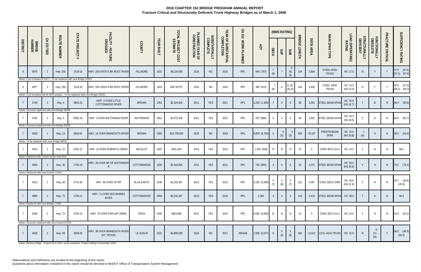|                 |                                        | 오<br>도             |                                                  |                                                                                  |                                             |                   |                   |                                |                                 |                                  |                                   | CH 152       |                 |                 | (NBIS RATING)   |                        |                                |                  |                                   |                            | U.                        |                          |                   |                                  |
|-----------------|----------------------------------------|--------------------|--------------------------------------------------|----------------------------------------------------------------------------------|---------------------------------------------|-------------------|-------------------|--------------------------------|---------------------------------|----------------------------------|-----------------------------------|--------------|-----------------|-----------------|-----------------|------------------------|--------------------------------|------------------|-----------------------------------|----------------------------|---------------------------|--------------------------|-------------------|----------------------------------|
| <b>DISTRICT</b> | <b>BRIDGE</b><br>NUMBER                | <b>152</b><br>TIER | <b>ROUTE NUMBER</b>                              | <b>STATE PROJECT</b>                                                             | FACILITY - FEATURE<br>CROSSED               | COUNTY            | <b>YEAR BUILT</b> | TOTAL PROJECT COST<br>ESTIMATE | PLANNED YEAR OF<br>CONSTRUCTION | <b>SUBSTANTIALLY</b><br>COMPLETE | YEAR OF SUBSTANTIAL<br>COMPLETION | WORK PLANNED | RDT             | DECK            | SUP             | SUB                    | <b>BRIDGE</b><br><b>LENGTH</b> | <b>DECK AREA</b> | MAIN SPAN TYPE                    | LOAD (OPERATING)<br>RATING | STRUCTURALLY<br>DEFICIENT | FUNCTIONALLY<br>OBSOLETE | FRACTURE CRITICAL | SUFFICIENCY RATING               |
|                 | 6975                                   |                    | Hwy. 250                                         | 2319-16                                                                          | HWY. 250 OVER S BR ROOT RIVER               | <b>FILLMORE</b>   | 1931              | \$8,220,000                    | 2016                            | <b>NO</b>                        | 2016                              | RPL          | 840 (787)       | (6)             |                 | 6<br>(5)<br>(6)        | 104                            | 2,808            | <b>STEEL HIGH</b><br><b>TRUSS</b> | HS 17.0                    | <sup>N</sup>              | Y                        |                   | 57.5 (57.6)<br>$(47.1)$ $(57.6)$ |
|                 |                                        |                    |                                                  | Notes: Cost includes Br 6977. To be replaced with new Bridge 23027.              |                                             |                   |                   |                                |                                 |                                  |                                   |              |                 |                 |                 |                        |                                |                  |                                   |                            |                           |                          |                   |                                  |
| 6               | 6977                                   |                    | Hwy. 250                                         | 2319-16                                                                          | HWY. 250 OVER N BR ROOT RIVER               | <b>FILLMORE</b>   | 1924              | SEE NOTE <sup>7</sup>          | 2016                            | <b>NO</b>                        | 2016                              | RPL          | 380 (413)       | (6)             | 6               | 6, (5),<br>$(6)$ $(5)$ | 144                            | 3,456            | STEEL HIGH<br><b>TRUSS</b>        | HS 15.0<br>(HS 22.5)       | N                         |                          |                   | 50.6 (47.0)<br>(65.1) (65.3)     |
|                 |                                        |                    |                                                  | Notes: Cost included with Br 6975 project. To be replaced with new Bridge 23028. |                                             |                   |                   |                                |                                 |                                  |                                   |              |                 |                 |                 |                        |                                |                  |                                   |                            |                           |                          |                   |                                  |
|                 | 6749                                   |                    | Hwy. 4                                           | 0801-31                                                                          | HWY. 4 OVER LITTLE<br>COTTONWOOD RIVER      | <b>BROWN</b>      | 1951              | \$2,324,929                    | 2011                            | YES                              | 2011                              | RPL          | 1,250 (1,400)   | $\overline{7}$  | $\overline{4}$  | 5 <sup>5</sup>         | 98                             | 3,381            | <b>STEEL BEAM SPAN</b>            | HS 32.0<br>(HS 32.7)       |                           | $\mathsf{N}$             | N                 | 66.4 (60.9)                      |
|                 |                                        |                    | Notes: Structure replaced with new Bridge 08006  |                                                                                  |                                             |                   |                   |                                |                                 |                                  |                                   |              |                 |                 |                 |                        |                                |                  |                                   |                            |                           |                          |                   |                                  |
|                 | 6762                                   | - 3                | Hwy. 4                                           | 8302-33                                                                          | HWY. 4 OVER WATONWAN RIVER                  | WATONWAN          | 1951              | \$2,972,439                    | 2012                            | YES                              | 2012                              | RPL          | 970 (880)       | $\overline{4}$  | $5\overline{)}$ | 5                      | 56                             | 1,932            | STEEL BEAM SPAN                   | HS 34.0<br>(HS 46.5)       |                           | N                        | N                 | 82.6 (82.7)                      |
|                 |                                        |                    | Notes: Structure replaced with new Bridge 83039  |                                                                                  |                                             |                   |                   |                                |                                 |                                  |                                   |              |                 |                 |                 |                        |                                |                  |                                   |                            |                           |                          |                   |                                  |
|                 | 9200                                   |                    | <b>Hwy. 14</b>                                   | 0804-81                                                                          | HWY. 14 OVER MINNESOTA RIVER                | <b>BROWN</b>      | 1963              | \$42,700,000                   | 2018                            | <b>NO</b>                        | 2019                              | RPL          | 8,600 (8,700)   | $5\phantom{.0}$ | 6<br>(5)        | (5)                    | 566                            | 20,107           | PRESTR BEAM<br>SPAN               | HS 70.0<br>(HS 35.8)       | Y<br>(N)                  | N.                       | N                 | 38.0 (54.6)                      |
|                 |                                        |                    | Notes: To be replaced with new Bridge 08016      |                                                                                  |                                             |                   |                   |                                |                                 |                                  |                                   |              |                 |                 |                 |                        |                                |                  |                                   |                            |                           |                          |                   |                                  |
|                 | 4014                                   |                    | <b>Hwy. 22</b>                                   | 5205-31                                                                          | HWY. 22 OVER ROBARTS CREEK                  | NICOLLET          | 1923              | \$331,463                      | 2013                            | <b>YES</b>                       | 2013                              | RPL          | 1,200 (939)     | N               | N               | N                      | 23                             | $\Omega$         | CONC BOX CULV                     | HS 24.0                    | Y                         | N                        | $\mathsf{N}$      | 68.2                             |
|                 |                                        |                    | Notes: Repaired with custom horse shoe liner     |                                                                                  |                                             |                   |                   |                                |                                 |                                  |                                   |              |                 |                 |                 |                        |                                |                  |                                   |                            |                           |                          |                   |                                  |
|                 | 5834                                   | -2                 | Hwy. 30                                          | 1702-10                                                                          | HWY. 30 OVER BR OF WATONWAN<br>R            | COTTONWOOD        | 1939              | \$1,019,930                    | 2011                            | YES                              | 2011                              | RPL          | 740 (850)       |                 | $5\phantom{.0}$ | 5 <sup>5</sup>         | 32                             | 1,072            | STEEL BEAM SPAN                   | HS 30.0<br>(HS 30.6)       |                           | N                        | $\,$ N            | 79.1 (74.5)                      |
|                 | Notes: Replaced with new Culvert 17X01 |                    |                                                  |                                                                                  |                                             |                   |                   |                                |                                 |                                  |                                   |              |                 |                 |                 |                        |                                |                  |                                   |                            |                           |                          |                   |                                  |
|                 | 5513                                   |                    | Hwy. 68                                          | 0710-30                                                                          | HWY. 68 OVER UP RR                          | <b>BLUE EARTH</b> | 1936              | \$1,543,387                    | 2013                            | YES                              | 2013                              | RPL          | 3,150 (2,699)   | (7)             | (8)             | $5^{\circ}$<br>(7)     | 115                            | 4,497            | CONC DECK GIRD                    | HS 30.6<br>(HS 21.9)       | Y                         | N                        | N                 | 45.7 (34.8)<br>(25.8)            |
|                 | 6889                                   | 2                  | <b>Hwy. 71</b>                                   | 1705-11                                                                          | HWY. 71 OVER DES MOINES<br><b>RIVER</b>     | COTTONWOOD        | 1956              | \$3,210,447                    | 2010                            | YES                              | 2010                              | RPL          | 2,350           | $\overline{4}$  | $\overline{4}$  | $\overline{4}$         | 143                            | 4,919            | STEEL BEAM SPAN HS 48.0           |                            |                           | N.                       | N                 | 58.2                             |
|                 | Notes: Replaced with new Bridge 17008  |                    |                                                  |                                                                                  |                                             |                   |                   |                                |                                 |                                  |                                   |              |                 |                 |                 |                        |                                |                  |                                   |                            |                           |                          |                   |                                  |
|                 | 6245                                   | 2                  | <b>Hwy. 75</b>                                   | 6704-19                                                                          | HWY. 75 OVER POPLAR CREEK                   | <b>ROCK</b>       | 1932              | \$853,080                      | 2013                            | YES                              | 2014                              | RPL          | 9,500 (6,900) N |                 | N               | N                      | 23                             | $\Omega$         | CONC BOX CULV                     | HS 24.0                    | Y                         | N                        | N.                | 52.8 (53.2)                      |
|                 |                                        |                    | Notes: Structure replaced with new Culvert 67X03 |                                                                                  |                                             |                   |                   |                                |                                 |                                  |                                   |              |                 |                 |                 |                        |                                |                  |                                   |                            |                           |                          |                   |                                  |
|                 | 4930                                   | 2                  | <b>Hwy. 99</b>                                   | 4008-25                                                                          | HWY. 99 OVER MINNESOTA RIVER<br>(ST. PETER) | LE SUEUR          | 1931              | \$4,900,000                    | 2016                            | <b>NO</b>                        | 2017                              | REHAB        | 7,000 (5,077) 5 |                 | 5<br>(4)        | (6)                    | 402                            |                  | 12,512 CSTL HIGH TRUSS HS 23.6    |                            | N <sub>1</sub>            | (Y)<br>(N)               | $\mathsf{V}$      | 56.0 (48.5)<br>(50.5)            |

Notes: Historic bridge. Project let in 2014, never awarded. Project letting in November 2016.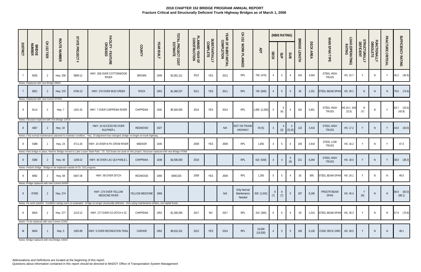|                 |                                        |                              |                                                 |                                                                           |                                                                                                                                                               |                      |                   |                                |                                 |                                  |                                   | 오<br>모<br>152                        |                     |                       | (NBIS RATING)          |                |                                |           |                                   |                            |                           |                          |                   |                           |
|-----------------|----------------------------------------|------------------------------|-------------------------------------------------|---------------------------------------------------------------------------|---------------------------------------------------------------------------------------------------------------------------------------------------------------|----------------------|-------------------|--------------------------------|---------------------------------|----------------------------------|-----------------------------------|--------------------------------------|---------------------|-----------------------|------------------------|----------------|--------------------------------|-----------|-----------------------------------|----------------------------|---------------------------|--------------------------|-------------------|---------------------------|
| <b>DISTRICT</b> | <b>BRIDGE</b><br>NUMBER                | 오<br>$\overline{25}$<br>TIER | <b>ROUTE NUMBER</b>                             | <b>STATE PROJECT</b><br>#                                                 | FACILITY - FEATURE<br>CROSSED                                                                                                                                 | COUNTY               | <b>YEAR BUILT</b> | TOTAL PROJECT COST<br>ESTIMATE | PLANNED YEAR OF<br>CONSTRUCTION | <b>SUBSTANTIALLY</b><br>COMPLETE | YEAR OF SUBSTANTIAL<br>COMPLETION | WORK PLANNED                         | RDT                 | DECK                  | SUP                    | SUB            | <b>BRIDGE</b><br><b>LENGTH</b> | DECK AREA | MAIN SPAN TYPE                    | LOAD (OPERATING)<br>RATING | STRUCTURALLY<br>DEFICIENT | FUNCTIONALLY<br>OBSOLETE | FRACTURE CRITICAL | SUFFICIENCY RATING        |
|                 | 6535                                   | - 2                          | Hwy. 258                                        | 0809-12                                                                   | HWY. 258 OVER COTTONWOOD<br><b>RIVER</b>                                                                                                                      | <b>BROWN</b>         | 1949              | \$3,381,311                    | 2012                            | YES                              | 2012                              | RPL                                  | 700 (470)           | 4                     | 5                      |                | 163                            | 4,564     | STEEL HIGH<br><b>TRUSS</b>        | HS 22.7                    | Y                         | N                        | Y                 | 45.2 (45.6)               |
|                 | Notes: Replaced with new Bridge 08007  |                              |                                                 |                                                                           |                                                                                                                                                               |                      |                   |                                |                                 |                                  |                                   |                                      |                     |                       |                        |                |                                |           |                                   |                            |                           |                          |                   |                           |
|                 | 6821                                   | -2                           | Hwy. 270                                        | 6706-13                                                                   | HWY. 270 OVER MUD CREEK                                                                                                                                       | <b>ROCK</b>          | 1953              | \$1,369,237                    | 2011                            | <b>YES</b>                       | 2011                              | RPL                                  | 740 (840)           | $\overline{4}$        | 5                      | 5 <sup>5</sup> | 38                             | 1,251     | STEEL BEAM SPAN                   | HS 29.1                    | N                         | N                        | N                 | 78.6 (74.6)               |
|                 | Notes: Replaced with new Culvert 67X02 |                              |                                                 |                                                                           |                                                                                                                                                               |                      |                   |                                |                                 |                                  |                                   |                                      |                     |                       |                        |                |                                |           |                                   |                            |                           |                          |                   |                           |
| 8               | 9114                                   | -2                           | Hwy. 7                                          | 1201-32                                                                   | HWY. 7 OVER CHIPPEWA RIVER                                                                                                                                    | CHIPPEWA             | 1932              | \$5,500,000                    | 2014                            | YES                              | 2014                              | RPL                                  | 1,850 (2,200)       | $5\overline{)}$       | $5\overline{)}$<br>(4) | 5              | 182                            | 5,951     | STEEL HIGH<br><b>TRUSS</b>        | HS 24.1 (HS<br>22.0        | N<br>(Y)                  |                          |                   | $63.7$ $(43.6)$<br>(43.8) |
|                 |                                        |                              | Notes: Structure replaced with new Bridge 12015 |                                                                           |                                                                                                                                                               |                      |                   |                                |                                 |                                  |                                   |                                      |                     |                       |                        |                |                                |           |                                   |                            |                           |                          |                   |                           |
| -8              | 4667                                   |                              | Hwy. 19                                         |                                                                           | HWY. 19 ACCESS RD OVER<br>SULPHER L                                                                                                                           | <b>REDWOOD</b>       | 1927              |                                |                                 |                                  | N/A                               | NOT ON TRUNK<br><b>HIGHWAY</b>       | 50(5)               | $\overline{4}$        | (3)                    | (3)(6)         | 122                            | 3,416     | <b>STEEL HIGH</b><br><b>TRUSS</b> | HS 17.2                    | $\mathsf{v}$              | N                        | Y                 | 44.0 (33.0)               |
|                 |                                        |                              |                                                 |                                                                           | Notes: Only normal maintenance planned to maintain condition. Hwy. 19 alignment has changed, bridge no longer on trunk highway.                               |                      |                   |                                |                                 |                                  |                                   |                                      |                     |                       |                        |                |                                |           |                                   |                            |                           |                          |                   |                           |
| 8               | 5388                                   |                              | <b>Hwy. 24</b>                                  | 4711-20                                                                   | HWY. 24 OVER N FK CROW RIVER                                                                                                                                  | MEEKER               | 1935              |                                | 2009                            | <b>YES</b>                       | 2009                              | RPL                                  | 1,650               | $\overline{4}$        | 5                      | 5              | 105                            | 2,919     | <b>STEEL LOW</b><br><b>TRUSS</b>  | HS 16.2                    | $\vee$                    | <sup>N</sup>             | $\mathsf{V}$      | 47.0                      |
|                 |                                        |                              |                                                 |                                                                           | Notes: New bridge in place, Historic Bridge moved to Lake Louise State Park. Ch. 152 funds not used on this project. Structure replaced with new Bridge 47006 |                      |                   |                                |                                 |                                  |                                   |                                      |                     |                       |                        |                |                                |           |                                   |                            |                           |                          |                   |                           |
| -8              | 5380                                   | -2                           | <b>Hwy. 40</b>                                  | 1209-22                                                                   | HWY. 40 OVER LAC QUI PARLE L                                                                                                                                  | CHIPPEWA             | 1938              | \$2,500,000                    | 2019                            |                                  |                                   | RPL                                  | 610 (540)           |                       |                        | 5<br>(6)       | 221                            | 6,284     | <b>STEEL HIGH</b><br><b>TRUSS</b> | HS 18.0                    |                           | $\mathsf{N}$             | Y                 | 38.9 (39.3)               |
|                 |                                        |                              |                                                 | Notes: Historic bridge. Bridge to be replaced outside of Ch. 152 program. |                                                                                                                                                               |                      |                   |                                |                                 |                                  |                                   |                                      |                     |                       |                        |                |                                |           |                                   |                            |                           |                          |                   |                           |
| -8              | 6962                                   |                              | Hwy. 68                                         | 6407-28                                                                   | HWY. 68 OVER DITCH                                                                                                                                            | <b>REDWOOD</b>       | 1900              | \$400,525                      | 2009                            | <b>YES</b>                       | 2009                              | RPL                                  | 1,350               | $5\overline{)}$       | 5                      |                | 26                             | 905       | STEEL BEAM SPAN                   | HS 24.1                    | Y                         | N                        | N                 | 48.5                      |
|                 |                                        |                              | Notes: Bridge replaced with new Culvert 64X09   |                                                                           |                                                                                                                                                               |                      |                   |                                |                                 |                                  |                                   |                                      |                     |                       |                        |                |                                |           |                                   |                            |                           |                          |                   |                           |
| 8               | 87005                                  | 2                            | Hwy. 274                                        |                                                                           | HWY. 274 OVER YELLOW<br>MEDICINE RIVER                                                                                                                        | YELLOW MEDICINE 1968 |                   |                                |                                 |                                  | N/A                               | Only Normal<br>Maintenance<br>Needed | 920(1,042)          | 8 <sup>°</sup><br>(7) | 8<br>(7)               | 5              | 187                            | 8,186     | PRESTR BEAM<br>SPAN               | HS 45.4                    | Y<br>(N)                  | $\mathsf{N}$             | N                 | 66.9 (83.0)<br>(88.1)     |
|                 |                                        |                              |                                                 |                                                                           | Notes: No work needed. Condition ratings were re-evaluated - bridge no longer structurally deficient. Only using maintenance dollars, not capital funds.      |                      |                   |                                |                                 |                                  |                                   |                                      |                     |                       |                        |                |                                |           |                                   |                            |                           |                          |                   |                           |
| 8               | 6816                                   | - 2                          | Hwy. 277                                        | 1213-12                                                                   | HWY. 277 OVER CO DITCH # 22                                                                                                                                   | CHIPPEWA             | 1952              | \$1,300,000                    | 2017                            | NO                               | 2017                              | <b>RPL</b>                           | 310 (365)           | 6                     | 6                      | $\overline{4}$ | 29                             | 1,015     | STEEL BEAM SPAN                   | HS 30.3                    | Y                         | <sup>N</sup>             | <sup>N</sup>      | 67.9 (70.8)               |
|                 |                                        |                              | Notes: To be replaced with new Culvert 12X02.   |                                                                           |                                                                                                                                                               |                      |                   |                                |                                 |                                  |                                   |                                      |                     |                       |                        |                |                                |           |                                   |                            |                           |                          |                   |                           |
| M               | 6654                                   |                              | Hwy. 5                                          | 1002-89                                                                   | HWY. 5 OVER RECREATION TRAIL                                                                                                                                  | CARVER               | 1952              | \$9,010,101                    | 2012                            | YES                              | 2014                              | RPL                                  | 16,000<br>(19, 200) |                       | 5                      | 5 <sup>5</sup> | 160                            | 6,136     | CONC DECK GIRD HS 28.5            |                            |                           | <sup>N</sup>             | N <sub>1</sub>    | 49.1                      |

Notes: Bridge replaced with new Bridge 10003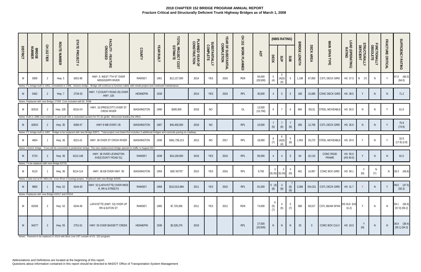| <b>DISTRICT</b> | <b>BRIDGE</b><br>NUMBER | 오<br>152<br>TIER | <b>ROUTE NUMBER</b>                                | <b>STATE PROJECT</b>                                               | FACILITY - FEATURE<br>CROSSED                                                                                                                                             | COUNTY          | <b>YEAR BUILT</b> | TOTAL PROJECT COST<br>ESTIMATE | PLANNED YEAR OF<br>CONSTRUCTION | <b>SUBSTANTIALLY</b><br>COMPLETE | YEAR OF SUBSTANTIAL<br>COMPLETION | 오<br><b>152</b><br>WORK PLANNED | ADT                 | <b>DECK</b>                   | (NBIS RATING)<br>SUP                 | SUB                                       | <b>BRIDGE</b><br>ENGTH | DECK AREA | MAIN SPAN TYPE                       | LOAD (OPERATING)<br>RATING | <b>STRUCTURALLY<br/>DEFICIENT</b> | FUNCTIONALLY<br>OBSOLETE | FRACTURE CRITICAL | SUFFICIENCY RATING               |
|-----------------|-------------------------|------------------|----------------------------------------------------|--------------------------------------------------------------------|---------------------------------------------------------------------------------------------------------------------------------------------------------------------------|-----------------|-------------------|--------------------------------|---------------------------------|----------------------------------|-----------------------------------|---------------------------------|---------------------|-------------------------------|--------------------------------------|-------------------------------------------|------------------------|-----------|--------------------------------------|----------------------------|-----------------------------------|--------------------------|-------------------|----------------------------------|
| M               | 9300                    |                  | Hwy. 5                                             | 6201-86                                                            | HWY. 5 WEST 7TH ST OVER<br>MISSISSIPPI RIVER                                                                                                                              | RAMSEY          | 1961              | \$12,127,500                   | 2014                            | YES                              | 2016                              | <b>RDK</b>                      | 56,000<br>(28, 500) | (4)                           | $5\overline{)}$<br>(4)(5)<br>(4)     |                                           | 1,199                  | 87,850    | CSTL DECK GIRD                       | HS 37.0                    | $N$ $(Y)$                         | N.                       | $\vee$            | 67.0 (66.0)<br>(64.0)            |
|                 |                         |                  | Notes: FC bridge built in 1961, remodeled in 1986. |                                                                    | Historic bridge. Bridge will continue to function safely with rehab project and continued maintenance.                                                                    |                 |                   |                                |                                 |                                  |                                   |                                 |                     |                               |                                      |                                           |                        |           |                                      |                            |                                   |                          |                   |                                  |
| M               | 5462                    |                  | Hwy. 7                                             | 2734-33                                                            | HWY. 7 (COUNTY ROAD 25) OVER<br>HWY. 100                                                                                                                                  | <b>HENNEPIN</b> | 1939              |                                | 2014                            | <b>YES</b>                       | 2016                              | RPL                             | 36,000              |                               | $5\phantom{.0}$                      | 5                                         | 190                    | 15,080    | CONC DECK GIRD                       | HS 38.5                    |                                   | N.                       | N.                | 71.2                             |
|                 |                         |                  |                                                    | Notes: Replaced with new Bridge 27305. Cost included with Br. 5598 |                                                                                                                                                                           |                 |                   |                                |                                 |                                  |                                   |                                 |                     |                               |                                      |                                           |                        |           |                                      |                            |                                   |                          |                   |                                  |
| M               | 82010                   |                  | Hwy. 105                                           | 8216-XX                                                            | HWY. 10 (PRESCOTT) OVER ST<br><b>CROIX RIVER</b>                                                                                                                          | WASHINGTON      | 1990              | \$300,000                      | 2018                            | <b>NO</b>                        |                                   | OL                              | 13,500<br>(15,700)  |                               | $7\overline{ }$                      | 6                                         | 684                    | 35131     | STEEL MOVEABLE                       | HS 50.0                    | N.                                | N                        | Y                 | 61.9                             |
|                 |                         |                  |                                                    |                                                                    | Notes: Built in 1986 (see endnote 1) and built with a redundant system for FC tie girder. Wisconsin leading the effort.                                                   |                 |                   |                                |                                 |                                  |                                   |                                 |                     |                               |                                      |                                           |                        |           |                                      |                            |                                   |                          |                   |                                  |
| M               | 82815                   |                  | Hwy. 35                                            | 8280-47                                                            | HWY 8 WB OVER I 35                                                                                                                                                        | WASHINGTON      | 1967              | \$45,400,000                   | 2018                            | <b>NO</b>                        |                                   | RPL                             | 10,500              | (5)                           | (6)                                  | (6)                                       | 356                    | 12,706    | CSTL DECK GIRD                       | HS 26.6                    |                                   |                          |                   | 75.9<br>(74.9)                   |
|                 |                         |                  |                                                    |                                                                    | Notes: FC bridge built in 1967. Bridge to be replaced with new Bridge 82871. Total project cost listed that includes 3 additional bridges and concrete paving on roadway. |                 |                   |                                |                                 |                                  |                                   |                                 |                     |                               |                                      |                                           |                        |           |                                      |                            |                                   |                          |                   |                                  |
| M               | 4654                    |                  | Hwy. 36                                            | 8221-01                                                            | HWY. 36 OVER ST CROIX RIVER                                                                                                                                               | WASHINGTON      | 1930              | \$361,739,213                  | 2013                            | NO                               | 2017                              | RPL                             | 18,000              | 8<br>(7)                      | $\ddot{\mathbf{6}}$<br>(4)(3)<br>(4) | (6)                                       | 1,053                  | 25,272    | STEEL MOVEABLE                       | HS 20.0                    |                                   | N.                       | $\vee$            | 32.8<br>$(17.8)$ $(2.8)$         |
|                 |                         |                  |                                                    |                                                                    | Notes: Historic bridge. Truss will be converted to pedestrian bridge. The new replacement bridge opened to traffic in August 2017.                                        |                 |                   |                                |                                 |                                  |                                   |                                 |                     |                               |                                      |                                           |                        |           |                                      |                            |                                   |                          |                   |                                  |
| M               | 5723                    |                  | <b>Hwy. 36</b>                                     | 6212-148                                                           | HWY. 36 OVER LEXINGTON<br>AVE(COUNTY ROAD 51)                                                                                                                             | <b>RAMSEY</b>   | 1938              | \$16,100,000                   | 2016                            | <b>YES</b>                       | 2016                              | RPL                             | 85,000              |                               |                                      | 5                                         | 64                     | 10,115    | <b>CONC RIGID</b><br>FRAME           | HS 55.0<br>(HS 40.0)       |                                   |                          |                   | 61.0                             |
|                 |                         |                  | Notes: To be replaced with new Bridge 62731.       |                                                                    |                                                                                                                                                                           |                 |                   |                                |                                 |                                  |                                   |                                 |                     |                               |                                      |                                           |                        |           |                                      |                            |                                   |                          |                   |                                  |
| M               | 9115                    |                  | <b>Hwy. 36</b>                                     | 8214-114                                                           | HWY. 36 EB OVER HWY. 95                                                                                                                                                   | WASHINGTON      | 1959              | SEE NOTE <sup>8</sup>          | 2015                            | <b>YES</b>                       | 2016                              | RPL                             | 9,750               | $\overline{3}$<br>$(6)$ $(N)$ | $(5)$ $(N)$                          | -5<br>(N)                                 | 401                    | 14,957    | CONC BOX GIRD                        | HS 59.1                    | (N)                               | $\mathsf{N}$<br>(Y)      | <sup>N</sup>      | 28.3 (66.8)                      |
|                 |                         |                  |                                                    |                                                                    | Notes: Costs incl w/ Br 4654 (St. Croix River Crossing) project. Replaced with new Bridge 82045.                                                                          |                 |                   |                                |                                 |                                  |                                   |                                 |                     |                               |                                      |                                           |                        |           |                                      |                            |                                   |                          |                   |                                  |
| M               | 9800                    |                  | Hwy. 52                                            | 6244-30                                                            | HWY. 52 (LAFAYETTE) OVER MISS<br>R, RR & STREETS                                                                                                                          | RAMSEY          | 1968              | \$213,913,984                  | 2011                            | YES                              | 2015                              | RPL                             | 81,000              | 5(4)                          | $\overline{4}$<br>$(8)$ $(8)$        | $\begin{array}{c} (6) \\ (8) \end{array}$ |                        |           | 3,366 254,251 CSTL DECK GIRD HS 31.7 |                            |                                   | N                        |                   | 49.5 (47.5)<br>(50.3)            |
|                 |                         |                  | Notes: Replaced with new Bridge 62017 and 62018    |                                                                    |                                                                                                                                                                           |                 |                   |                                |                                 |                                  |                                   |                                 |                     |                               |                                      |                                           |                        |           |                                      |                            |                                   |                          |                   |                                  |
| M               | 62026                   | 2                | Hwy. 52                                            | 6244-36                                                            | LAFAYETTE (HWY. 52) OVER UP<br>RR & EATON ST                                                                                                                              | RAMSEY          | 1965              | \$7,725,836                    | 2011                            | YES                              | 2012                              | RDK                             | 74,000              | (5)<br>(7)                    | (5)                                  | (7)                                       | 580                    | 59,017    | CSTL BEAM SPAN HS 34.8 (HS           | 31.2)                      | $\vee$                            | N <sub>1</sub>           | <sup>N</sup>      | 59.1 (56.9)<br>$(57.0)$ $(58.2)$ |
| M               | 94277                   | -2               | Hwy. 55                                            | 2751-51                                                            | HWY. 55 OVER BASSETT CREEK                                                                                                                                                | <b>HENNEPIN</b> | 1939              | \$2,026,276                    | 2019                            |                                  |                                   | RPL                             | 27,500<br>(20, 500) | N                             | N                                    | N                                         | 20                     | $\Omega$  | CONC BOX CULV                        | HS 18.0                    | (N)                               | N                        | N                 | $36.9$ $(38.4)$<br>(55.1) (54.3) |

Notes: Planned to be replaced in 2019 with Blue Line LRT outside of Ch. 152 program.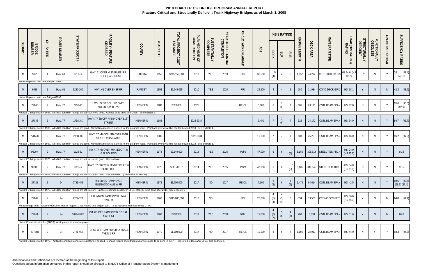|                 |                                                |                  |                     | STATE                                                                       |                                                                                                                                                                                                                                            |                 |                   |                                |                                 |                           |                                   | 오<br>도<br>152 |        |                         | (NBIS RATING)          |                |                             |           |                                     |                            |                                  |                          |                   |                              |
|-----------------|------------------------------------------------|------------------|---------------------|-----------------------------------------------------------------------------|--------------------------------------------------------------------------------------------------------------------------------------------------------------------------------------------------------------------------------------------|-----------------|-------------------|--------------------------------|---------------------------------|---------------------------|-----------------------------------|---------------|--------|-------------------------|------------------------|----------------|-----------------------------|-----------|-------------------------------------|----------------------------|----------------------------------|--------------------------|-------------------|------------------------------|
| <b>DISTRICT</b> | <b>BRIDGE</b><br>NUMBER                        | 오<br>152<br>TIER | <b>ROUTE NUMBER</b> | <b>PROJECT</b>                                                              | FACILITY - FEATURE<br>CROSSED                                                                                                                                                                                                              | COUNTY          | <b>YEAR BUILT</b> | TOTAL PROJECT COST<br>ESTIMATE | PLANNED YEAR OF<br>CONSTRUCTION | SUBSTANTIALLY<br>COMPLETE | YEAR OF SUBSTANTIAL<br>COMPLETION | WORK PLANNED  | ADT    | <b>DECK</b>             | SUP                    | SUB            | <b>BRIDGI</b><br>m<br>ENGTH | DECK AREA | MAIN SPAN TYPE                      | LOAD (OPERATING)<br>RATING | <b>TRUCTURALLY<br/>DEFICIENT</b> | FUNCTIONALLY<br>OBSOLETE | FRACTURE CRITICAL | SUFFICIENCY RATING           |
|                 | 5895                                           |                  | Hwy. 61             | 1913-64                                                                     | HWY. 61 OVER MISS RIVER, RR,<br>STREET (HASTINGS)                                                                                                                                                                                          | DAKOTA          | 1950              | \$215,152,000                  | 2010                            | YES                       | 2013                              | RPL           | 32,500 | (4)                     |                        | - 5            | 1,857                       | 74,292    | <b>CSTL HIGH TRUSS</b>              | HS 24.6 (HS<br>32.2)       |                                  | N                        | $\vee$            | 38.1 (43.4)<br>(41.1)        |
| M               | Notes: Replaced with new Bridge 19004<br>6688  |                  | <b>Hwy. 61</b>      | 6222-160                                                                    | HWY. 61 OVER BNSF RR                                                                                                                                                                                                                       | <b>RAMSEY</b>   | 1952              | \$6,745,095                    | 2010                            | <b>YES</b>                | 2010                              | RPL           | 24,500 |                         |                        | 5              | 180                         | 11,934    | CONC DECK GIRD                      | HS 38.1                    |                                  |                          | N                 | 42.3 (43.7)                  |
| M               | Notes: Replaced with new Bridge 62092<br>27046 |                  | <b>Hwy. 77</b>      | 2758-75                                                                     | HWY. 77 SB COLL RD OVER<br>KILLEBREW DRIVE                                                                                                                                                                                                 | <b>HENNEPIN</b> | 1988              | \$823,068                      | 2021                            |                           |                                   | RE-OL         | 5,000  | -6                      | (6)                    |                | 505                         | 23,170    | CSTL BEAM SPAN                      | HS 62.0                    | N.                               | N                        |                   | 95.6 (96.6)<br>(97.6)        |
| M               | 27048                                          |                  | <b>Hwy. 77</b>      | 2758-XX                                                                     | Notes: FC bridge built in 1988. All NBIS condition ratings are satisfactory to good. Overlay to be done after 2018. See endnote 1.<br>HWY. 77 SB OFF RAMP OVER 81ST<br>STREET                                                              | <b>HENNEPIN</b> | 1988              |                                | 2028-2034                       |                           |                                   |               | 3,450  |                         | (6)                    |                | 526                         | 24,170    | <b>CSTL BEAM SPAN</b>               | HS 94.0                    |                                  | N.                       | Y                 | 94.7 (95.7)                  |
| M               | 27052C                                         | -2               | <b>Hwy. 77</b>      | 2758-XX                                                                     | Notes: FC bridge built in 1988. All NBIS condition ratings are good. Normal maintenance planned for the program years. Paint and overlay will be needed beyond 2018. See endnote 1.<br>HWY. 77 NB COLL RD OVER 79TH<br>ST & EB 494/5 RAMPS | HENNEPIN        | 1989              |                                | 2028-2034                       |                           |                                   |               | 10,000 |                         | $7^{\circ}$            |                | 603                         | 25,253    | CSTL BEAM SPAN                      | HS 46.0                    | N                                | N.                       | Y                 | 96.2 (97.2)                  |
|                 | 9600N                                          |                  | Hwy. 77             | 1925-52                                                                     | Notes: FC bridge built in 1989. All NBIS condition ratings are good. Normal maintenance planned for the program years. Paint and overlay will be needed beyond 2018. See endnote 1.<br>HWY. 77 NB OVER MINNESOTA R<br>& BLACK DOG          | <b>HENNEPIN</b> | 1978              | \$2,140,000                    | 2014                            | <b>YES</b>                | 2015                              | Paint         | 47,000 | 6                       | 6                      | (6)            | 5,159                       | 308,514   | STEEL TIED ARCH                     | HS 34.0<br>(HS 35.6)       |                                  |                          |                   | 91.5                         |
| M               | 9600S                                          |                  | <b>Hwy. 77</b>      | 1925-52                                                                     | Notes: FC bridge built in 1978. All NBIS condition ratings are satisfactory to good. See endnote 1<br>HWY. 77 SB OVER MINNESOTA R &<br><b>BLACK DOG</b>                                                                                    | <b>HENNEPIN</b> | 1978              | SEE NOTE <sup>9</sup>          | 2014                            | YES                       | 2015                              | Paint         | 47,000 | 6                       | 6                      | (6)            | 5,185                       | 310,045   | STEEL TIED ARCH                     | HS 34.0<br>(HS 35.6)       |                                  | N                        | Y                 | 91.5                         |
| M               | 27728                                          | $\overline{2}$   | 94                  | 2781-452                                                                    | Notes: FC bridge built in 1978. All NBIS condition ratings are satisfactory to good. See endnote 1. (Cost incl w Br 9600N)<br>I 94 NB ON RAMP OVER<br>GLENWOOD AVE & RR                                                                    | HENNEPIN        | 1978              | \$1,700,000                    | 2017                            | NO                        | 2017                              | RE-OL         | 7,100  | $\boldsymbol{6}$<br>(5) | 6                      | 6<br>(5)       |                             |           | 1,475 64,614 CSTL BEAM SPAN HS 42.5 |                            | N,                               | N.                       |                   | 98.5 (99.5)<br>(98.5) (87.4) |
| M               | 27842                                          | - 2              | l 94                | 2782-327                                                                    | Notes: FC bridge built in 1978. All NBIS condition ratings are satisfactory. Surface repairs to be done in 2017. Redeck to be done after 2018. See endnote 1.<br>I 94 WB ON RAMP OVER I 94 &<br>HWY. 65                                    | HENNEPIN        | 1966              | \$313,600,000                  | 2018                            | <b>NO</b>                 |                                   | RPL           | 20,000 | (5)<br>(4)              | (5)<br>(4)             | 6              | 534                         | 13,566    | <b>CCONC BOX GIRD</b>               | HS 36.0<br>(HS 28.0)       |                                  | N                        | N.                | 64.8 (64.4)                  |
| M               | 27861                                          | 2                | 194                 | 2781-27861                                                                  | Notes: Bridge to be replaced with I35W Transit Project. Cost reflects total project cost. To be replaced with new Bridge 27W07.<br>I 94 WB OFF RAMP OVER CP RAIL<br>& CITY ST                                                              | HENNEPIN        | 1968              | \$930,936                      | 2010                            | <b>YES</b>                | 2010                              | <b>RDK</b>    | 11,000 | (8)<br>(7)              | $5\overline{)}$<br>(6) | (7)            | 268                         | 6.888     | CSTL BEAM SPAN HS 31.6              |                            |                                  | N.                       | N                 | 65.0                         |
| M               | 27726B                                         | 2                | l 94                | Notes: Economic stimulus (ARRA) funding used to advance project<br>2781-452 | <b>194 SB OFF RAMP OVER LYNDALE</b><br>AVE N & RR                                                                                                                                                                                          | HENNEPIN        | 1979              | \$1,700,000                    | 2017                            | <b>NO</b>                 | 2017                              | RE-OL         | 10,900 | 6                       | 6                      | $\overline{7}$ | 1.100                       | 28,919    | CSTL BEAM SPAN HS 44.0              |                            | N.                               | Y                        | Y                 | 93.3 (94.3)                  |

Notes: FC bridge built in 1979. All NBIS condition ratings are satisfactory to good. Surface repairs and ultrathin wearing course to be done in 2017. Redeck to be done after 2018. See endnote 1.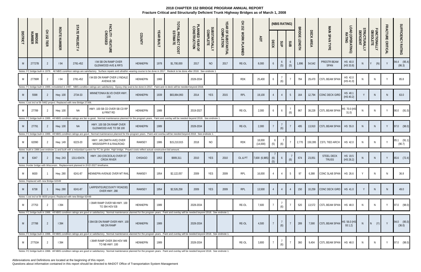Questions about information contained in this report should be directed to MnDOT Office of Transportation System Management

|                 |                                       |                  |                     |                                                                      |                                                                                                                                                                                                     |                 |                   |                                |                                 |                                  |                                   | 오<br>152     |                    |               | (NBIS RATING)   |                      |                                     |           |                                   |                           |                           |                          |                   |                       |
|-----------------|---------------------------------------|------------------|---------------------|----------------------------------------------------------------------|-----------------------------------------------------------------------------------------------------------------------------------------------------------------------------------------------------|-----------------|-------------------|--------------------------------|---------------------------------|----------------------------------|-----------------------------------|--------------|--------------------|---------------|-----------------|----------------------|-------------------------------------|-----------|-----------------------------------|---------------------------|---------------------------|--------------------------|-------------------|-----------------------|
| <b>DISTRICT</b> | <b>BRIDGE</b><br>NUMBER               | 오<br>152<br>TIER | <b>ROUTE NUMBER</b> | <b>STATE PROJECT</b><br>$^{\rm \#}$                                  | FACILITY - FEATURE<br>CROSSED                                                                                                                                                                       | COUNTY          | <b>YEAR BUILT</b> | TOTAL PROJECT COST<br>ESTIMATE | PLANNED YEAR OF<br>CONSTRUCTION | <b>SUBSTANTIALLY</b><br>COMPLETE | YEAR OF SUBSTANTIAL<br>COMPLETION | WORK PLANNED | <b>ADT</b>         | DECK          | SUP             | SUB                  | <b>BRIDGI</b><br>ш<br><b>LENGTH</b> | DECK AREA | MAIN SPAN TYPE                    | OAD (OPERATING)<br>RATING | STRUCTURALLY<br>DEFICIENT | FUNCTIONALLY<br>OBSOLETE | FRACTURE CRITICAL | SUFFICIENCY RATING    |
| M               | 27727B                                |                  | 194                 | 2781-452                                                             | <b>194 SB ON RAMP OVER</b><br><b>GLENWOOD AVE &amp; RR'S</b>                                                                                                                                        | <b>HENNEPIN</b> | 1978              | \$1,700,000                    | 2017                            | NO                               | 2017                              | RE-OL        | 8,000              | $\mathfrak b$ | $\sigma$<br>(5) | $\mathfrak b$<br>(5) | 1,896                               | 54,542    | PRESTR BEAM<br>SPAN               | HS 40.0<br>(HS 33.8)      |                           | (N)                      | $\mathsf{Y}$      | 94.4 (95.4)<br>(86.3) |
|                 |                                       |                  |                     |                                                                      | Notes: FC bridge built in 1978. All NBIS condition ratings are satisfactory. Surface repairs and ultrathin wearing course to be done in 2017. Redeck to be done after 2018. See endnote 1.          |                 |                   |                                |                                 |                                  |                                   |              |                    |               |                 |                      |                                     |           |                                   |                           |                           |                          |                   |                       |
|                 | 27799R                                |                  | <b>194</b>          | 2781-452                                                             | 194 EB ON RAMP OVER LYNDALE<br>AVENUE SB                                                                                                                                                            | <b>HENNEPIN</b> | 1969              |                                | 2028-2034                       |                                  |                                   | <b>RDK</b>   | 25,400             | -6            | (6)             |                      | 784                                 | 29,470    | <b>CSTL BEAM SPAN</b>             | HS 42.0<br>(HS 41.0)      |                           |                          | $\mathsf{Y}$      | 85.8                  |
|                 |                                       |                  |                     |                                                                      | Notes: FC bridge built in 1989, remodeled in 1987. NBIS condition ratings are satisfactory. Epoxy chip seal to be done in 2017. Paint and re-deck will be needed beyond 2018.                       |                 |                   |                                |                                 |                                  |                                   |              |                    |               |                 |                      |                                     |           |                                   |                           |                           |                          |                   |                       |
| M               | 5598                                  |                  | <b>Hwy. 100</b>     | 2734-33                                                              | MINNETONKA BLVD OVER HWY.<br>100                                                                                                                                                                    | HENNEPIN        | 1939              | \$83,884,993                   | 2014                            | <b>YES</b>                       | 2015                              | RPL          | 19,100             |               |                 | 5 <sub>5</sub>       | 164                                 | 12,794    | CONC DECK GIRD                    | HS 40.1<br>(HS 40.2)      |                           | <sup>N</sup>             |                   | 63.0                  |
|                 |                                       |                  |                     | Notes: Cost incl w/ Br 5462 project. Replaced with new Bridge 27306. |                                                                                                                                                                                                     |                 |                   |                                |                                 |                                  |                                   |              |                    |               |                 |                      |                                     |           |                                   |                           |                           |                          |                   |                       |
| M               | 27789                                 |                  | <b>Hwy. 100</b>     | ΝA                                                                   | HWY. 100 SB CD OVER SB CD RP<br>& FRNT RD                                                                                                                                                           | HENNEPIN        | 1989              |                                | 2019-2027                       |                                  |                                   | RE-OL        | 2,000              | -6            |                 | (6)                  | 967                                 | 38,228    | <b>CSTL BEAM SPAN</b>             | HS 70.0 (HS<br>31.0       |                           | N                        | Y                 | 90.0 (91.0)           |
|                 |                                       |                  |                     |                                                                      | Notes: FC bridge built in 1989. All NBIS condition ratings are fair to good. Normal maintenance planned for the program years. Paint and overlay will be needed beyond 2018. See endnote 1.         |                 |                   |                                |                                 |                                  |                                   |              |                    |               |                 |                      |                                     |           |                                   |                           |                           |                          |                   |                       |
| M               | 27791                                 | 2                | Hwy. 100            | <b>NA</b>                                                            | HWY. 100 SB ON RAMP OVER<br>GLENWOOD AVE TO SB 100                                                                                                                                                  | HENNEPIN        | 1989              |                                | 2028-2034                       |                                  |                                   | RE-OL        | 2,000              |               | (6)             |                      | 495                                 | 13,910    | CSTL BEAM SPAN                    | HS 55.0                   | N                         | N                        | Y                 | 97.0 (98.0)           |
|                 |                                       |                  |                     |                                                                      | Notes: FC bridge built in 1989. All NBIS condition ratings are good. Normal maintenance planned for the program years. Paint and overlay will be needed beyond 2018. See endnote 1.                 |                 |                   |                                |                                 |                                  |                                   |              |                    |               |                 |                      |                                     |           |                                   |                           |                           |                          |                   |                       |
|                 | 62090                                 |                  | Hwy. 149            | 6223-20                                                              | HWY. 149 (SMITH AVE) OVER<br>MISSISSIPPI R & RAILROAD                                                                                                                                               | <b>RAMSEY</b>   | 1986              | \$15,210,915                   | 2018                            | NO                               |                                   | <b>RDK</b>   | 18,000<br>(14,000) | 6<br>(5)      | (6)             |                      | 2,770                               | 150,395   | CSTL TIED ARCH                    | HS 42.0                   | N                         | N                        | $\vee$            | 85.1 (91.1)<br>(90.7) |
|                 |                                       |                  |                     |                                                                      | Notes: Built in 1986 (see endnote 1) and built with a redundant system for FC tie girder. High bridge. Project costs reflect actual construction bid amount.                                        |                 |                   |                                |                                 |                                  |                                   |              |                    |               |                 |                      |                                     |           |                                   |                           |                           |                          |                   |                       |
|                 | 6347                                  |                  | <b>Hwy. 243</b>     | 1311-6347A                                                           | HWY. 243 (OSCEOLA) OVER ST<br><b>CROIX RIVER</b>                                                                                                                                                    | <b>CHISAGO</b>  | 1953              | \$909,311                      | 2010                            | YES                              | 2010                              | OL & PT      | 7,600 (6,985)      | (6)<br>(5)    | 6               | (6)                  | 674                                 | 23,051    | <b>STEEL DECK</b><br><b>TRUSS</b> | HS 19.5<br>(HS 26.2)      | <sup>N</sup>              | <sup>N</sup>             | Y                 | 65.6 (72.4)           |
|                 |                                       |                  |                     |                                                                      | Notes: Border bridge with Wisconsin. Replacement planned in 2022-2027 timeframe.                                                                                                                    |                 |                   |                                |                                 |                                  |                                   |              |                    |               |                 |                      |                                     |           |                                   |                           |                           |                          |                   |                       |
| M               | 6630                                  |                  | Hwy. 280            | 6241-87                                                              | HENNEPIN AVENUE OVER MT RAIL                                                                                                                                                                        | RAMSEY          | 1954              | \$2,122,057                    | 2009                            | YES                              | 2009                              | RPL          | 16,000             | 4             | 4               | 5                    | 97                                  | 6,388     | CONC SLAB SPAN HS 26.6            |                           | Y                         | N                        | N                 | 36.8                  |
|                 | Notes: Replaced with new Bridge 62049 |                  |                     |                                                                      |                                                                                                                                                                                                     |                 |                   |                                |                                 |                                  |                                   |              |                    |               |                 |                      |                                     |           |                                   |                           |                           |                          |                   |                       |
| M               | 6738                                  |                  | <b>Hwy. 280</b>     | 6241-87                                                              | LARPENTEUR(COUNTY ROAD30)<br>OVER HWY. 280                                                                                                                                                          | <b>RAMSEY</b>   | 1954              | \$2,526,258                    | 2009                            | <b>YES</b>                       | 2009                              | RPL          | 13,500             |               |                 |                      | 150                                 | 10,259    | CONC DECK GIRD                    | HS 41.0                   |                           | N.                       | <sup>N</sup>      | 49.0                  |
|                 |                                       |                  |                     | Notes: Cost incl w/ Br 6630 project; Replaced with new Bridge 62048  |                                                                                                                                                                                                     |                 |                   |                                |                                 |                                  |                                   |              |                    |               |                 |                      |                                     |           |                                   |                           |                           |                          |                   |                       |
| M               | 27753                                 | -2               | 394                 |                                                                      | I 394R RAMP OVER NB HWY. 100<br>TO 394 HOV EB                                                                                                                                                       | HENNEPIN        | 1989              |                                | 2028-2034                       |                                  |                                   | RE-OL        | 7,600              |               | (6)             |                      | 520                                 | 13,572    | CSTL BEAM SPAN                    | HS 48.0                   | N.                        | N.                       | Y                 | 97.0 (98.0)           |
|                 |                                       |                  |                     |                                                                      | Notes: FC bridge built in 1988. All NBIS condition ratings are good or satisfactory. Normal maintenance planned for the program years. Paint and overlay will be needed beyond 2018. See endnote 1. |                 |                   |                                |                                 |                                  |                                   |              |                    |               |                 |                      |                                     |           |                                   |                           |                           |                          |                   |                       |
| M               | 27788                                 | 2                | 1394                |                                                                      | I 394 EB ON RAMP OVER HWY. 100<br>NB ON RAMP                                                                                                                                                        | <b>HENNEPIN</b> | 1989              |                                | 2028-2034                       |                                  |                                   | RE-OL        | 4,500              |               | (6)             |                      | 289                                 | 7,590     | <b>CSTL BEAM SPAN</b>             | HS 56.0 (HS<br>93 1.2)    |                           | (Y)<br>N                 | Y                 | 94.0 (95.0)<br>(36.0) |
|                 |                                       |                  |                     |                                                                      | Notes: FC bridge built in 1988. All NBIS condition ratings are good or satisfactory. Normal maintenance planned for the program years. Paint and overlay will be needed beyond 2018. See endnote 1. |                 |                   |                                |                                 |                                  |                                   |              |                    |               |                 |                      |                                     |           |                                   |                           |                           |                          |                   |                       |
| M               | 27753A                                |                  | 394                 |                                                                      | I 394R RAMP OVER 394 HOV WB<br>TO NB HWY. 100                                                                                                                                                       | HENNEPIN        | 1989              |                                | 2028-2034                       |                                  |                                   | RE-OL        | 3,800              |               | (6)             |                      | 360                                 | 9,404     | CSTL BEAM SPAN                    | HS 48.0                   | N                         | N                        | Y                 | 97.0 (98.0)           |
|                 |                                       |                  |                     |                                                                      | Notes: FC bridge built in 1988. All NBIS condition ratings are good or satisfactory. Normal maintenance planned for the program years. Paint and overlay will be needed beyond 2018. See endnote 1. |                 |                   |                                |                                 |                                  |                                   |              |                    |               |                 |                      |                                     |           |                                   |                           |                           |                          |                   |                       |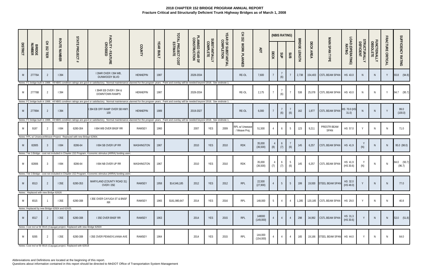|                 |                                       |               |                                                |                                                                              |                                                                                                                                                                                                                                               |                 |                   |                                |                                 |                                  |                                   | $\Xi$<br>152                    |                      |                | (NBIS RATING)  |                | <b>BRIDGE</b> |           |                                |                            |                           |                          | <b>FRACTURE</b> |                       |
|-----------------|---------------------------------------|---------------|------------------------------------------------|------------------------------------------------------------------------------|-----------------------------------------------------------------------------------------------------------------------------------------------------------------------------------------------------------------------------------------------|-----------------|-------------------|--------------------------------|---------------------------------|----------------------------------|-----------------------------------|---------------------------------|----------------------|----------------|----------------|----------------|---------------|-----------|--------------------------------|----------------------------|---------------------------|--------------------------|-----------------|-----------------------|
| <b>DISTRICT</b> | <b>BRIDGE</b><br>NUMBER               | CH 152<br>HER | <b>ROUTE NUMBER</b>                            | <b>STATE PROJECT</b>                                                         | FACILITY - FEATURE<br>CROSSED                                                                                                                                                                                                                 | COUNTY          | <b>YEAR BUILT</b> | TOTAL PROJECT COST<br>ESTIMATE | PLANNED YEAR OF<br>CONSTRUCTION | <b>SUBSTANTIALLY</b><br>COMPLETE | YEAR OF SUBSTANTIAL<br>COMPLETION | WORK PLANNED                    | <b>ADT</b>           | DECK           | SUP            | SUB            | <b>LENGTH</b> | DECK AREA | MAIN SPAN TYPE                 | LOAD (OPERATING)<br>RATING | STRUCTURALLY<br>DEFICIENT | FUNCTIONALLY<br>OBSOLETE | CRITICAL        | SUFFICIENCY RATING    |
| M               | 27776A                                |               | 1394                                           |                                                                              | I 394R OVER I 394 WB,<br>DUNWOODY BLVD                                                                                                                                                                                                        | <b>HENNEPIN</b> | 1987              |                                | 2028-2034                       |                                  |                                   | RE-OL                           | 7,600                |                | (6)            |                | 2,738         |           | 154,403 CSTL BEAM SPAN HS 43.0 |                            | N.                        | N.                       | Y               | 93.8 (94.8)           |
| M               | 27776B                                | -2            | 394                                            |                                                                              | Notes: FC bridge built in 1988. All NBIS condition ratings are good or satisfactory. Normal maintenance planned for the program years. Paint and overlay will be needed beyond 2018. See endnote 1.<br>1394R EB OVER 1394 &<br>DOWNTOWN RAMPS | <b>HENNEPIN</b> | 1987              |                                | 2028-2034                       |                                  |                                   | RE-OL                           | 2,175                |                | (6)            |                | 538           | 25,078    | <b>CSTL BEAM SPAN</b>          | HS 43.0                    | N                         | N                        | Y               | 94.7 (95.7)           |
|                 |                                       |               |                                                |                                                                              | Notes: FC bridge built in 1988. All NBIS condition ratings are good or satisfactory. Normal maintenance planned for the program years. Paint and overlay will be needed beyond 2018. See endnote 1.                                           |                 |                   |                                |                                 |                                  |                                   |                                 |                      |                |                |                |               |           |                                |                            |                           |                          |                 |                       |
| M               | 27789A                                |               | 394                                            |                                                                              | I 394 EB OFF RAMP OVER SB HWY.<br>100                                                                                                                                                                                                         | <b>HENNEPIN</b> | 1989              |                                | 2019-2027                       |                                  |                                   | RE-OL                           | 6,000                |                | (6)            | (6)            | 162           | 1,877     | <b>CSTL BEAM SPAN</b>          | HS 70.0 (HS<br>31.0        |                           |                          | Y               | 99.0<br>(100.0)       |
|                 |                                       |               |                                                |                                                                              | Notes: FC bridge built in 1988. All NBIS condition ratings are good or satisfactory. Normal maintenance planned for the program years. Paint and overlay will be needed beyond 2018. See endnote 1.                                           |                 |                   |                                |                                 |                                  |                                   |                                 |                      |                |                |                |               |           |                                |                            |                           |                          |                 |                       |
| M               | 9197                                  |               | l 694                                          | 6280-304                                                                     | <b>1694 WB OVER BNSF RR</b>                                                                                                                                                                                                                   | RAMSEY          | 1960              |                                | 2007                            | YES                              | 2009                              | RPL w/ Unweave<br>/ Weave Proj. | 51,500               | $\overline{4}$ | 6              | 5              | 123           | 9,211     | PRESTR BEAM<br>SPAN            | HS 57.0                    | Y                         |                          | N               | 71.0                  |
|                 |                                       |               |                                                | Notes: RPL w/ Unweave/Weave Project. Replaced with new Bridge 62904.         |                                                                                                                                                                                                                                               |                 |                   |                                |                                 |                                  |                                   |                                 |                      |                |                |                |               |           |                                |                            |                           |                          |                 |                       |
| M               | 82805                                 | -3            | 1694                                           | 8286-64                                                                      | I 694 SB OVER UP RR                                                                                                                                                                                                                           | WASHINGTON      | 1967              |                                | 2010                            | YES                              | 2010                              | <b>RDK</b>                      | 35,000<br>(36, 500)  | 4<br>(8)       | 6<br>(7)       | (6)            | 145           | 6,257     | CSTL BEAM SPAN HS 41.9         |                            | (N)                       | <sup>N</sup>             | N <sub>1</sub>  | 95.0 (98.0)           |
|                 |                                       |               |                                                |                                                                              | Notes: Tier 3 Bridge - cost not included in Chapter 152 Program. Economic stimulus (ARRA) funding used.                                                                                                                                       |                 |                   |                                |                                 |                                  |                                   |                                 |                      |                |                |                |               |           |                                |                            |                           |                          |                 |                       |
| M               | 82806                                 | - 3           | l 694                                          | 8286-64                                                                      | I 694 NB OVER UP RR                                                                                                                                                                                                                           | WASHINGTON      | 1967              |                                | 2010                            | YES                              | 2010                              | <b>RDK</b>                      | 35,000<br>(36, 500)  | 4<br>(7)       | 6<br>(7)       | (6)            | 145           | 6,257     | <b>CSTL BEAM SPAN</b>          | HS 41.9<br>(HS 30.6)       | Y<br>(N)                  | <sup>N</sup>             | N               | 84.0 (93.7)<br>(96.7) |
|                 |                                       |               |                                                |                                                                              | Notes: Tier 3 Bridge - cost not included in Chapter 152 Program. Economic stimulus (ARRA) funding used.                                                                                                                                       |                 |                   |                                |                                 |                                  |                                   |                                 |                      |                |                |                |               |           |                                |                            |                           |                          |                 |                       |
| M               | 6513                                  | 2             | 135E                                           | 6280-353                                                                     | MARYLAND (COUNTY ROAD 31)<br>OVER I 35E                                                                                                                                                                                                       | RAMSEY          | 1958              | \$14,546,185                   | 2012                            | <b>YES</b>                       | 2012                              | <b>RPL</b>                      | 22,500<br>(27,900)   |                | 5              | 5 <sup>5</sup> | 199           |           | 19,930 STEEL BEAM SPAN         | HS 32.0<br>(HS 48.0)       | Y                         | N,                       | <sup>N</sup>    | 77.0                  |
|                 | Notes: Replaced with new Bridge 62626 |               |                                                |                                                                              |                                                                                                                                                                                                                                               |                 |                   |                                |                                 |                                  |                                   |                                 |                      |                |                |                |               |           |                                |                            |                           |                          |                 |                       |
| M               | 6515                                  |               | 135E                                           | 6280-308                                                                     | I 35E OVER CAYUGA ST & BNSF<br><b>RR</b>                                                                                                                                                                                                      | RAMSEY          | 1965              | \$161,980,647                  | 2014                            | YES                              | 2016                              | RPL                             | 148,000              | 5              |                |                | 1,285         |           | 120,185 CSTL BEAM SPAN HS 29.0 |                            |                           |                          | N               | 40.8                  |
|                 |                                       |               | Notes: Replaced by new Bridge 62924 and 62925. |                                                                              |                                                                                                                                                                                                                                               |                 |                   |                                |                                 |                                  |                                   |                                 |                      |                |                |                |               |           |                                |                            |                           |                          |                 |                       |
| M               | 6517                                  |               | 135E                                           | 6280-308                                                                     | <b>I 35E OVER BNSF RR</b>                                                                                                                                                                                                                     | RAMSEY          | 1963              |                                | 2014                            | YES                              | 2015                              | RPL                             | 148000<br>(149,000)  |                | $\overline{4}$ | $\overline{4}$ | 298           |           | 34,992 CSTL BEAM SPAN          | HS 31.3<br>(HS 30.6)       |                           | N                        | N               | 53.0 (51.8)           |
|                 |                                       |               |                                                | Notes: Cost incl w/ Br 6515 (Cayuga) project. Replaced with new Bridge 62920 |                                                                                                                                                                                                                                               |                 |                   |                                |                                 |                                  |                                   |                                 |                      |                |                |                |               |           |                                |                            |                           |                          |                 |                       |
| M               | 9265                                  |               | 135E                                           | 6280-308                                                                     | I 35E OVER PENNSYLVANIA AVE                                                                                                                                                                                                                   | RAMSEY          | 1964              |                                | 2014                            | YES                              | 2015                              | RPL                             | 144,000<br>(154,000) | $\overline{4}$ | $\overline{4}$ | $\overline{4}$ | 165           |           | 19,166 STEEL BEAM SPAN HS 44.0 |                            | Y                         | N                        | <sup>N</sup>    | 64.0                  |

Notes: Cost incl w/ Br 6515 (Cayuga) project. Replaced with 62918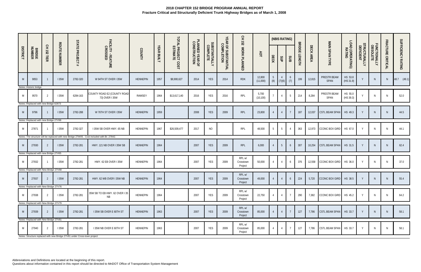|                 |                                       |                  |                     |                                                                          |                                                                                            |                 |                   |                                |                                 |                                  |                                   | CH 152                         |                    |                 | (NBIS RATING)   |                 |                                |           |                        |                            |                                  |                          |                   |                    |
|-----------------|---------------------------------------|------------------|---------------------|--------------------------------------------------------------------------|--------------------------------------------------------------------------------------------|-----------------|-------------------|--------------------------------|---------------------------------|----------------------------------|-----------------------------------|--------------------------------|--------------------|-----------------|-----------------|-----------------|--------------------------------|-----------|------------------------|----------------------------|----------------------------------|--------------------------|-------------------|--------------------|
| <b>DISTRICT</b> | <b>BRIDGE</b><br>NUMBER               | 오<br>152<br>TIER | <b>ROUTE NUMBER</b> | <b>STATE PROJECT</b><br>#                                                | FACILITY - FEATURE<br>CROSSED                                                              | COUNTY          | <b>YEAR BUILT</b> | TOTAL PROJECT COST<br>ESTIMATE | PLANNED YEAR OF<br>CONSTRUCTION | <b>SUBSTANTIALLY</b><br>COMPLETE | YEAR OF SUBSTANTIAL<br>COMPLETION | WORK PLANNED                   | ЯDТ                | DECK            | dſS             | SUB             | <b>BRIDGE</b><br><b>LENGTH</b> | DECK AREA | MAIN SPAN TYPE         | LOAD (OPERATING)<br>RATING | <b>STRUCTURALLY</b><br>DEFICIENT | FUNCTIONALLY<br>OBSOLETE | FRACTURE CRITICAL | SUFFICIENCY RATING |
| M               | 9053                                  |                  | <b>135W</b>         | 2782-320                                                                 | W 94TH ST OVER I 35W                                                                       | <b>HENNEPIN</b> | 1957              | \$8,900,627                    | 2014                            | YES                              | 2014                              | <b>RDK</b>                     | 12,800<br>(11,000) | 5               | $(8)$ $(7)(6)$  | 6<br>(7)        | 199                            | 12,815    | PRESTR BEAM<br>SPAN    | HS 53.8<br>(HS 31.9)       |                                  | N.                       | N <sub>1</sub>    | (49.1)<br>48.7     |
| M               | Notes: Historic bridge.<br>9570       | 2                | <b>135W</b>         | 6284-163                                                                 | COUNTY ROAD E2 (COUNTY ROAD<br>73) OVER I 35W                                              | RAMSEY          | 1964              | \$13,617,140                   | 2016                            | YES                              | 2016                              | RPL                            | 5,700<br>(10, 100) | $\overline{7}$  | $\overline{4}$  | 5               | 214                            | 8,284     | PRESTR BEAM<br>SPAN    | HS 55.0<br>(HS 39.3)       |                                  | N                        | $\mathsf{N}$      | 52.0               |
|                 | Notes: Replaced with new Bridge 62873 |                  |                     |                                                                          |                                                                                            |                 |                   |                                |                                 |                                  |                                   |                                |                    |                 |                 |                 |                                |           |                        |                            |                                  |                          |                   |                    |
| M               | 9796                                  |                  | <b>135W</b>         | 2782-288                                                                 | W 76TH ST OVER I 35W                                                                       | <b>HENNEPIN</b> | 1959              |                                | 2008                            | YES                              | 2009                              | RPL                            | 23,800             | $\overline{4}$  | $\overline{4}$  |                 | 187                            | 12,037    | CSTL BEAM SPAN         | HS 49.3                    |                                  | N <sub>1</sub>           | $\mathsf{N}$      | 44.5               |
|                 | Notes: Replaced with new Bridge 27V98 |                  |                     |                                                                          |                                                                                            |                 |                   |                                |                                 |                                  |                                   |                                |                    |                 |                 |                 |                                |           |                        |                            |                                  |                          |                   |                    |
| M               | 27871                                 |                  | <b>135W</b>         | 2782-327                                                                 | I 35W SB OVER HWY. 65 NB                                                                   | <b>HENNEPIN</b> | 1967              | \$26,509,477                   | 2017                            | <b>NO</b>                        |                                   | RPL                            | 48,500             | $5\overline{)}$ | 5               | $\overline{4}$  | 363                            | 12,973    | <b>CCONC BOX GIRD</b>  | HS 67.0                    | Y                                | N                        | $\mathsf{N}$      | 44.1               |
|                 |                                       |                  |                     |                                                                          | Notes: The structure will be replaced with new Bridge 27W05. Cost included with Br. 27842. |                 |                   |                                |                                 |                                  |                                   |                                |                    |                 |                 |                 |                                |           |                        |                            |                                  |                          |                   |                    |
| M               | 27930                                 |                  | <b>135W</b>         | 2782-281                                                                 | HWY. 121 NB OVER I 35W SB                                                                  | <b>HENNEPIN</b> | 1964              |                                | 2007                            | YES                              | 2009                              | RPL                            | 6,000              | $\overline{4}$  | $5\overline{)}$ | 6               | 307                            | 10,254    | CSTL BEAM SPAN         | HS 31.5                    |                                  | N <sub>1</sub>           | $\mathsf{N}$      | 62.4               |
|                 | Notes: Replaced with new Bridge 27V65 |                  |                     |                                                                          |                                                                                            |                 |                   |                                |                                 |                                  |                                   |                                |                    |                 |                 |                 |                                |           |                        |                            |                                  |                          |                   |                    |
| M               | 27932                                 |                  | <b>135W</b>         | 2782-281                                                                 | HWY. 62 EB OVER I 35W                                                                      | <b>HENNEPIN</b> | 1964              |                                | 2007                            | YES                              | 2009                              | RPL w/<br>Crosstown<br>Project | 50,000             | $\overline{4}$  | $\overline{4}$  | 6               | 376                            | 12,558    | <b>CCONC BOX GIRD</b>  | HS 36.0                    | Y                                |                          | $\mathsf{N}$      | 37.0               |
|                 | Notes: Replaced with New Bridge 27V68 |                  |                     |                                                                          |                                                                                            |                 |                   |                                |                                 |                                  |                                   |                                |                    |                 |                 |                 |                                |           |                        |                            |                                  |                          |                   |                    |
| M               | 27937                                 |                  | <b>135W</b>         | 2782-281                                                                 | HWY. 62 WB OVER I 35W NB                                                                   | <b>HENNEPIN</b> | 1964              |                                | 2007                            | YES                              | 2009                              | RPL w/<br>Crosstown<br>Project | 49,000             |                 | $\overline{4}$  | 6               | 224                            | 5,720     | CCONC BOX GIRD         | HS 38.5                    |                                  | <sup>N</sup>             | $\mathsf{N}$      | 55.4               |
|                 | Notes: Replaced with New Bridge 27V76 |                  |                     |                                                                          |                                                                                            |                 |                   |                                |                                 |                                  |                                   |                                |                    |                 |                 |                 |                                |           |                        |                            |                                  |                          |                   |                    |
| M               | 27938                                 |                  | <b>135W</b>         | 2782-281                                                                 | 35W SB TO EB HWY. 62 OVER I 35<br>NB                                                       | HENNEPIN        | 1964              |                                | 2007                            | YES                              | 2009                              | RPL w/<br>Crosstown<br>Project | 22,750             | $\overline{4}$  | $\overline{4}$  |                 | 290                            | 7,382     | CCONC BOX GIRD HS 45.2 |                            | Y                                | <sup>N</sup>             | N                 | 64.2               |
|                 | Notes: Replaced with New Bridge 27V79 |                  |                     |                                                                          |                                                                                            |                 |                   |                                |                                 |                                  |                                   |                                |                    |                 |                 |                 |                                |           |                        |                            |                                  |                          |                   |                    |
| M               | 27939                                 | $\overline{2}$   | <b>135W</b>         | 2782-281                                                                 | I 35W SB OVER E 60TH ST                                                                    | HENNEPIN        | 1963              |                                | 2007                            | <b>YES</b>                       | 2009                              | RPL w/<br>Crosstown<br>Project | 85,000             |                 | $\overline{4}$  | $7\overline{ }$ | 127                            | 7,786     | CSTL BEAM SPAN HS 33.7 |                            | Y                                | N                        | N                 | 58.1               |
|                 | Notes: Replaced with New Bridge 27V81 |                  |                     |                                                                          |                                                                                            |                 |                   |                                |                                 |                                  |                                   |                                |                    |                 |                 |                 |                                |           |                        |                            |                                  |                          |                   |                    |
| M               | 27940                                 | $\overline{2}$   | <b>135W</b>         | 2782-281                                                                 | I 35W NB OVER E 60TH ST                                                                    | HENNEPIN        | 1963              |                                | 2007                            | <b>YES</b>                       | 2009                              | RPL w/<br>Crosstown<br>Project | 85,000             | $\overline{4}$  | $\overline{4}$  | $\overline{7}$  | 127                            | 7,786     | CSTL BEAM SPAN HS 33.7 |                            | Y                                | <sup>N</sup>             | N                 | 58.1               |
|                 |                                       |                  |                     | Notes: Structure replaced with new Bridge 27V81 under Cross-town project |                                                                                            |                 |                   |                                |                                 |                                  |                                   |                                |                    |                 |                 |                 |                                |           |                        |                            |                                  |                          |                   |                    |